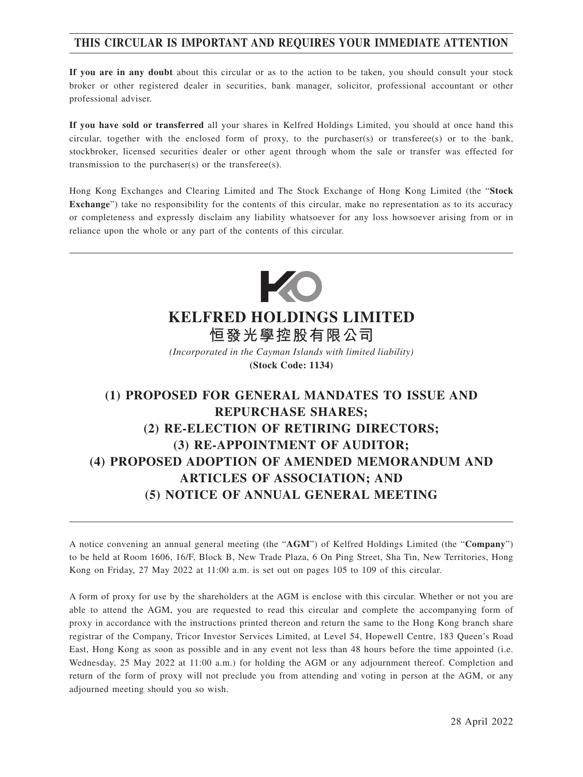## **THIS CIRCULAR IS IMPORTANT AND REQUIRES YOUR IMMEDIATE ATTENTION**

**If you are in any doubt** about this circular or as to the action to be taken, you should consult your stock broker or other registered dealer in securities, bank manager, solicitor, professional accountant or other professional adviser.

**If you have sold or transferred** all your shares in Kelfred Holdings Limited, you should at once hand this circular, together with the enclosed form of proxy, to the purchaser(s) or transferee(s) or to the bank, stockbroker, licensed securities dealer or other agent through whom the sale or transfer was effected for transmission to the purchaser(s) or the transferee(s).

Hong Kong Exchanges and Clearing Limited and The Stock Exchange of Hong Kong Limited (the "**Stock Exchange**") take no responsibility for the contents of this circular, make no representation as to its accuracy or completeness and expressly disclaim any liability whatsoever for any loss howsoever arising from or in reliance upon the whole or any part of the contents of this circular.



# **KELFRED HOLDINGS LIMITED 恒發光學控股有限公司**

*(Incorporated in the Cayman Islands with limited liability)*

**(Stock Code: 1134)**

# **(1) PROPOSED FOR GENERAL MANDATES TO ISSUE AND REPURCHASE SHARES; (2) RE-ELECTION OF RETIRING DIRECTORS; (3) RE-APPOINTMENT OF AUDITOR; (4) PROPOSED ADOPTION OF AMENDED MEMORANDUM AND ARTICLES OF ASSOCIATION; AND (5) NOTICE OF ANNUAL GENERAL MEETING**

A notice convening an annual general meeting (the "**AGM**") of Kelfred Holdings Limited (the "**Company**") to be held at Room 1606, 16/F, Block B, New Trade Plaza, 6 On Ping Street, Sha Tin, New Territories, Hong Kong on Friday, 27 May 2022 at 11:00 a.m. is set out on pages 105 to 109 of this circular.

A form of proxy for use by the shareholders at the AGM is enclose with this circular. Whether or not you are able to attend the AGM, you are requested to read this circular and complete the accompanying form of proxy in accordance with the instructions printed thereon and return the same to the Hong Kong branch share registrar of the Company, Tricor Investor Services Limited, at Level 54, Hopewell Centre, 183 Queen's Road East, Hong Kong as soon as possible and in any event not less than 48 hours before the time appointed (i.e. Wednesday, 25 May 2022 at 11:00 a.m.) for holding the AGM or any adjournment thereof. Completion and return of the form of proxy will not preclude you from attending and voting in person at the AGM, or any adjourned meeting should you so wish.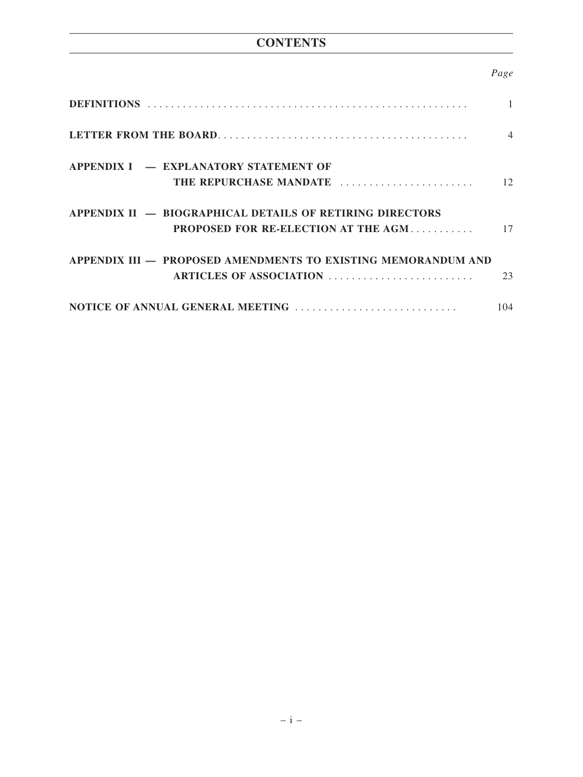## **CONTENTS**

## *Page*

|                                                               | $\overline{4}$ |
|---------------------------------------------------------------|----------------|
| <b>APPENDIX I – EXPLANATORY STATEMENT OF</b>                  |                |
| THE REPURCHASE MANDATE                                        | 12             |
| APPENDIX II - BIOGRAPHICAL DETAILS OF RETIRING DIRECTORS      |                |
| <b>PROPOSED FOR RE-ELECTION AT THE AGM</b>                    | 17             |
| APPENDIX III — PROPOSED AMENDMENTS TO EXISTING MEMORANDUM AND |                |
| ARTICLES OF ASSOCIATION                                       | 23             |
| NOTICE OF ANNUAL GENERAL MEETING                              | 104            |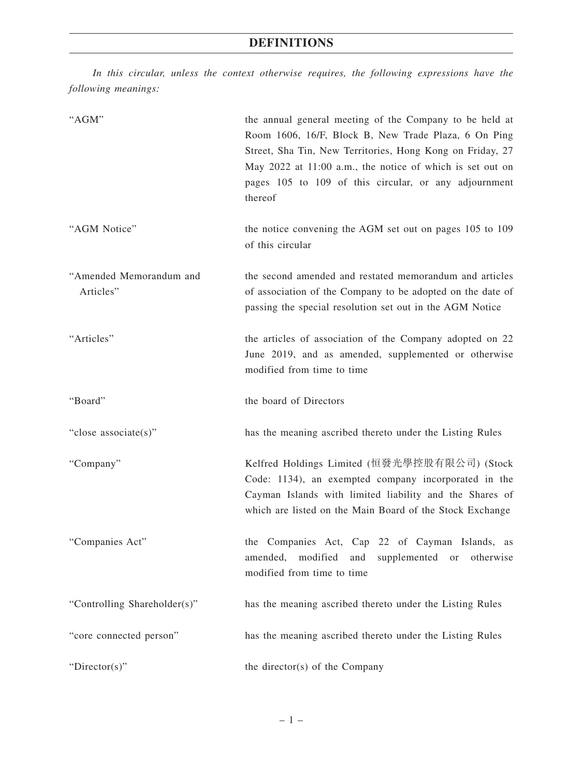*In this circular, unless the context otherwise requires, the following expressions have the following meanings:*

| "AGM"                                | the annual general meeting of the Company to be held at<br>Room 1606, 16/F, Block B, New Trade Plaza, 6 On Ping<br>Street, Sha Tin, New Territories, Hong Kong on Friday, 27<br>May 2022 at 11:00 a.m., the notice of which is set out on<br>pages 105 to 109 of this circular, or any adjournment<br>thereof |
|--------------------------------------|---------------------------------------------------------------------------------------------------------------------------------------------------------------------------------------------------------------------------------------------------------------------------------------------------------------|
| "AGM Notice"                         | the notice convening the AGM set out on pages 105 to 109<br>of this circular                                                                                                                                                                                                                                  |
| "Amended Memorandum and<br>Articles" | the second amended and restated memorandum and articles<br>of association of the Company to be adopted on the date of<br>passing the special resolution set out in the AGM Notice                                                                                                                             |
| "Articles"                           | the articles of association of the Company adopted on 22<br>June 2019, and as amended, supplemented or otherwise<br>modified from time to time                                                                                                                                                                |
| "Board"                              | the board of Directors                                                                                                                                                                                                                                                                                        |
| "close associate(s)"                 | has the meaning ascribed thereto under the Listing Rules                                                                                                                                                                                                                                                      |
| "Company"                            | Kelfred Holdings Limited (恒發光學控股有限公司) (Stock<br>Code: 1134), an exempted company incorporated in the<br>Cayman Islands with limited liability and the Shares of<br>which are listed on the Main Board of the Stock Exchange                                                                                   |
| "Companies Act"                      | the Companies Act, Cap 22 of Cayman Islands, as<br>amended,<br>modified<br>and<br>supplemented<br>otherwise<br>or<br>modified from time to time                                                                                                                                                               |
| "Controlling Shareholder(s)"         | has the meaning ascribed thereto under the Listing Rules                                                                                                                                                                                                                                                      |
| "core connected person"              | has the meaning ascribed thereto under the Listing Rules                                                                                                                                                                                                                                                      |
| "Director(s)"                        | the director(s) of the Company                                                                                                                                                                                                                                                                                |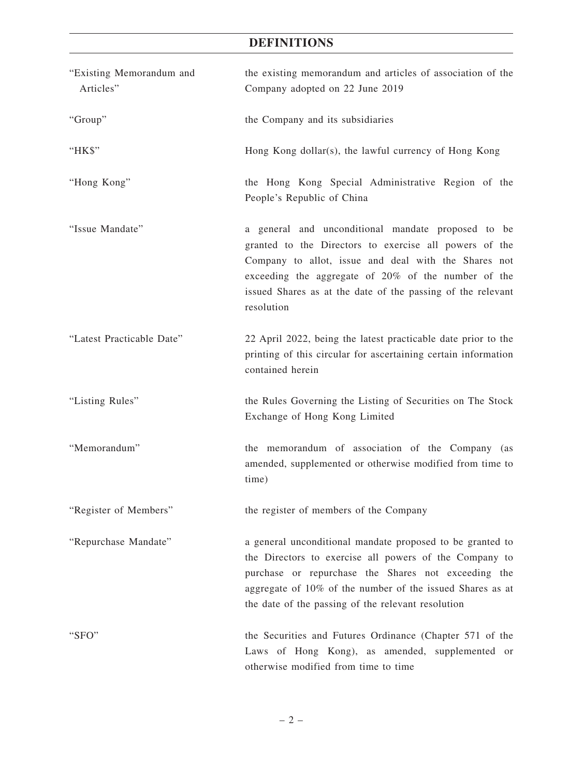## **DEFINITIONS**

| "Existing Memorandum and<br>Articles" | the existing memorandum and articles of association of the<br>Company adopted on 22 June 2019                                                                                                                                                                                                            |
|---------------------------------------|----------------------------------------------------------------------------------------------------------------------------------------------------------------------------------------------------------------------------------------------------------------------------------------------------------|
| "Group"                               | the Company and its subsidiaries                                                                                                                                                                                                                                                                         |
| "HK\$"                                | Hong Kong dollar(s), the lawful currency of Hong Kong                                                                                                                                                                                                                                                    |
| "Hong Kong"                           | the Hong Kong Special Administrative Region of the<br>People's Republic of China                                                                                                                                                                                                                         |
| "Issue Mandate"                       | a general and unconditional mandate proposed to be<br>granted to the Directors to exercise all powers of the<br>Company to allot, issue and deal with the Shares not<br>exceeding the aggregate of 20% of the number of the<br>issued Shares as at the date of the passing of the relevant<br>resolution |
| "Latest Practicable Date"             | 22 April 2022, being the latest practicable date prior to the<br>printing of this circular for ascertaining certain information<br>contained herein                                                                                                                                                      |
| "Listing Rules"                       | the Rules Governing the Listing of Securities on The Stock<br>Exchange of Hong Kong Limited                                                                                                                                                                                                              |
| "Memorandum"                          | the memorandum of association of the Company (as<br>amended, supplemented or otherwise modified from time to<br>time)                                                                                                                                                                                    |
| "Register of Members"                 | the register of members of the Company                                                                                                                                                                                                                                                                   |
| "Repurchase Mandate"                  | a general unconditional mandate proposed to be granted to<br>the Directors to exercise all powers of the Company to<br>purchase or repurchase the Shares not exceeding the<br>aggregate of 10% of the number of the issued Shares as at<br>the date of the passing of the relevant resolution            |
| "SFO"                                 | the Securities and Futures Ordinance (Chapter 571 of the<br>Laws of Hong Kong), as amended, supplemented or<br>otherwise modified from time to time                                                                                                                                                      |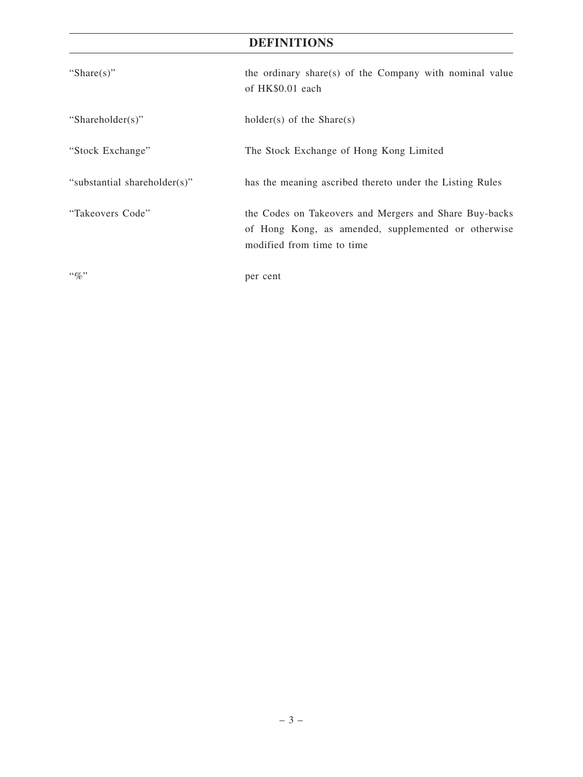## **DEFINITIONS**

| "Share $(s)$ "               | the ordinary share(s) of the Company with nominal value<br>of HK\$0.01 each                                                                 |
|------------------------------|---------------------------------------------------------------------------------------------------------------------------------------------|
| "Shareholder(s)"             | holder(s) of the $Share(s)$                                                                                                                 |
| "Stock Exchange"             | The Stock Exchange of Hong Kong Limited                                                                                                     |
| "substantial shareholder(s)" | has the meaning ascribed thereto under the Listing Rules                                                                                    |
| "Takeovers Code"             | the Codes on Takeovers and Mergers and Share Buy-backs<br>of Hong Kong, as amended, supplemented or otherwise<br>modified from time to time |
| $\lq\lq q_0$ "               | per cent                                                                                                                                    |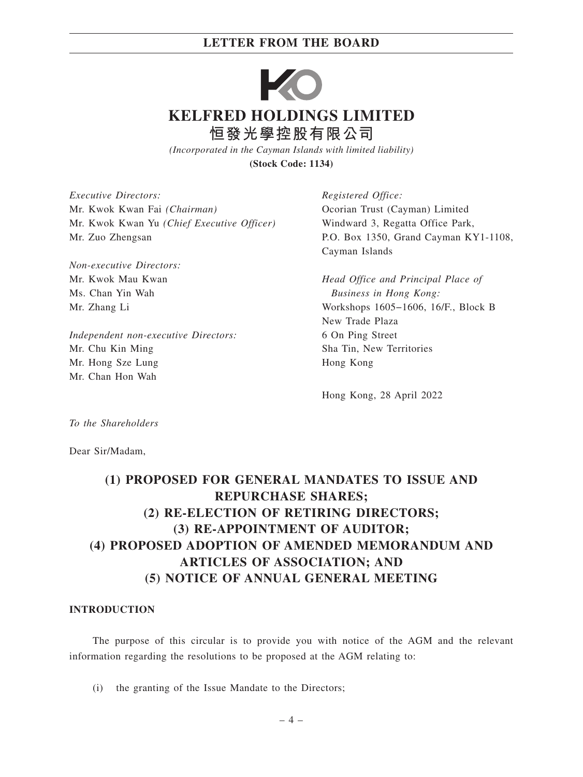

*(Incorporated in the Cayman Islands with limited liability)* **(Stock Code: 1134)**

*Executive Directors:* Mr. Kwok Kwan Fai *(Chairman)* Mr. Kwok Kwan Yu *(Chief Executive Officer)* Mr. Zuo Zhengsan

*Non-executive Directors:* Mr. Kwok Mau Kwan Ms. Chan Yin Wah Mr. Zhang Li

*Independent non-executive Directors:* Mr. Chu Kin Ming Mr. Hong Sze Lung Mr. Chan Hon Wah

*Registered Office:* Ocorian Trust (Cayman) Limited Windward 3, Regatta Office Park, P.O. Box 1350, Grand Cayman KY1-1108, Cayman Islands

*Head Office and Principal Place of Business in Hong Kong:* Workshops 1605−1606, 16/F., Block B New Trade Plaza 6 On Ping Street Sha Tin, New Territories Hong Kong

Hong Kong, 28 April 2022

*To the Shareholders*

Dear Sir/Madam,

# **(1) PROPOSED FOR GENERAL MANDATES TO ISSUE AND REPURCHASE SHARES; (2) RE-ELECTION OF RETIRING DIRECTORS; (3) RE-APPOINTMENT OF AUDITOR; (4) PROPOSED ADOPTION OF AMENDED MEMORANDUM AND ARTICLES OF ASSOCIATION; AND (5) NOTICE OF ANNUAL GENERAL MEETING**

#### **INTRODUCTION**

The purpose of this circular is to provide you with notice of the AGM and the relevant information regarding the resolutions to be proposed at the AGM relating to:

(i) the granting of the Issue Mandate to the Directors;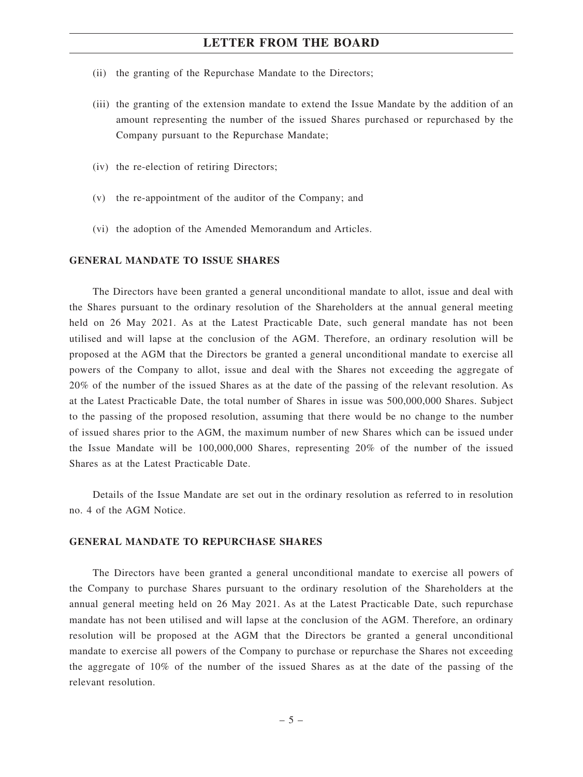- (ii) the granting of the Repurchase Mandate to the Directors;
- (iii) the granting of the extension mandate to extend the Issue Mandate by the addition of an amount representing the number of the issued Shares purchased or repurchased by the Company pursuant to the Repurchase Mandate;
- (iv) the re-election of retiring Directors;
- (v) the re-appointment of the auditor of the Company; and
- (vi) the adoption of the Amended Memorandum and Articles.

#### **GENERAL MANDATE TO ISSUE SHARES**

The Directors have been granted a general unconditional mandate to allot, issue and deal with the Shares pursuant to the ordinary resolution of the Shareholders at the annual general meeting held on 26 May 2021. As at the Latest Practicable Date, such general mandate has not been utilised and will lapse at the conclusion of the AGM. Therefore, an ordinary resolution will be proposed at the AGM that the Directors be granted a general unconditional mandate to exercise all powers of the Company to allot, issue and deal with the Shares not exceeding the aggregate of 20% of the number of the issued Shares as at the date of the passing of the relevant resolution. As at the Latest Practicable Date, the total number of Shares in issue was 500,000,000 Shares. Subject to the passing of the proposed resolution, assuming that there would be no change to the number of issued shares prior to the AGM, the maximum number of new Shares which can be issued under the Issue Mandate will be 100,000,000 Shares, representing 20% of the number of the issued Shares as at the Latest Practicable Date.

Details of the Issue Mandate are set out in the ordinary resolution as referred to in resolution no. 4 of the AGM Notice.

#### **GENERAL MANDATE TO REPURCHASE SHARES**

The Directors have been granted a general unconditional mandate to exercise all powers of the Company to purchase Shares pursuant to the ordinary resolution of the Shareholders at the annual general meeting held on 26 May 2021. As at the Latest Practicable Date, such repurchase mandate has not been utilised and will lapse at the conclusion of the AGM. Therefore, an ordinary resolution will be proposed at the AGM that the Directors be granted a general unconditional mandate to exercise all powers of the Company to purchase or repurchase the Shares not exceeding the aggregate of 10% of the number of the issued Shares as at the date of the passing of the relevant resolution.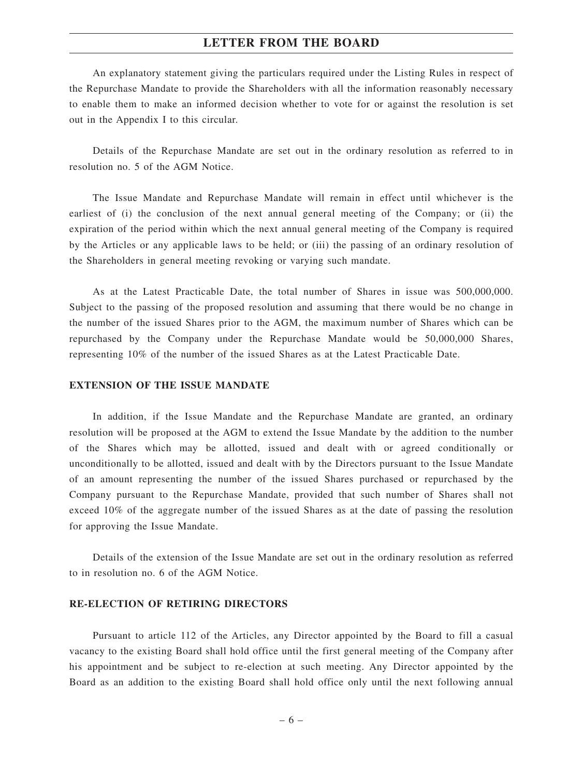An explanatory statement giving the particulars required under the Listing Rules in respect of the Repurchase Mandate to provide the Shareholders with all the information reasonably necessary to enable them to make an informed decision whether to vote for or against the resolution is set out in the Appendix I to this circular.

Details of the Repurchase Mandate are set out in the ordinary resolution as referred to in resolution no. 5 of the AGM Notice.

The Issue Mandate and Repurchase Mandate will remain in effect until whichever is the earliest of (i) the conclusion of the next annual general meeting of the Company; or (ii) the expiration of the period within which the next annual general meeting of the Company is required by the Articles or any applicable laws to be held; or (iii) the passing of an ordinary resolution of the Shareholders in general meeting revoking or varying such mandate.

As at the Latest Practicable Date, the total number of Shares in issue was 500,000,000. Subject to the passing of the proposed resolution and assuming that there would be no change in the number of the issued Shares prior to the AGM, the maximum number of Shares which can be repurchased by the Company under the Repurchase Mandate would be 50,000,000 Shares, representing 10% of the number of the issued Shares as at the Latest Practicable Date.

#### **EXTENSION OF THE ISSUE MANDATE**

In addition, if the Issue Mandate and the Repurchase Mandate are granted, an ordinary resolution will be proposed at the AGM to extend the Issue Mandate by the addition to the number of the Shares which may be allotted, issued and dealt with or agreed conditionally or unconditionally to be allotted, issued and dealt with by the Directors pursuant to the Issue Mandate of an amount representing the number of the issued Shares purchased or repurchased by the Company pursuant to the Repurchase Mandate, provided that such number of Shares shall not exceed 10% of the aggregate number of the issued Shares as at the date of passing the resolution for approving the Issue Mandate.

Details of the extension of the Issue Mandate are set out in the ordinary resolution as referred to in resolution no. 6 of the AGM Notice.

#### **RE-ELECTION OF RETIRING DIRECTORS**

Pursuant to article 112 of the Articles, any Director appointed by the Board to fill a casual vacancy to the existing Board shall hold office until the first general meeting of the Company after his appointment and be subject to re-election at such meeting. Any Director appointed by the Board as an addition to the existing Board shall hold office only until the next following annual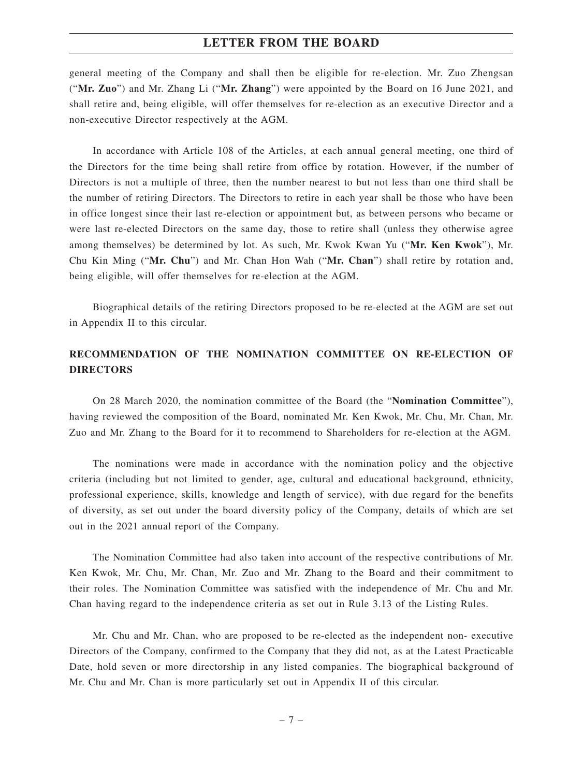general meeting of the Company and shall then be eligible for re-election. Mr. Zuo Zhengsan ("**Mr. Zuo**") and Mr. Zhang Li ("**Mr. Zhang**") were appointed by the Board on 16 June 2021, and shall retire and, being eligible, will offer themselves for re-election as an executive Director and a non-executive Director respectively at the AGM.

In accordance with Article 108 of the Articles, at each annual general meeting, one third of the Directors for the time being shall retire from office by rotation. However, if the number of Directors is not a multiple of three, then the number nearest to but not less than one third shall be the number of retiring Directors. The Directors to retire in each year shall be those who have been in office longest since their last re-election or appointment but, as between persons who became or were last re-elected Directors on the same day, those to retire shall (unless they otherwise agree among themselves) be determined by lot. As such, Mr. Kwok Kwan Yu ("**Mr. Ken Kwok**"), Mr. Chu Kin Ming ("**Mr. Chu**") and Mr. Chan Hon Wah ("**Mr. Chan**") shall retire by rotation and, being eligible, will offer themselves for re-election at the AGM.

Biographical details of the retiring Directors proposed to be re-elected at the AGM are set out in Appendix II to this circular.

## **RECOMMENDATION OF THE NOMINATION COMMITTEE ON RE-ELECTION OF DIRECTORS**

On 28 March 2020, the nomination committee of the Board (the "**Nomination Committee**"), having reviewed the composition of the Board, nominated Mr. Ken Kwok, Mr. Chu, Mr. Chan, Mr. Zuo and Mr. Zhang to the Board for it to recommend to Shareholders for re-election at the AGM.

The nominations were made in accordance with the nomination policy and the objective criteria (including but not limited to gender, age, cultural and educational background, ethnicity, professional experience, skills, knowledge and length of service), with due regard for the benefits of diversity, as set out under the board diversity policy of the Company, details of which are set out in the 2021 annual report of the Company.

The Nomination Committee had also taken into account of the respective contributions of Mr. Ken Kwok, Mr. Chu, Mr. Chan, Mr. Zuo and Mr. Zhang to the Board and their commitment to their roles. The Nomination Committee was satisfied with the independence of Mr. Chu and Mr. Chan having regard to the independence criteria as set out in Rule 3.13 of the Listing Rules.

Mr. Chu and Mr. Chan, who are proposed to be re-elected as the independent non- executive Directors of the Company, confirmed to the Company that they did not, as at the Latest Practicable Date, hold seven or more directorship in any listed companies. The biographical background of Mr. Chu and Mr. Chan is more particularly set out in Appendix II of this circular.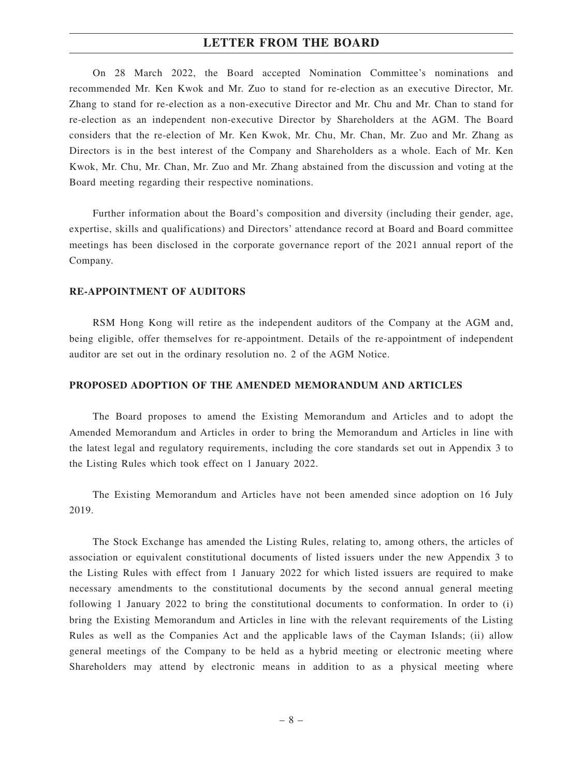On 28 March 2022, the Board accepted Nomination Committee's nominations and recommended Mr. Ken Kwok and Mr. Zuo to stand for re-election as an executive Director, Mr. Zhang to stand for re-election as a non-executive Director and Mr. Chu and Mr. Chan to stand for re-election as an independent non-executive Director by Shareholders at the AGM. The Board considers that the re-election of Mr. Ken Kwok, Mr. Chu, Mr. Chan, Mr. Zuo and Mr. Zhang as Directors is in the best interest of the Company and Shareholders as a whole. Each of Mr. Ken Kwok, Mr. Chu, Mr. Chan, Mr. Zuo and Mr. Zhang abstained from the discussion and voting at the Board meeting regarding their respective nominations.

Further information about the Board's composition and diversity (including their gender, age, expertise, skills and qualifications) and Directors' attendance record at Board and Board committee meetings has been disclosed in the corporate governance report of the 2021 annual report of the Company.

#### **RE-APPOINTMENT OF AUDITORS**

RSM Hong Kong will retire as the independent auditors of the Company at the AGM and, being eligible, offer themselves for re-appointment. Details of the re-appointment of independent auditor are set out in the ordinary resolution no. 2 of the AGM Notice.

#### **PROPOSED ADOPTION OF THE AMENDED MEMORANDUM AND ARTICLES**

The Board proposes to amend the Existing Memorandum and Articles and to adopt the Amended Memorandum and Articles in order to bring the Memorandum and Articles in line with the latest legal and regulatory requirements, including the core standards set out in Appendix 3 to the Listing Rules which took effect on 1 January 2022.

The Existing Memorandum and Articles have not been amended since adoption on 16 July 2019.

The Stock Exchange has amended the Listing Rules, relating to, among others, the articles of association or equivalent constitutional documents of listed issuers under the new Appendix 3 to the Listing Rules with effect from 1 January 2022 for which listed issuers are required to make necessary amendments to the constitutional documents by the second annual general meeting following 1 January 2022 to bring the constitutional documents to conformation. In order to (i) bring the Existing Memorandum and Articles in line with the relevant requirements of the Listing Rules as well as the Companies Act and the applicable laws of the Cayman Islands; (ii) allow general meetings of the Company to be held as a hybrid meeting or electronic meeting where Shareholders may attend by electronic means in addition to as a physical meeting where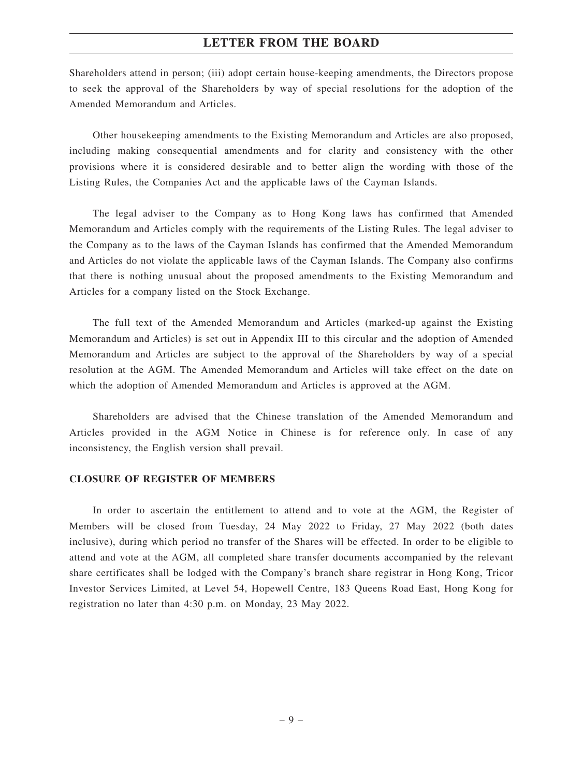Shareholders attend in person; (iii) adopt certain house-keeping amendments, the Directors propose to seek the approval of the Shareholders by way of special resolutions for the adoption of the Amended Memorandum and Articles.

Other housekeeping amendments to the Existing Memorandum and Articles are also proposed, including making consequential amendments and for clarity and consistency with the other provisions where it is considered desirable and to better align the wording with those of the Listing Rules, the Companies Act and the applicable laws of the Cayman Islands.

The legal adviser to the Company as to Hong Kong laws has confirmed that Amended Memorandum and Articles comply with the requirements of the Listing Rules. The legal adviser to the Company as to the laws of the Cayman Islands has confirmed that the Amended Memorandum and Articles do not violate the applicable laws of the Cayman Islands. The Company also confirms that there is nothing unusual about the proposed amendments to the Existing Memorandum and Articles for a company listed on the Stock Exchange.

The full text of the Amended Memorandum and Articles (marked-up against the Existing Memorandum and Articles) is set out in Appendix III to this circular and the adoption of Amended Memorandum and Articles are subject to the approval of the Shareholders by way of a special resolution at the AGM. The Amended Memorandum and Articles will take effect on the date on which the adoption of Amended Memorandum and Articles is approved at the AGM.

Shareholders are advised that the Chinese translation of the Amended Memorandum and Articles provided in the AGM Notice in Chinese is for reference only. In case of any inconsistency, the English version shall prevail.

#### **CLOSURE OF REGISTER OF MEMBERS**

In order to ascertain the entitlement to attend and to vote at the AGM, the Register of Members will be closed from Tuesday, 24 May 2022 to Friday, 27 May 2022 (both dates inclusive), during which period no transfer of the Shares will be effected. In order to be eligible to attend and vote at the AGM, all completed share transfer documents accompanied by the relevant share certificates shall be lodged with the Company's branch share registrar in Hong Kong, Tricor Investor Services Limited, at Level 54, Hopewell Centre, 183 Queens Road East, Hong Kong for registration no later than 4:30 p.m. on Monday, 23 May 2022.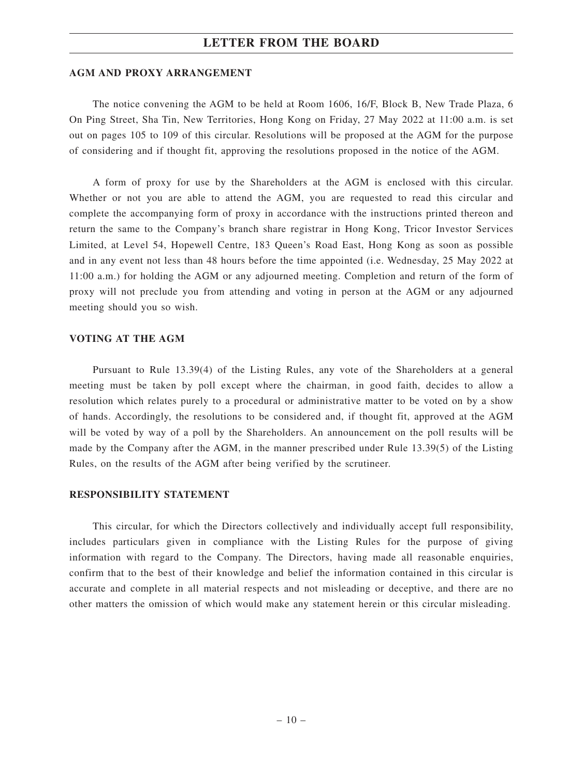#### **AGM AND PROXY ARRANGEMENT**

The notice convening the AGM to be held at Room 1606, 16/F, Block B, New Trade Plaza, 6 On Ping Street, Sha Tin, New Territories, Hong Kong on Friday, 27 May 2022 at 11:00 a.m. is set out on pages 105 to 109 of this circular. Resolutions will be proposed at the AGM for the purpose of considering and if thought fit, approving the resolutions proposed in the notice of the AGM.

A form of proxy for use by the Shareholders at the AGM is enclosed with this circular. Whether or not you are able to attend the AGM, you are requested to read this circular and complete the accompanying form of proxy in accordance with the instructions printed thereon and return the same to the Company's branch share registrar in Hong Kong, Tricor Investor Services Limited, at Level 54, Hopewell Centre, 183 Queen's Road East, Hong Kong as soon as possible and in any event not less than 48 hours before the time appointed (i.e. Wednesday, 25 May 2022 at 11:00 a.m.) for holding the AGM or any adjourned meeting. Completion and return of the form of proxy will not preclude you from attending and voting in person at the AGM or any adjourned meeting should you so wish.

#### **VOTING AT THE AGM**

Pursuant to Rule 13.39(4) of the Listing Rules, any vote of the Shareholders at a general meeting must be taken by poll except where the chairman, in good faith, decides to allow a resolution which relates purely to a procedural or administrative matter to be voted on by a show of hands. Accordingly, the resolutions to be considered and, if thought fit, approved at the AGM will be voted by way of a poll by the Shareholders. An announcement on the poll results will be made by the Company after the AGM, in the manner prescribed under Rule 13.39(5) of the Listing Rules, on the results of the AGM after being verified by the scrutineer.

#### **RESPONSIBILITY STATEMENT**

This circular, for which the Directors collectively and individually accept full responsibility, includes particulars given in compliance with the Listing Rules for the purpose of giving information with regard to the Company. The Directors, having made all reasonable enquiries, confirm that to the best of their knowledge and belief the information contained in this circular is accurate and complete in all material respects and not misleading or deceptive, and there are no other matters the omission of which would make any statement herein or this circular misleading.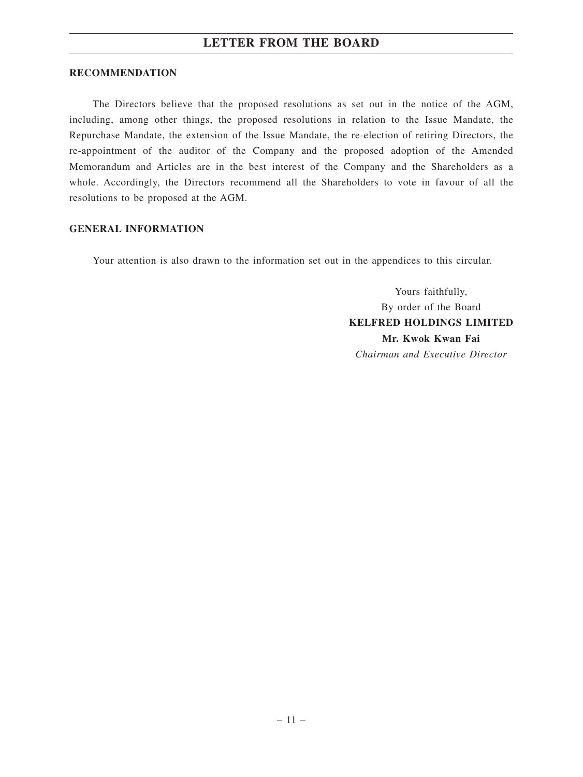#### **RECOMMENDATION**

The Directors believe that the proposed resolutions as set out in the notice of the AGM, including, among other things, the proposed resolutions in relation to the Issue Mandate, the Repurchase Mandate, the extension of the Issue Mandate, the re-election of retiring Directors, the re-appointment of the auditor of the Company and the proposed adoption of the Amended Memorandum and Articles are in the best interest of the Company and the Shareholders as a whole. Accordingly, the Directors recommend all the Shareholders to vote in favour of all the resolutions to be proposed at the AGM.

#### **GENERAL INFORMATION**

Your attention is also drawn to the information set out in the appendices to this circular.

Yours faithfully, By order of the Board **KELFRED HOLDINGS LIMITED Mr. Kwok Kwan Fai** *Chairman and Executive Director*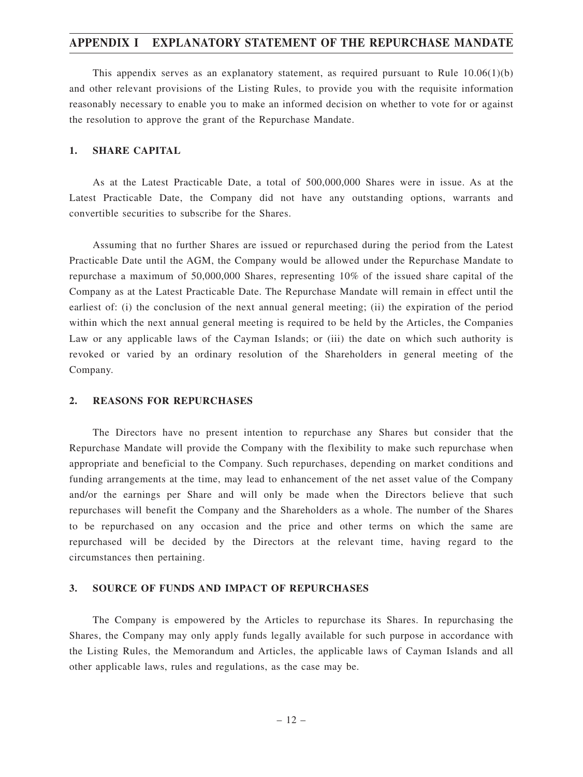### **APPENDIX I EXPLANATORY STATEMENT OF THE REPURCHASE MANDATE**

This appendix serves as an explanatory statement, as required pursuant to Rule  $10.06(1)(b)$ and other relevant provisions of the Listing Rules, to provide you with the requisite information reasonably necessary to enable you to make an informed decision on whether to vote for or against the resolution to approve the grant of the Repurchase Mandate.

#### **1. SHARE CAPITAL**

As at the Latest Practicable Date, a total of 500,000,000 Shares were in issue. As at the Latest Practicable Date, the Company did not have any outstanding options, warrants and convertible securities to subscribe for the Shares.

Assuming that no further Shares are issued or repurchased during the period from the Latest Practicable Date until the AGM, the Company would be allowed under the Repurchase Mandate to repurchase a maximum of 50,000,000 Shares, representing 10% of the issued share capital of the Company as at the Latest Practicable Date. The Repurchase Mandate will remain in effect until the earliest of: (i) the conclusion of the next annual general meeting; (ii) the expiration of the period within which the next annual general meeting is required to be held by the Articles, the Companies Law or any applicable laws of the Cayman Islands; or (iii) the date on which such authority is revoked or varied by an ordinary resolution of the Shareholders in general meeting of the Company.

#### **2. REASONS FOR REPURCHASES**

The Directors have no present intention to repurchase any Shares but consider that the Repurchase Mandate will provide the Company with the flexibility to make such repurchase when appropriate and beneficial to the Company. Such repurchases, depending on market conditions and funding arrangements at the time, may lead to enhancement of the net asset value of the Company and/or the earnings per Share and will only be made when the Directors believe that such repurchases will benefit the Company and the Shareholders as a whole. The number of the Shares to be repurchased on any occasion and the price and other terms on which the same are repurchased will be decided by the Directors at the relevant time, having regard to the circumstances then pertaining.

#### **3. SOURCE OF FUNDS AND IMPACT OF REPURCHASES**

The Company is empowered by the Articles to repurchase its Shares. In repurchasing the Shares, the Company may only apply funds legally available for such purpose in accordance with the Listing Rules, the Memorandum and Articles, the applicable laws of Cayman Islands and all other applicable laws, rules and regulations, as the case may be.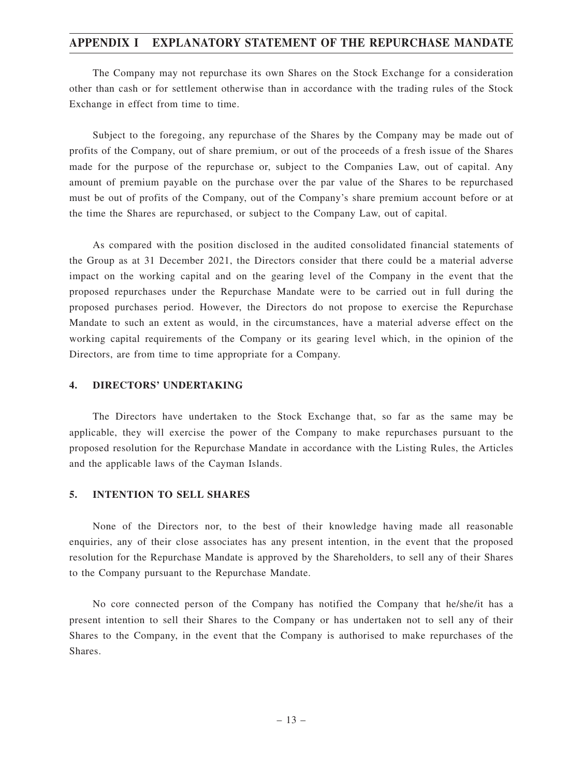### **APPENDIX I EXPLANATORY STATEMENT OF THE REPURCHASE MANDATE**

The Company may not repurchase its own Shares on the Stock Exchange for a consideration other than cash or for settlement otherwise than in accordance with the trading rules of the Stock Exchange in effect from time to time.

Subject to the foregoing, any repurchase of the Shares by the Company may be made out of profits of the Company, out of share premium, or out of the proceeds of a fresh issue of the Shares made for the purpose of the repurchase or, subject to the Companies Law, out of capital. Any amount of premium payable on the purchase over the par value of the Shares to be repurchased must be out of profits of the Company, out of the Company's share premium account before or at the time the Shares are repurchased, or subject to the Company Law, out of capital.

As compared with the position disclosed in the audited consolidated financial statements of the Group as at 31 December 2021, the Directors consider that there could be a material adverse impact on the working capital and on the gearing level of the Company in the event that the proposed repurchases under the Repurchase Mandate were to be carried out in full during the proposed purchases period. However, the Directors do not propose to exercise the Repurchase Mandate to such an extent as would, in the circumstances, have a material adverse effect on the working capital requirements of the Company or its gearing level which, in the opinion of the Directors, are from time to time appropriate for a Company.

### **4. DIRECTORS' UNDERTAKING**

The Directors have undertaken to the Stock Exchange that, so far as the same may be applicable, they will exercise the power of the Company to make repurchases pursuant to the proposed resolution for the Repurchase Mandate in accordance with the Listing Rules, the Articles and the applicable laws of the Cayman Islands.

#### **5. INTENTION TO SELL SHARES**

None of the Directors nor, to the best of their knowledge having made all reasonable enquiries, any of their close associates has any present intention, in the event that the proposed resolution for the Repurchase Mandate is approved by the Shareholders, to sell any of their Shares to the Company pursuant to the Repurchase Mandate.

No core connected person of the Company has notified the Company that he/she/it has a present intention to sell their Shares to the Company or has undertaken not to sell any of their Shares to the Company, in the event that the Company is authorised to make repurchases of the Shares.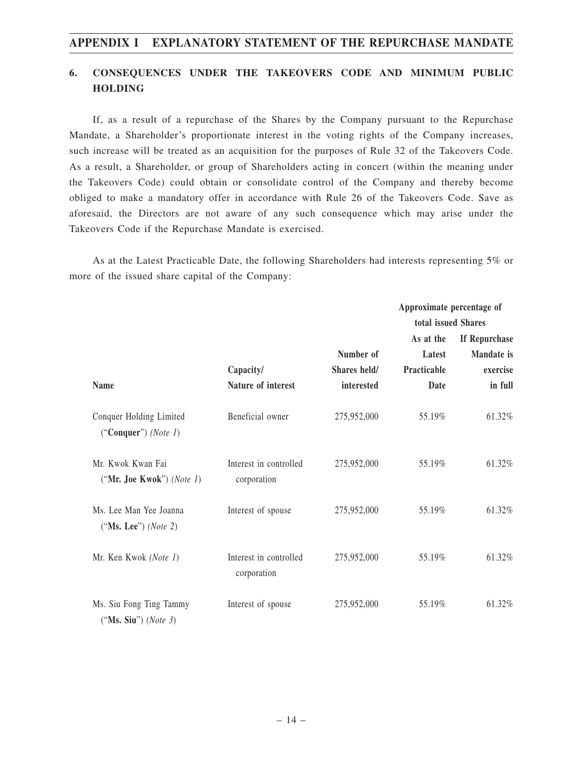## **6. CONSEQUENCES UNDER THE TAKEOVERS CODE AND MINIMUM PUBLIC HOLDING**

If, as a result of a repurchase of the Shares by the Company pursuant to the Repurchase Mandate, a Shareholder's proportionate interest in the voting rights of the Company increases, such increase will be treated as an acquisition for the purposes of Rule 32 of the Takeovers Code. As a result, a Shareholder, or group of Shareholders acting in concert (within the meaning under the Takeovers Code) could obtain or consolidate control of the Company and thereby become obliged to make a mandatory offer in accordance with Rule 26 of the Takeovers Code. Save as aforesaid, the Directors are not aware of any such consequence which may arise under the Takeovers Code if the Repurchase Mandate is exercised.

As at the Latest Practicable Date, the following Shareholders had interests representing 5% or more of the issued share capital of the Company:

|                                                        |                                       |              | Approximate percentage of |                   |
|--------------------------------------------------------|---------------------------------------|--------------|---------------------------|-------------------|
|                                                        |                                       |              | total issued Shares       |                   |
|                                                        |                                       |              | As at the                 | If Repurchase     |
|                                                        |                                       | Number of    | Latest                    | <b>Mandate</b> is |
|                                                        | Capacity/                             | Shares held/ | Practicable               | exercise          |
| <b>Name</b>                                            | Nature of interest                    | interested   | Date                      | in full           |
| Conquer Holding Limited<br>("Conquer") (Note 1)        | Beneficial owner                      | 275,952,000  | 55.19%                    | 61.32%            |
| Mr. Kwok Kwan Fai<br>("Mr. Joe Kwok") (Note 1)         | Interest in controlled<br>corporation | 275,952,000  | 55.19%                    | 61.32%            |
| Ms. Lee Man Yee Joanna<br>("Ms. Lee") ( <i>Note</i> 2) | Interest of spouse                    | 275,952,000  | 55.19%                    | 61.32%            |
| Mr. Ken Kwok (Note 1)                                  | Interest in controlled<br>corporation | 275,952,000  | 55.19%                    | 61.32%            |
| Ms. Siu Fong Ting Tammy<br>("Ms. Siu") (Note 3)        | Interest of spouse                    | 275,952,000  | 55.19%                    | 61.32%            |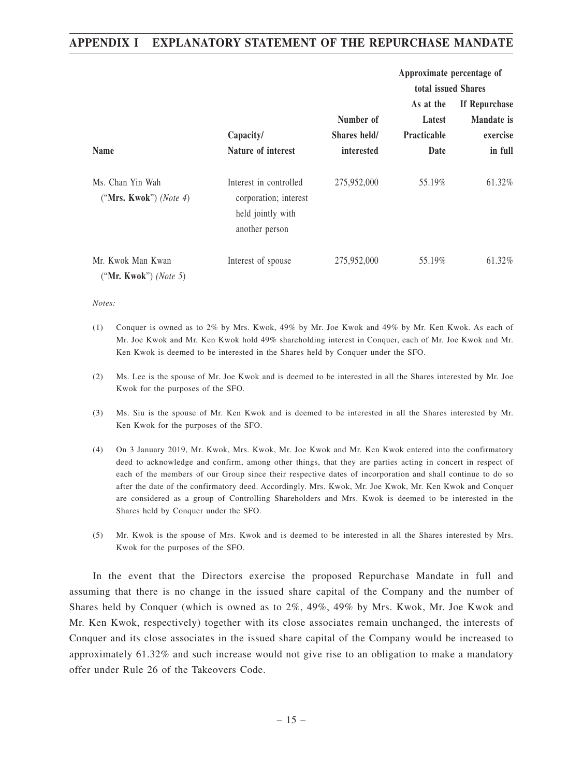## **APPENDIX I EXPLANATORY STATEMENT OF THE REPURCHASE MANDATE**

|                                            |                                                                                        |                           | Approximate percentage of                                        |                                         |
|--------------------------------------------|----------------------------------------------------------------------------------------|---------------------------|------------------------------------------------------------------|-----------------------------------------|
|                                            | Capacity/                                                                              | Number of<br>Shares held/ | total issued Shares<br>As at the<br>Latest<br><b>Practicable</b> | If Repurchase<br>Mandate is<br>exercise |
| <b>Name</b>                                | Nature of interest                                                                     | interested                | Date                                                             | in full                                 |
| Ms. Chan Yin Wah<br>("Mrs. Kwok") (Note 4) | Interest in controlled<br>corporation; interest<br>held jointly with<br>another person | 275,952,000               | 55.19%                                                           | 61.32%                                  |
| Mr. Kwok Man Kwan<br>("Mr. Kwok") (Note 5) | Interest of spouse                                                                     | 275,952,000               | 55.19%                                                           | 61.32%                                  |

*Notes:*

- (1) Conquer is owned as to 2% by Mrs. Kwok, 49% by Mr. Joe Kwok and 49% by Mr. Ken Kwok. As each of Mr. Joe Kwok and Mr. Ken Kwok hold 49% shareholding interest in Conquer, each of Mr. Joe Kwok and Mr. Ken Kwok is deemed to be interested in the Shares held by Conquer under the SFO.
- (2) Ms. Lee is the spouse of Mr. Joe Kwok and is deemed to be interested in all the Shares interested by Mr. Joe Kwok for the purposes of the SFO.
- (3) Ms. Siu is the spouse of Mr. Ken Kwok and is deemed to be interested in all the Shares interested by Mr. Ken Kwok for the purposes of the SFO.
- (4) On 3 January 2019, Mr. Kwok, Mrs. Kwok, Mr. Joe Kwok and Mr. Ken Kwok entered into the confirmatory deed to acknowledge and confirm, among other things, that they are parties acting in concert in respect of each of the members of our Group since their respective dates of incorporation and shall continue to do so after the date of the confirmatory deed. Accordingly. Mrs. Kwok, Mr. Joe Kwok, Mr. Ken Kwok and Conquer are considered as a group of Controlling Shareholders and Mrs. Kwok is deemed to be interested in the Shares held by Conquer under the SFO.
- (5) Mr. Kwok is the spouse of Mrs. Kwok and is deemed to be interested in all the Shares interested by Mrs. Kwok for the purposes of the SFO.

In the event that the Directors exercise the proposed Repurchase Mandate in full and assuming that there is no change in the issued share capital of the Company and the number of Shares held by Conquer (which is owned as to 2%, 49%, 49% by Mrs. Kwok, Mr. Joe Kwok and Mr. Ken Kwok, respectively) together with its close associates remain unchanged, the interests of Conquer and its close associates in the issued share capital of the Company would be increased to approximately 61.32% and such increase would not give rise to an obligation to make a mandatory offer under Rule 26 of the Takeovers Code.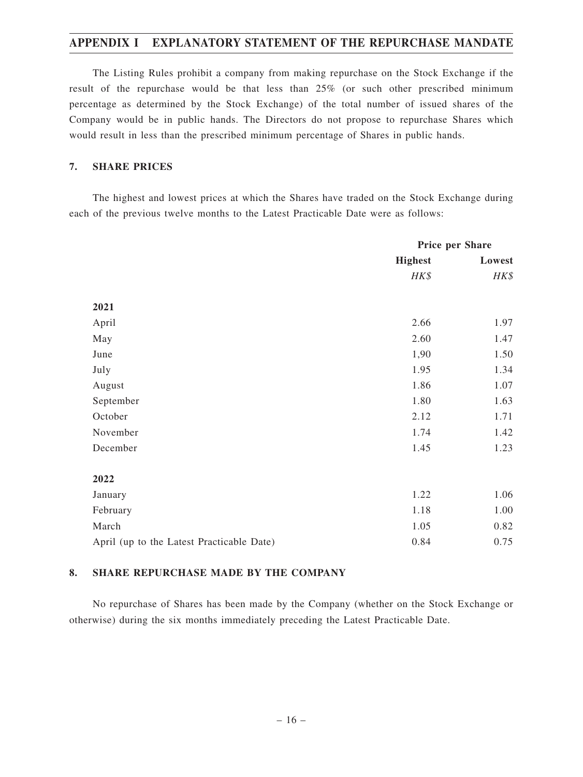## **APPENDIX I EXPLANATORY STATEMENT OF THE REPURCHASE MANDATE**

The Listing Rules prohibit a company from making repurchase on the Stock Exchange if the result of the repurchase would be that less than 25% (or such other prescribed minimum percentage as determined by the Stock Exchange) of the total number of issued shares of the Company would be in public hands. The Directors do not propose to repurchase Shares which would result in less than the prescribed minimum percentage of Shares in public hands.

#### **7. SHARE PRICES**

The highest and lowest prices at which the Shares have traded on the Stock Exchange during each of the previous twelve months to the Latest Practicable Date were as follows:

|                                           | Price per Share |        |
|-------------------------------------------|-----------------|--------|
|                                           | <b>Highest</b>  | Lowest |
|                                           | HK\$            | HK\$   |
| 2021                                      |                 |        |
|                                           |                 |        |
| April                                     | 2.66            | 1.97   |
| May                                       | 2.60            | 1.47   |
| June                                      | 1,90            | 1.50   |
| July                                      | 1.95            | 1.34   |
| August                                    | 1.86            | 1.07   |
| September                                 | 1.80            | 1.63   |
| October                                   | 2.12            | 1.71   |
| November                                  | 1.74            | 1.42   |
| December                                  | 1.45            | 1.23   |
| 2022                                      |                 |        |
| January                                   | 1.22            | 1.06   |
| February                                  | 1.18            | 1.00   |
| March                                     | 1.05            | 0.82   |
| April (up to the Latest Practicable Date) | 0.84            | 0.75   |

### **8. SHARE REPURCHASE MADE BY THE COMPANY**

No repurchase of Shares has been made by the Company (whether on the Stock Exchange or otherwise) during the six months immediately preceding the Latest Practicable Date.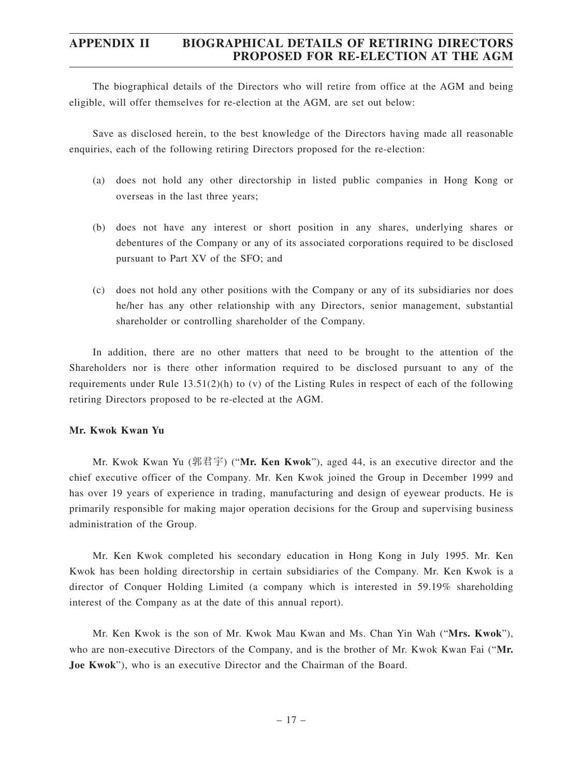The biographical details of the Directors who will retire from office at the AGM and being eligible, will offer themselves for re-election at the AGM, are set out below:

Save as disclosed herein, to the best knowledge of the Directors having made all reasonable enquiries, each of the following retiring Directors proposed for the re-election:

- (a) does not hold any other directorship in listed public companies in Hong Kong or overseas in the last three years;
- (b) does not have any interest or short position in any shares, underlying shares or debentures of the Company or any of its associated corporations required to be disclosed pursuant to Part XV of the SFO; and
- (c) does not hold any other positions with the Company or any of its subsidiaries nor does he/her has any other relationship with any Directors, senior management, substantial shareholder or controlling shareholder of the Company.

In addition, there are no other matters that need to be brought to the attention of the Shareholders nor is there other information required to be disclosed pursuant to any of the requirements under Rule 13.51(2)(h) to (v) of the Listing Rules in respect of each of the following retiring Directors proposed to be re-elected at the AGM.

#### **Mr. Kwok Kwan Yu**

Mr. Kwok Kwan Yu (郭君宇) ("**Mr. Ken Kwok**"), aged 44, is an executive director and the chief executive officer of the Company. Mr. Ken Kwok joined the Group in December 1999 and has over 19 years of experience in trading, manufacturing and design of eyewear products. He is primarily responsible for making major operation decisions for the Group and supervising business administration of the Group.

Mr. Ken Kwok completed his secondary education in Hong Kong in July 1995. Mr. Ken Kwok has been holding directorship in certain subsidiaries of the Company. Mr. Ken Kwok is a director of Conquer Holding Limited (a company which is interested in 59.19% shareholding interest of the Company as at the date of this annual report).

Mr. Ken Kwok is the son of Mr. Kwok Mau Kwan and Ms. Chan Yin Wah ("**Mrs. Kwok**"), who are non-executive Directors of the Company, and is the brother of Mr. Kwok Kwan Fai ("**Mr. Joe Kwok**"), who is an executive Director and the Chairman of the Board.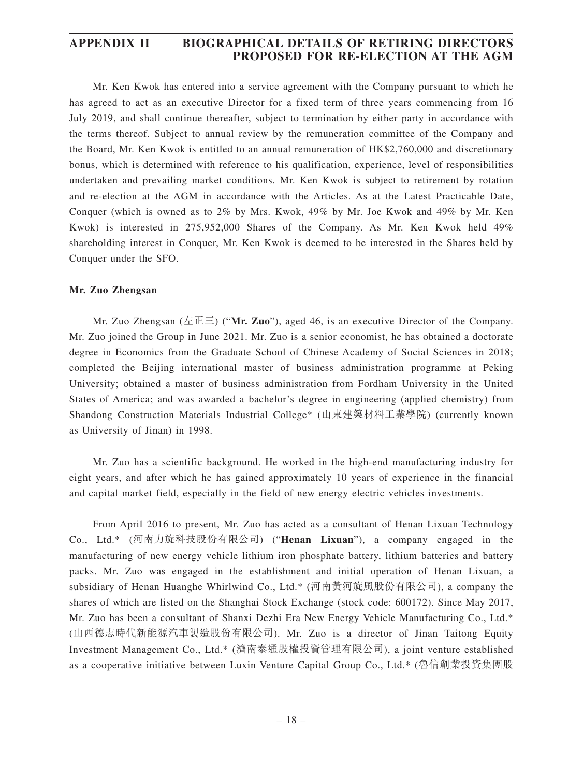Mr. Ken Kwok has entered into a service agreement with the Company pursuant to which he has agreed to act as an executive Director for a fixed term of three years commencing from 16 July 2019, and shall continue thereafter, subject to termination by either party in accordance with the terms thereof. Subject to annual review by the remuneration committee of the Company and the Board, Mr. Ken Kwok is entitled to an annual remuneration of HK\$2,760,000 and discretionary bonus, which is determined with reference to his qualification, experience, level of responsibilities undertaken and prevailing market conditions. Mr. Ken Kwok is subject to retirement by rotation and re-election at the AGM in accordance with the Articles. As at the Latest Practicable Date, Conquer (which is owned as to 2% by Mrs. Kwok, 49% by Mr. Joe Kwok and 49% by Mr. Ken Kwok) is interested in 275,952,000 Shares of the Company. As Mr. Ken Kwok held 49% shareholding interest in Conquer, Mr. Ken Kwok is deemed to be interested in the Shares held by Conquer under the SFO.

#### **Mr. Zuo Zhengsan**

Mr. Zuo Zhengsan (左正三) ("**Mr. Zuo**"), aged 46, is an executive Director of the Company. Mr. Zuo joined the Group in June 2021. Mr. Zuo is a senior economist, he has obtained a doctorate degree in Economics from the Graduate School of Chinese Academy of Social Sciences in 2018; completed the Beijing international master of business administration programme at Peking University; obtained a master of business administration from Fordham University in the United States of America; and was awarded a bachelor's degree in engineering (applied chemistry) from Shandong Construction Materials Industrial College\* (山東建築材料工業學院) (currently known as University of Jinan) in 1998.

Mr. Zuo has a scientific background. He worked in the high-end manufacturing industry for eight years, and after which he has gained approximately 10 years of experience in the financial and capital market field, especially in the field of new energy electric vehicles investments.

From April 2016 to present, Mr. Zuo has acted as a consultant of Henan Lixuan Technology Co., Ltd.\* (河南力旋科技股份有限公司) ("**Henan Lixuan**"), a company engaged in the manufacturing of new energy vehicle lithium iron phosphate battery, lithium batteries and battery packs. Mr. Zuo was engaged in the establishment and initial operation of Henan Lixuan, a subsidiary of Henan Huanghe Whirlwind Co., Ltd.\* (河南黃河旋風股份有限公司), a company the shares of which are listed on the Shanghai Stock Exchange (stock code: 600172). Since May 2017, Mr. Zuo has been a consultant of Shanxi Dezhi Era New Energy Vehicle Manufacturing Co., Ltd.\* (山西德志時代新能源汽車製造股份有限公司). Mr. Zuo is a director of Jinan Taitong Equity Investment Management Co., Ltd.\* (濟南泰通股權投資管理有限公司), a joint venture established as a cooperative initiative between Luxin Venture Capital Group Co., Ltd.\* (魯信創業投資集團股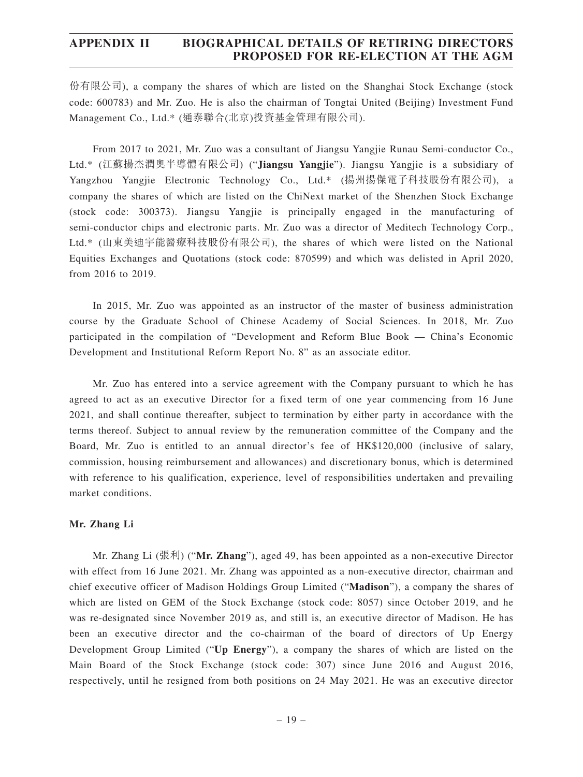份有限公司), a company the shares of which are listed on the Shanghai Stock Exchange (stock code: 600783) and Mr. Zuo. He is also the chairman of Tongtai United (Beijing) Investment Fund Management Co., Ltd.\* (通泰聯合(北京)投資基金管理有限公司).

From 2017 to 2021, Mr. Zuo was a consultant of Jiangsu Yangjie Runau Semi-conductor Co., Ltd.\* (江蘇揚杰潤奧半導體有限公司) ("**Jiangsu Yangjie**"). Jiangsu Yangjie is a subsidiary of Yangzhou Yangjie Electronic Technology Co., Ltd.\* (揚州揚傑電子科技股份有限公司), a company the shares of which are listed on the ChiNext market of the Shenzhen Stock Exchange (stock code: 300373). Jiangsu Yangjie is principally engaged in the manufacturing of semi-conductor chips and electronic parts. Mr. Zuo was a director of Meditech Technology Corp., Ltd.\* (山東美迪宇能醫療科技股份有限公司), the shares of which were listed on the National Equities Exchanges and Quotations (stock code: 870599) and which was delisted in April 2020, from 2016 to 2019.

In 2015, Mr. Zuo was appointed as an instructor of the master of business administration course by the Graduate School of Chinese Academy of Social Sciences. In 2018, Mr. Zuo participated in the compilation of "Development and Reform Blue Book — China's Economic Development and Institutional Reform Report No. 8" as an associate editor.

Mr. Zuo has entered into a service agreement with the Company pursuant to which he has agreed to act as an executive Director for a fixed term of one year commencing from 16 June 2021, and shall continue thereafter, subject to termination by either party in accordance with the terms thereof. Subject to annual review by the remuneration committee of the Company and the Board, Mr. Zuo is entitled to an annual director's fee of HK\$120,000 (inclusive of salary, commission, housing reimbursement and allowances) and discretionary bonus, which is determined with reference to his qualification, experience, level of responsibilities undertaken and prevailing market conditions.

#### **Mr. Zhang Li**

Mr. Zhang Li (張利) ("**Mr. Zhang**"), aged 49, has been appointed as a non-executive Director with effect from 16 June 2021. Mr. Zhang was appointed as a non-executive director, chairman and chief executive officer of Madison Holdings Group Limited ("**Madison**"), a company the shares of which are listed on GEM of the Stock Exchange (stock code: 8057) since October 2019, and he was re-designated since November 2019 as, and still is, an executive director of Madison. He has been an executive director and the co-chairman of the board of directors of Up Energy Development Group Limited ("**Up Energy**"), a company the shares of which are listed on the Main Board of the Stock Exchange (stock code: 307) since June 2016 and August 2016, respectively, until he resigned from both positions on 24 May 2021. He was an executive director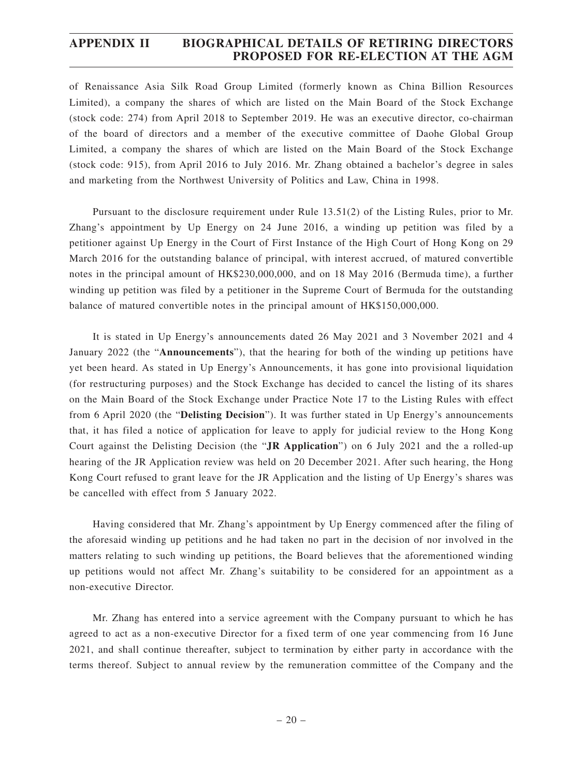of Renaissance Asia Silk Road Group Limited (formerly known as China Billion Resources Limited), a company the shares of which are listed on the Main Board of the Stock Exchange (stock code: 274) from April 2018 to September 2019. He was an executive director, co-chairman of the board of directors and a member of the executive committee of Daohe Global Group Limited, a company the shares of which are listed on the Main Board of the Stock Exchange (stock code: 915), from April 2016 to July 2016. Mr. Zhang obtained a bachelor's degree in sales and marketing from the Northwest University of Politics and Law, China in 1998.

Pursuant to the disclosure requirement under Rule 13.51(2) of the Listing Rules, prior to Mr. Zhang's appointment by Up Energy on 24 June 2016, a winding up petition was filed by a petitioner against Up Energy in the Court of First Instance of the High Court of Hong Kong on 29 March 2016 for the outstanding balance of principal, with interest accrued, of matured convertible notes in the principal amount of HK\$230,000,000, and on 18 May 2016 (Bermuda time), a further winding up petition was filed by a petitioner in the Supreme Court of Bermuda for the outstanding balance of matured convertible notes in the principal amount of HK\$150,000,000.

It is stated in Up Energy's announcements dated 26 May 2021 and 3 November 2021 and 4 January 2022 (the "**Announcements**"), that the hearing for both of the winding up petitions have yet been heard. As stated in Up Energy's Announcements, it has gone into provisional liquidation (for restructuring purposes) and the Stock Exchange has decided to cancel the listing of its shares on the Main Board of the Stock Exchange under Practice Note 17 to the Listing Rules with effect from 6 April 2020 (the "**Delisting Decision**"). It was further stated in Up Energy's announcements that, it has filed a notice of application for leave to apply for judicial review to the Hong Kong Court against the Delisting Decision (the "**JR Application**") on 6 July 2021 and the a rolled-up hearing of the JR Application review was held on 20 December 2021. After such hearing, the Hong Kong Court refused to grant leave for the JR Application and the listing of Up Energy's shares was be cancelled with effect from 5 January 2022.

Having considered that Mr. Zhang's appointment by Up Energy commenced after the filing of the aforesaid winding up petitions and he had taken no part in the decision of nor involved in the matters relating to such winding up petitions, the Board believes that the aforementioned winding up petitions would not affect Mr. Zhang's suitability to be considered for an appointment as a non-executive Director.

Mr. Zhang has entered into a service agreement with the Company pursuant to which he has agreed to act as a non-executive Director for a fixed term of one year commencing from 16 June 2021, and shall continue thereafter, subject to termination by either party in accordance with the terms thereof. Subject to annual review by the remuneration committee of the Company and the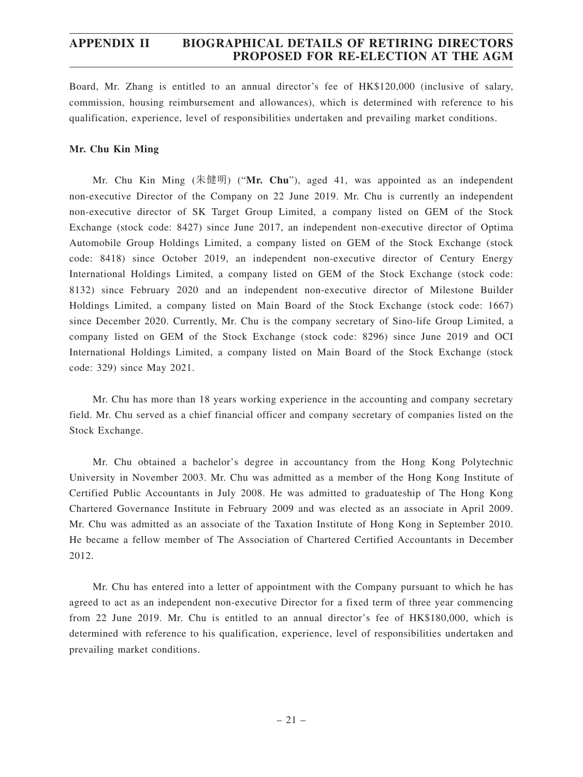Board, Mr. Zhang is entitled to an annual director's fee of HK\$120,000 (inclusive of salary, commission, housing reimbursement and allowances), which is determined with reference to his qualification, experience, level of responsibilities undertaken and prevailing market conditions.

### **Mr. Chu Kin Ming**

Mr. Chu Kin Ming (朱健明) ("**Mr. Chu**"), aged 41, was appointed as an independent non-executive Director of the Company on 22 June 2019. Mr. Chu is currently an independent non-executive director of SK Target Group Limited, a company listed on GEM of the Stock Exchange (stock code: 8427) since June 2017, an independent non-executive director of Optima Automobile Group Holdings Limited, a company listed on GEM of the Stock Exchange (stock code: 8418) since October 2019, an independent non-executive director of Century Energy International Holdings Limited, a company listed on GEM of the Stock Exchange (stock code: 8132) since February 2020 and an independent non-executive director of Milestone Builder Holdings Limited, a company listed on Main Board of the Stock Exchange (stock code: 1667) since December 2020. Currently, Mr. Chu is the company secretary of Sino-life Group Limited, a company listed on GEM of the Stock Exchange (stock code: 8296) since June 2019 and OCI International Holdings Limited, a company listed on Main Board of the Stock Exchange (stock code: 329) since May 2021.

Mr. Chu has more than 18 years working experience in the accounting and company secretary field. Mr. Chu served as a chief financial officer and company secretary of companies listed on the Stock Exchange.

Mr. Chu obtained a bachelor's degree in accountancy from the Hong Kong Polytechnic University in November 2003. Mr. Chu was admitted as a member of the Hong Kong Institute of Certified Public Accountants in July 2008. He was admitted to graduateship of The Hong Kong Chartered Governance Institute in February 2009 and was elected as an associate in April 2009. Mr. Chu was admitted as an associate of the Taxation Institute of Hong Kong in September 2010. He became a fellow member of The Association of Chartered Certified Accountants in December 2012.

Mr. Chu has entered into a letter of appointment with the Company pursuant to which he has agreed to act as an independent non-executive Director for a fixed term of three year commencing from 22 June 2019. Mr. Chu is entitled to an annual director's fee of HK\$180,000, which is determined with reference to his qualification, experience, level of responsibilities undertaken and prevailing market conditions.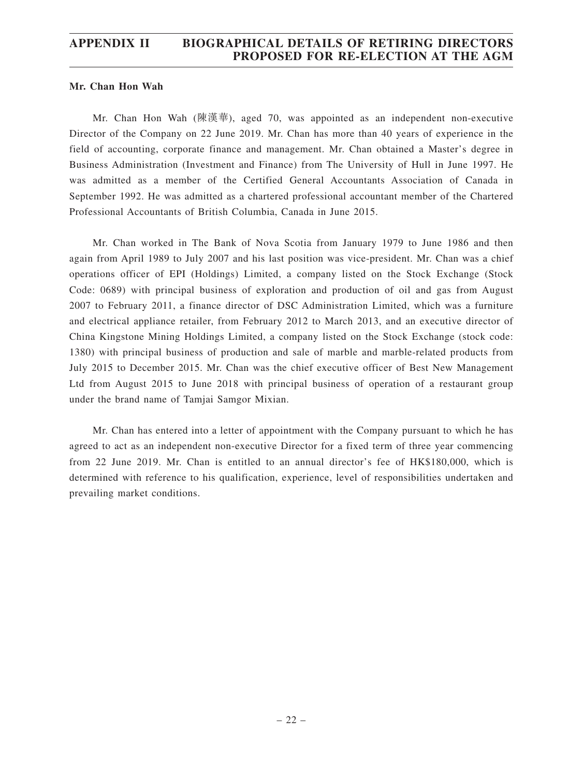#### **Mr. Chan Hon Wah**

Mr. Chan Hon Wah (陳漢華), aged 70, was appointed as an independent non-executive Director of the Company on 22 June 2019. Mr. Chan has more than 40 years of experience in the field of accounting, corporate finance and management. Mr. Chan obtained a Master's degree in Business Administration (Investment and Finance) from The University of Hull in June 1997. He was admitted as a member of the Certified General Accountants Association of Canada in September 1992. He was admitted as a chartered professional accountant member of the Chartered Professional Accountants of British Columbia, Canada in June 2015.

Mr. Chan worked in The Bank of Nova Scotia from January 1979 to June 1986 and then again from April 1989 to July 2007 and his last position was vice-president. Mr. Chan was a chief operations officer of EPI (Holdings) Limited, a company listed on the Stock Exchange (Stock Code: 0689) with principal business of exploration and production of oil and gas from August 2007 to February 2011, a finance director of DSC Administration Limited, which was a furniture and electrical appliance retailer, from February 2012 to March 2013, and an executive director of China Kingstone Mining Holdings Limited, a company listed on the Stock Exchange (stock code: 1380) with principal business of production and sale of marble and marble-related products from July 2015 to December 2015. Mr. Chan was the chief executive officer of Best New Management Ltd from August 2015 to June 2018 with principal business of operation of a restaurant group under the brand name of Tamjai Samgor Mixian.

Mr. Chan has entered into a letter of appointment with the Company pursuant to which he has agreed to act as an independent non-executive Director for a fixed term of three year commencing from 22 June 2019. Mr. Chan is entitled to an annual director's fee of HK\$180,000, which is determined with reference to his qualification, experience, level of responsibilities undertaken and prevailing market conditions.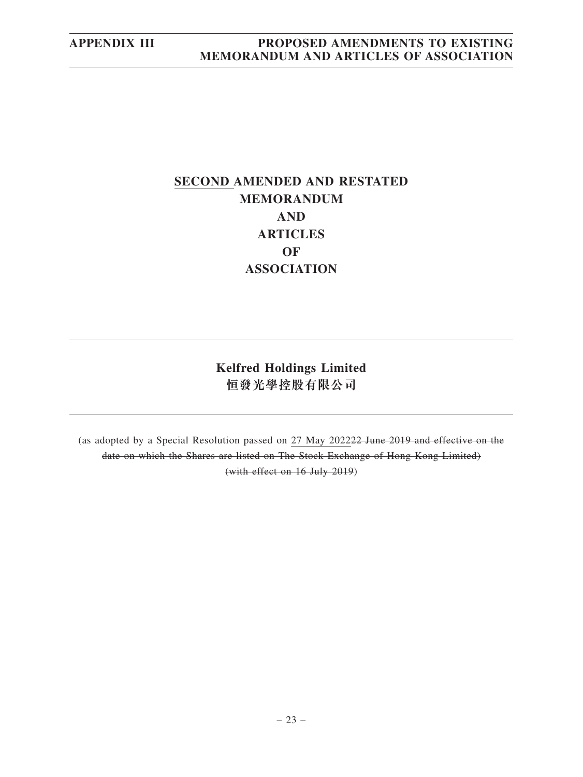# **SECOND AMENDED AND RESTATED MEMORANDUM AND ARTICLES OF ASSOCIATION**

**Kelfred Holdings Limited 恒發光學控股有限公司**

(as adopted by a Special Resolution passed on 27 May 202222 June 2019 and effective on the date on which the Shares are listed on The Stock Exchange of Hong Kong Limited) (with effect on 16 July 2019)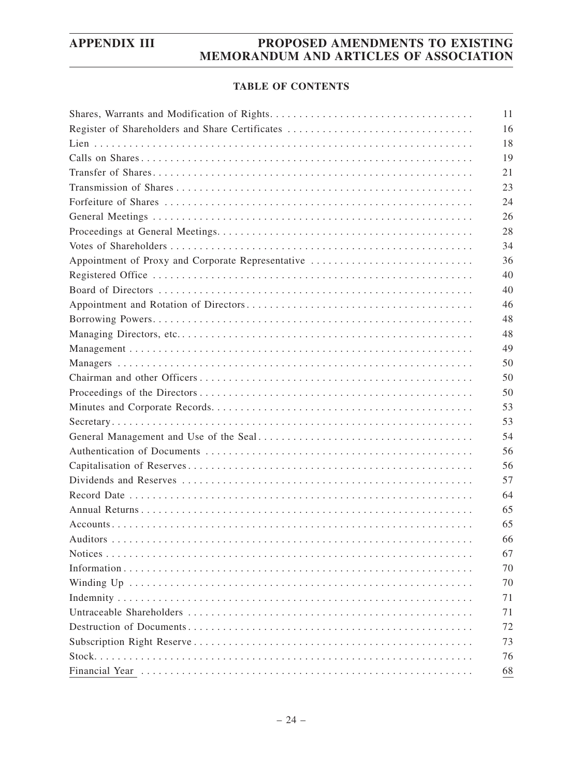### **TABLE OF CONTENTS**

|                                                   | 11 |
|---------------------------------------------------|----|
| Register of Shareholders and Share Certificates   | 16 |
|                                                   | 18 |
|                                                   | 19 |
|                                                   | 21 |
|                                                   | 23 |
|                                                   | 24 |
|                                                   | 26 |
|                                                   | 28 |
|                                                   | 34 |
| Appointment of Proxy and Corporate Representative | 36 |
|                                                   | 40 |
|                                                   | 40 |
|                                                   | 46 |
|                                                   | 48 |
|                                                   | 48 |
|                                                   | 49 |
|                                                   | 50 |
|                                                   | 50 |
|                                                   | 50 |
|                                                   | 53 |
|                                                   | 53 |
|                                                   | 54 |
|                                                   | 56 |
|                                                   | 56 |
|                                                   | 57 |
|                                                   | 64 |
|                                                   | 65 |
|                                                   | 65 |
|                                                   | 66 |
|                                                   | 67 |
|                                                   | 70 |
|                                                   | 70 |
|                                                   | 71 |
|                                                   | 71 |
|                                                   | 72 |
|                                                   | 73 |
|                                                   | 76 |
|                                                   | 68 |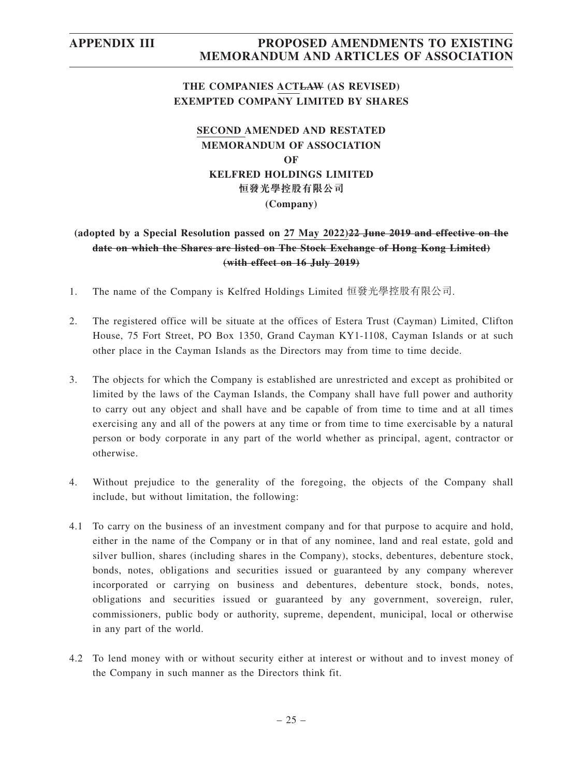## **THE COMPANIES ACTLAW (AS REVISED) EXEMPTED COMPANY LIMITED BY SHARES**

## **SECOND AMENDED AND RESTATED MEMORANDUM OF ASSOCIATION OF KELFRED HOLDINGS LIMITED 恒發光學控股有限公司 (Company)**

## **(adopted by a Special Resolution passed on 27 May 2022)22 June 2019 and effective on the date on which the Shares are listed on The Stock Exchange of Hong Kong Limited) (with effect on 16 July 2019)**

- 1. The name of the Company is Kelfred Holdings Limited 恒發光學控股有限公司.
- 2. The registered office will be situate at the offices of Estera Trust (Cayman) Limited, Clifton House, 75 Fort Street, PO Box 1350, Grand Cayman KY1-1108, Cayman Islands or at such other place in the Cayman Islands as the Directors may from time to time decide.
- 3. The objects for which the Company is established are unrestricted and except as prohibited or limited by the laws of the Cayman Islands, the Company shall have full power and authority to carry out any object and shall have and be capable of from time to time and at all times exercising any and all of the powers at any time or from time to time exercisable by a natural person or body corporate in any part of the world whether as principal, agent, contractor or otherwise.
- 4. Without prejudice to the generality of the foregoing, the objects of the Company shall include, but without limitation, the following:
- 4.1 To carry on the business of an investment company and for that purpose to acquire and hold, either in the name of the Company or in that of any nominee, land and real estate, gold and silver bullion, shares (including shares in the Company), stocks, debentures, debenture stock, bonds, notes, obligations and securities issued or guaranteed by any company wherever incorporated or carrying on business and debentures, debenture stock, bonds, notes, obligations and securities issued or guaranteed by any government, sovereign, ruler, commissioners, public body or authority, supreme, dependent, municipal, local or otherwise in any part of the world.
- 4.2 To lend money with or without security either at interest or without and to invest money of the Company in such manner as the Directors think fit.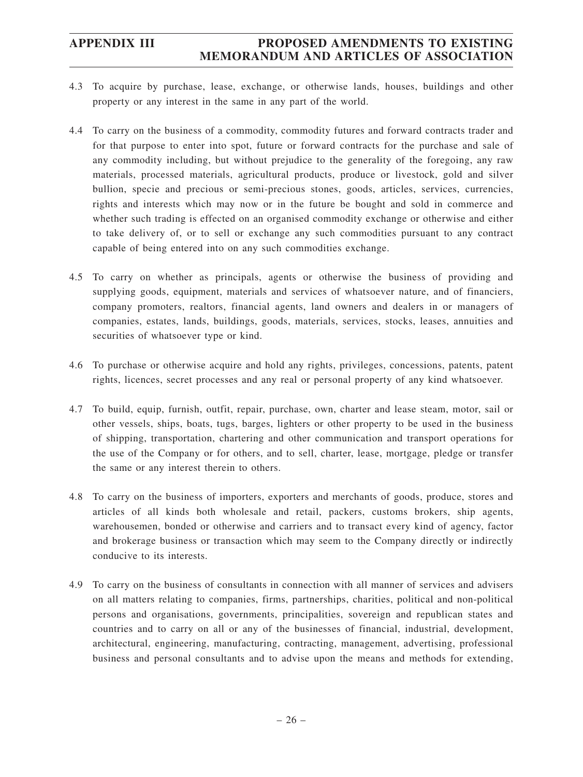- 4.3 To acquire by purchase, lease, exchange, or otherwise lands, houses, buildings and other property or any interest in the same in any part of the world.
- 4.4 To carry on the business of a commodity, commodity futures and forward contracts trader and for that purpose to enter into spot, future or forward contracts for the purchase and sale of any commodity including, but without prejudice to the generality of the foregoing, any raw materials, processed materials, agricultural products, produce or livestock, gold and silver bullion, specie and precious or semi-precious stones, goods, articles, services, currencies, rights and interests which may now or in the future be bought and sold in commerce and whether such trading is effected on an organised commodity exchange or otherwise and either to take delivery of, or to sell or exchange any such commodities pursuant to any contract capable of being entered into on any such commodities exchange.
- 4.5 To carry on whether as principals, agents or otherwise the business of providing and supplying goods, equipment, materials and services of whatsoever nature, and of financiers, company promoters, realtors, financial agents, land owners and dealers in or managers of companies, estates, lands, buildings, goods, materials, services, stocks, leases, annuities and securities of whatsoever type or kind.
- 4.6 To purchase or otherwise acquire and hold any rights, privileges, concessions, patents, patent rights, licences, secret processes and any real or personal property of any kind whatsoever.
- 4.7 To build, equip, furnish, outfit, repair, purchase, own, charter and lease steam, motor, sail or other vessels, ships, boats, tugs, barges, lighters or other property to be used in the business of shipping, transportation, chartering and other communication and transport operations for the use of the Company or for others, and to sell, charter, lease, mortgage, pledge or transfer the same or any interest therein to others.
- 4.8 To carry on the business of importers, exporters and merchants of goods, produce, stores and articles of all kinds both wholesale and retail, packers, customs brokers, ship agents, warehousemen, bonded or otherwise and carriers and to transact every kind of agency, factor and brokerage business or transaction which may seem to the Company directly or indirectly conducive to its interests.
- 4.9 To carry on the business of consultants in connection with all manner of services and advisers on all matters relating to companies, firms, partnerships, charities, political and non-political persons and organisations, governments, principalities, sovereign and republican states and countries and to carry on all or any of the businesses of financial, industrial, development, architectural, engineering, manufacturing, contracting, management, advertising, professional business and personal consultants and to advise upon the means and methods for extending,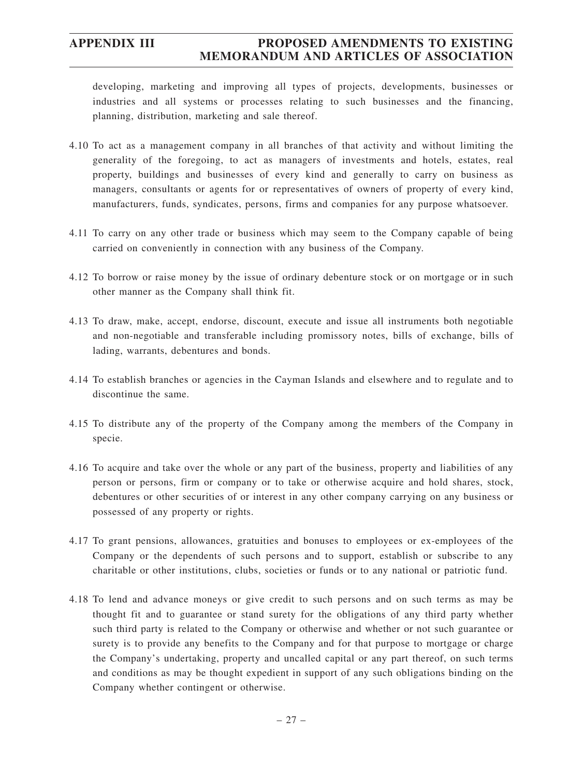developing, marketing and improving all types of projects, developments, businesses or industries and all systems or processes relating to such businesses and the financing, planning, distribution, marketing and sale thereof.

- 4.10 To act as a management company in all branches of that activity and without limiting the generality of the foregoing, to act as managers of investments and hotels, estates, real property, buildings and businesses of every kind and generally to carry on business as managers, consultants or agents for or representatives of owners of property of every kind, manufacturers, funds, syndicates, persons, firms and companies for any purpose whatsoever.
- 4.11 To carry on any other trade or business which may seem to the Company capable of being carried on conveniently in connection with any business of the Company.
- 4.12 To borrow or raise money by the issue of ordinary debenture stock or on mortgage or in such other manner as the Company shall think fit.
- 4.13 To draw, make, accept, endorse, discount, execute and issue all instruments both negotiable and non-negotiable and transferable including promissory notes, bills of exchange, bills of lading, warrants, debentures and bonds.
- 4.14 To establish branches or agencies in the Cayman Islands and elsewhere and to regulate and to discontinue the same.
- 4.15 To distribute any of the property of the Company among the members of the Company in specie.
- 4.16 To acquire and take over the whole or any part of the business, property and liabilities of any person or persons, firm or company or to take or otherwise acquire and hold shares, stock, debentures or other securities of or interest in any other company carrying on any business or possessed of any property or rights.
- 4.17 To grant pensions, allowances, gratuities and bonuses to employees or ex-employees of the Company or the dependents of such persons and to support, establish or subscribe to any charitable or other institutions, clubs, societies or funds or to any national or patriotic fund.
- 4.18 To lend and advance moneys or give credit to such persons and on such terms as may be thought fit and to guarantee or stand surety for the obligations of any third party whether such third party is related to the Company or otherwise and whether or not such guarantee or surety is to provide any benefits to the Company and for that purpose to mortgage or charge the Company's undertaking, property and uncalled capital or any part thereof, on such terms and conditions as may be thought expedient in support of any such obligations binding on the Company whether contingent or otherwise.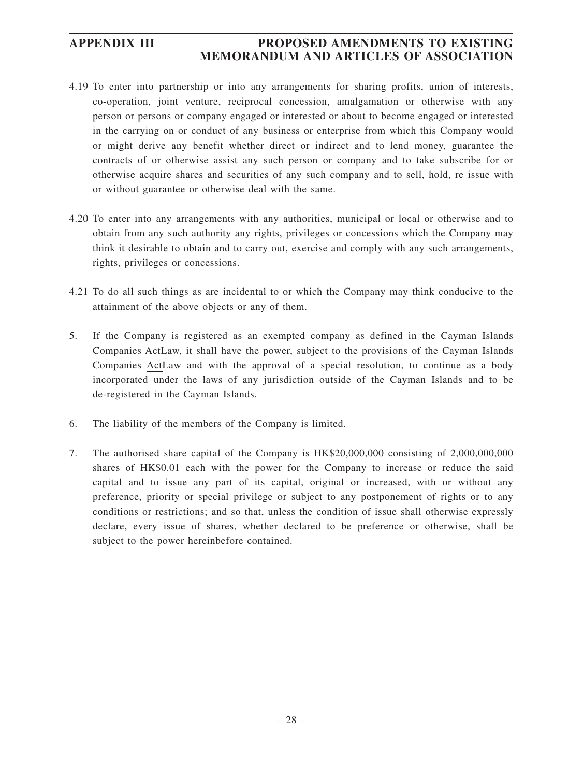- 4.19 To enter into partnership or into any arrangements for sharing profits, union of interests, co-operation, joint venture, reciprocal concession, amalgamation or otherwise with any person or persons or company engaged or interested or about to become engaged or interested in the carrying on or conduct of any business or enterprise from which this Company would or might derive any benefit whether direct or indirect and to lend money, guarantee the contracts of or otherwise assist any such person or company and to take subscribe for or otherwise acquire shares and securities of any such company and to sell, hold, re issue with or without guarantee or otherwise deal with the same.
- 4.20 To enter into any arrangements with any authorities, municipal or local or otherwise and to obtain from any such authority any rights, privileges or concessions which the Company may think it desirable to obtain and to carry out, exercise and comply with any such arrangements, rights, privileges or concessions.
- 4.21 To do all such things as are incidental to or which the Company may think conducive to the attainment of the above objects or any of them.
- 5. If the Company is registered as an exempted company as defined in the Cayman Islands Companies ActLaw, it shall have the power, subject to the provisions of the Cayman Islands Companies ActLaw and with the approval of a special resolution, to continue as a body incorporated under the laws of any jurisdiction outside of the Cayman Islands and to be de-registered in the Cayman Islands.
- 6. The liability of the members of the Company is limited.
- 7. The authorised share capital of the Company is HK\$20,000,000 consisting of 2,000,000,000 shares of HK\$0.01 each with the power for the Company to increase or reduce the said capital and to issue any part of its capital, original or increased, with or without any preference, priority or special privilege or subject to any postponement of rights or to any conditions or restrictions; and so that, unless the condition of issue shall otherwise expressly declare, every issue of shares, whether declared to be preference or otherwise, shall be subject to the power hereinbefore contained.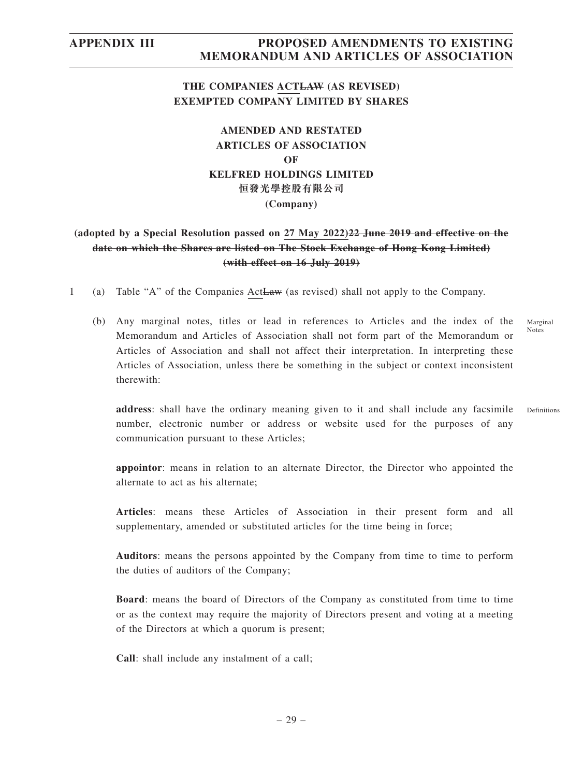## **THE COMPANIES ACTLAW (AS REVISED) EXEMPTED COMPANY LIMITED BY SHARES**

## **AMENDED AND RESTATED ARTICLES OF ASSOCIATION OF KELFRED HOLDINGS LIMITED 恒發光學控股有限公司 (Company)**

## **(adopted by a Special Resolution passed on 27 May 2022)22 June 2019 and effective on the date on which the Shares are listed on The Stock Exchange of Hong Kong Limited) (with effect on 16 July 2019)**

- 1 (a) Table "A" of the Companies ActLaw (as revised) shall not apply to the Company.
	- (b) Any marginal notes, titles or lead in references to Articles and the index of the Memorandum and Articles of Association shall not form part of the Memorandum or Articles of Association and shall not affect their interpretation. In interpreting these Articles of Association, unless there be something in the subject or context inconsistent therewith:

Marginal Notes

Definitions

**address**: shall have the ordinary meaning given to it and shall include any facsimile number, electronic number or address or website used for the purposes of any communication pursuant to these Articles;

**appointor**: means in relation to an alternate Director, the Director who appointed the alternate to act as his alternate;

**Articles**: means these Articles of Association in their present form and all supplementary, amended or substituted articles for the time being in force;

**Auditors**: means the persons appointed by the Company from time to time to perform the duties of auditors of the Company;

**Board**: means the board of Directors of the Company as constituted from time to time or as the context may require the majority of Directors present and voting at a meeting of the Directors at which a quorum is present;

**Call**: shall include any instalment of a call;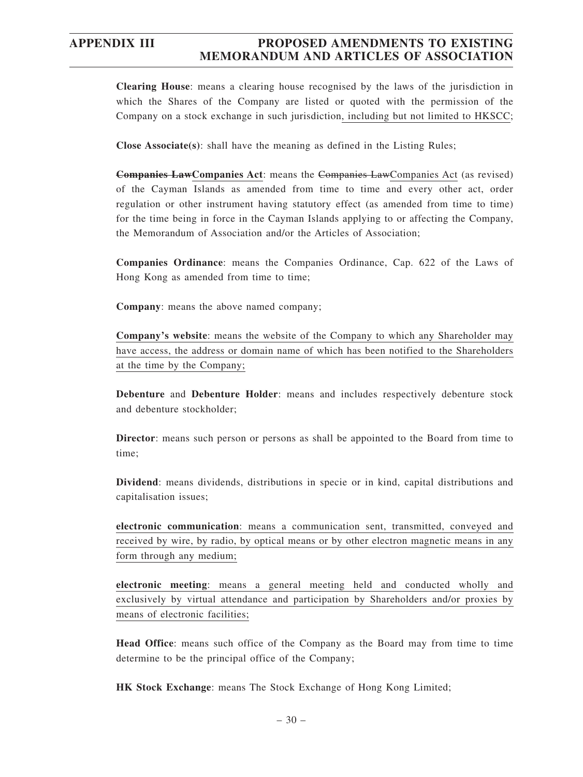**Clearing House**: means a clearing house recognised by the laws of the jurisdiction in which the Shares of the Company are listed or quoted with the permission of the Company on a stock exchange in such jurisdiction, including but not limited to HKSCC;

**Close Associate(s)**: shall have the meaning as defined in the Listing Rules;

**Companies LawCompanies Act**: means the Companies LawCompanies Act (as revised) of the Cayman Islands as amended from time to time and every other act, order regulation or other instrument having statutory effect (as amended from time to time) for the time being in force in the Cayman Islands applying to or affecting the Company, the Memorandum of Association and/or the Articles of Association;

**Companies Ordinance**: means the Companies Ordinance, Cap. 622 of the Laws of Hong Kong as amended from time to time;

**Company**: means the above named company;

**Company's website**: means the website of the Company to which any Shareholder may have access, the address or domain name of which has been notified to the Shareholders at the time by the Company;

**Debenture** and **Debenture Holder**: means and includes respectively debenture stock and debenture stockholder;

**Director**: means such person or persons as shall be appointed to the Board from time to time;

**Dividend**: means dividends, distributions in specie or in kind, capital distributions and capitalisation issues;

**electronic communication**: means a communication sent, transmitted, conveyed and received by wire, by radio, by optical means or by other electron magnetic means in any form through any medium;

**electronic meeting**: means a general meeting held and conducted wholly and exclusively by virtual attendance and participation by Shareholders and/or proxies by means of electronic facilities;

**Head Office**: means such office of the Company as the Board may from time to time determine to be the principal office of the Company;

**HK Stock Exchange**: means The Stock Exchange of Hong Kong Limited;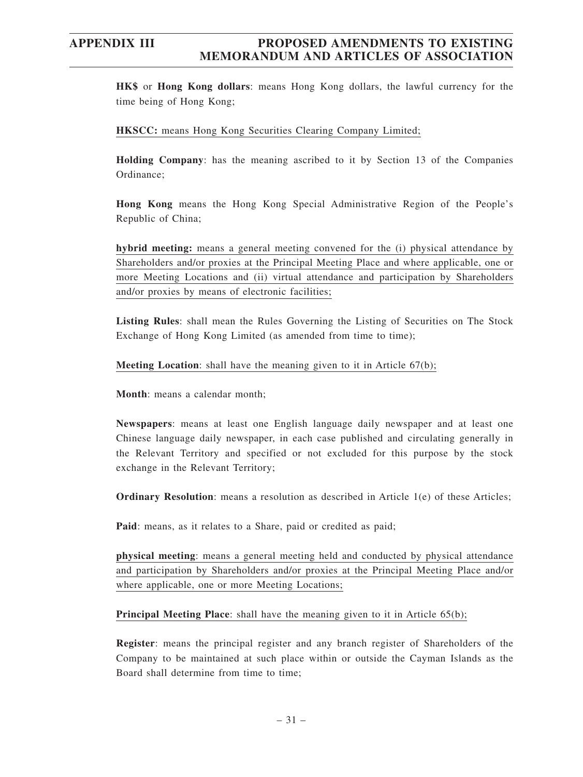**HK\$** or **Hong Kong dollars**: means Hong Kong dollars, the lawful currency for the time being of Hong Kong;

#### **HKSCC:** means Hong Kong Securities Clearing Company Limited;

**Holding Company**: has the meaning ascribed to it by Section 13 of the Companies Ordinance;

**Hong Kong** means the Hong Kong Special Administrative Region of the People's Republic of China;

**hybrid meeting:** means a general meeting convened for the (i) physical attendance by Shareholders and/or proxies at the Principal Meeting Place and where applicable, one or more Meeting Locations and (ii) virtual attendance and participation by Shareholders and/or proxies by means of electronic facilities;

**Listing Rules**: shall mean the Rules Governing the Listing of Securities on The Stock Exchange of Hong Kong Limited (as amended from time to time);

**Meeting Location**: shall have the meaning given to it in Article 67(b);

**Month**: means a calendar month;

**Newspapers**: means at least one English language daily newspaper and at least one Chinese language daily newspaper, in each case published and circulating generally in the Relevant Territory and specified or not excluded for this purpose by the stock exchange in the Relevant Territory;

**Ordinary Resolution**: means a resolution as described in Article 1(e) of these Articles;

**Paid**: means, as it relates to a Share, paid or credited as paid;

**physical meeting**: means a general meeting held and conducted by physical attendance and participation by Shareholders and/or proxies at the Principal Meeting Place and/or where applicable, one or more Meeting Locations;

**Principal Meeting Place**: shall have the meaning given to it in Article 65(b);

**Register**: means the principal register and any branch register of Shareholders of the Company to be maintained at such place within or outside the Cayman Islands as the Board shall determine from time to time;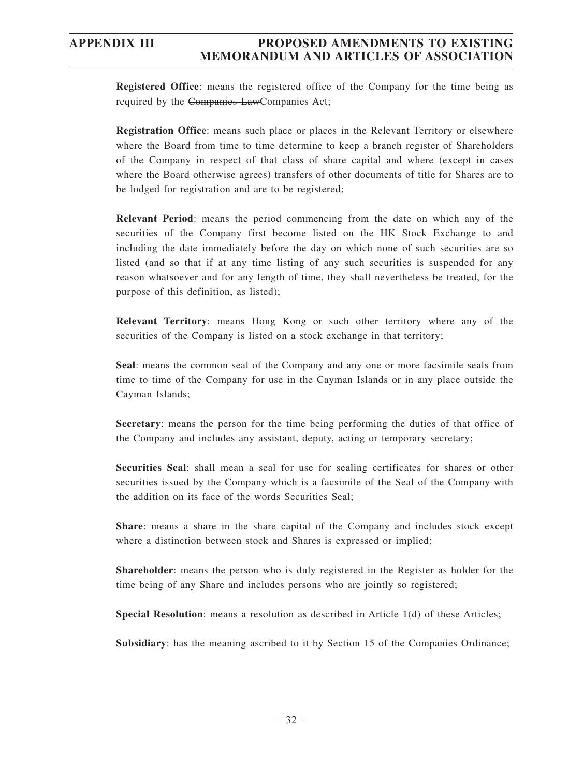**Registered Office**: means the registered office of the Company for the time being as required by the Companies LawCompanies Act;

**Registration Office**: means such place or places in the Relevant Territory or elsewhere where the Board from time to time determine to keep a branch register of Shareholders of the Company in respect of that class of share capital and where (except in cases where the Board otherwise agrees) transfers of other documents of title for Shares are to be lodged for registration and are to be registered;

**Relevant Period**: means the period commencing from the date on which any of the securities of the Company first become listed on the HK Stock Exchange to and including the date immediately before the day on which none of such securities are so listed (and so that if at any time listing of any such securities is suspended for any reason whatsoever and for any length of time, they shall nevertheless be treated, for the purpose of this definition, as listed);

**Relevant Territory**: means Hong Kong or such other territory where any of the securities of the Company is listed on a stock exchange in that territory;

**Seal**: means the common seal of the Company and any one or more facsimile seals from time to time of the Company for use in the Cayman Islands or in any place outside the Cayman Islands;

**Secretary**: means the person for the time being performing the duties of that office of the Company and includes any assistant, deputy, acting or temporary secretary;

**Securities Seal**: shall mean a seal for use for sealing certificates for shares or other securities issued by the Company which is a facsimile of the Seal of the Company with the addition on its face of the words Securities Seal;

**Share**: means a share in the share capital of the Company and includes stock except where a distinction between stock and Shares is expressed or implied;

**Shareholder**: means the person who is duly registered in the Register as holder for the time being of any Share and includes persons who are jointly so registered;

**Special Resolution**: means a resolution as described in Article 1(d) of these Articles;

**Subsidiary**: has the meaning ascribed to it by Section 15 of the Companies Ordinance;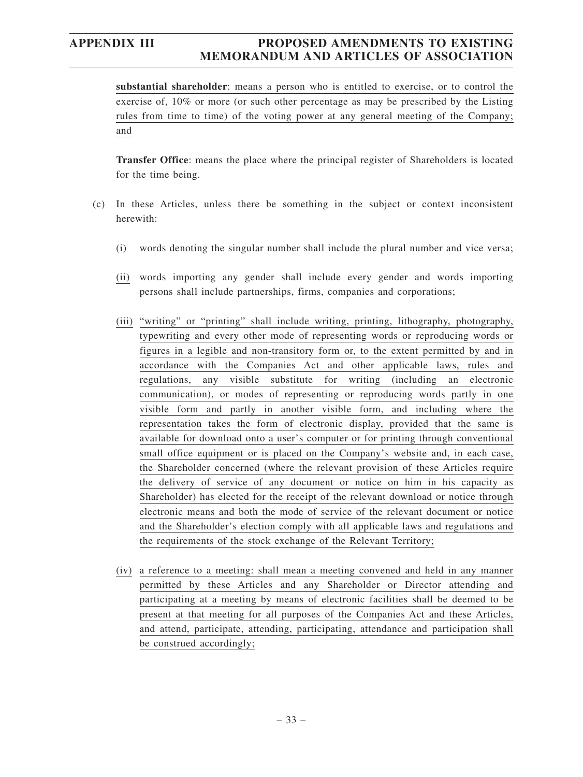**substantial shareholder**: means a person who is entitled to exercise, or to control the exercise of, 10% or more (or such other percentage as may be prescribed by the Listing rules from time to time) of the voting power at any general meeting of the Company; and

**Transfer Office**: means the place where the principal register of Shareholders is located for the time being.

- (c) In these Articles, unless there be something in the subject or context inconsistent herewith:
	- (i) words denoting the singular number shall include the plural number and vice versa;
	- (ii) words importing any gender shall include every gender and words importing persons shall include partnerships, firms, companies and corporations;
	- (iii) "writing" or "printing" shall include writing, printing, lithography, photography, typewriting and every other mode of representing words or reproducing words or figures in a legible and non-transitory form or, to the extent permitted by and in accordance with the Companies Act and other applicable laws, rules and regulations, any visible substitute for writing (including an electronic communication), or modes of representing or reproducing words partly in one visible form and partly in another visible form, and including where the representation takes the form of electronic display, provided that the same is available for download onto a user's computer or for printing through conventional small office equipment or is placed on the Company's website and, in each case, the Shareholder concerned (where the relevant provision of these Articles require the delivery of service of any document or notice on him in his capacity as Shareholder) has elected for the receipt of the relevant download or notice through electronic means and both the mode of service of the relevant document or notice and the Shareholder's election comply with all applicable laws and regulations and the requirements of the stock exchange of the Relevant Territory;
	- (iv) a reference to a meeting: shall mean a meeting convened and held in any manner permitted by these Articles and any Shareholder or Director attending and participating at a meeting by means of electronic facilities shall be deemed to be present at that meeting for all purposes of the Companies Act and these Articles, and attend, participate, attending, participating, attendance and participation shall be construed accordingly;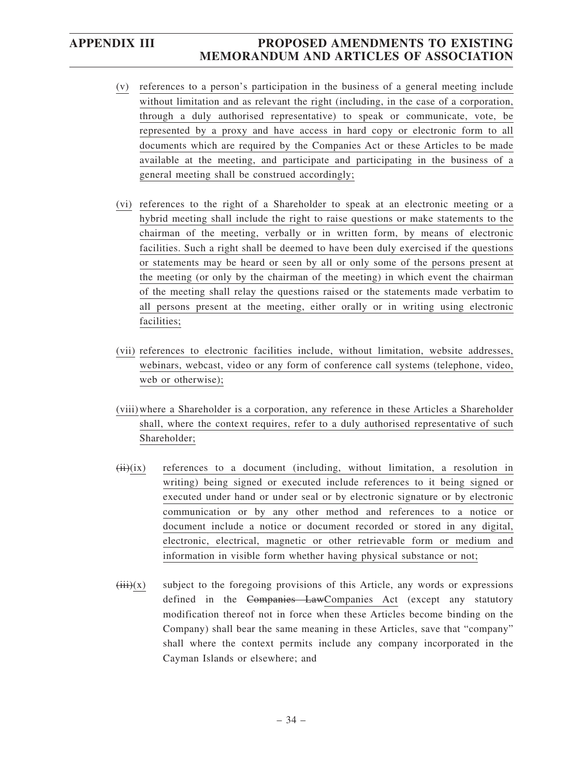- (v) references to a person's participation in the business of a general meeting include without limitation and as relevant the right (including, in the case of a corporation, through a duly authorised representative) to speak or communicate, vote, be represented by a proxy and have access in hard copy or electronic form to all documents which are required by the Companies Act or these Articles to be made available at the meeting, and participate and participating in the business of a general meeting shall be construed accordingly;
- (vi) references to the right of a Shareholder to speak at an electronic meeting or a hybrid meeting shall include the right to raise questions or make statements to the chairman of the meeting, verbally or in written form, by means of electronic facilities. Such a right shall be deemed to have been duly exercised if the questions or statements may be heard or seen by all or only some of the persons present at the meeting (or only by the chairman of the meeting) in which event the chairman of the meeting shall relay the questions raised or the statements made verbatim to all persons present at the meeting, either orally or in writing using electronic facilities;
- (vii) references to electronic facilities include, without limitation, website addresses, webinars, webcast, video or any form of conference call systems (telephone, video, web or otherwise);
- (viii)where a Shareholder is a corporation, any reference in these Articles a Shareholder shall, where the context requires, refer to a duly authorised representative of such Shareholder;
- $(ii)(ix)$  references to a document (including, without limitation, a resolution in writing) being signed or executed include references to it being signed or executed under hand or under seal or by electronic signature or by electronic communication or by any other method and references to a notice or document include a notice or document recorded or stored in any digital, electronic, electrical, magnetic or other retrievable form or medium and information in visible form whether having physical substance or not;
- $(iii)(x)$  subject to the foregoing provisions of this Article, any words or expressions defined in the Companies LawCompanies Act (except any statutory modification thereof not in force when these Articles become binding on the Company) shall bear the same meaning in these Articles, save that "company" shall where the context permits include any company incorporated in the Cayman Islands or elsewhere; and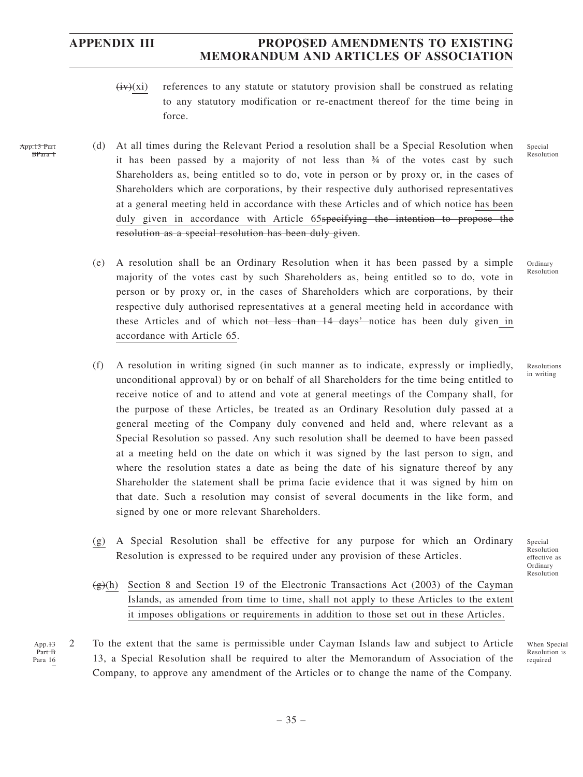App.13 Part BPara 1

> App.<sup>+3</sup> Part B Para 16

# **APPENDIX III PROPOSED AMENDMENTS TO EXISTING MEMORANDUM AND ARTICLES OF ASSOCIATION**

- $(iv)(xi)$  references to any statute or statutory provision shall be construed as relating to any statutory modification or re-enactment thereof for the time being in force.
- (d) At all times during the Relevant Period a resolution shall be a Special Resolution when it has been passed by a majority of not less than ¾ of the votes cast by such Shareholders as, being entitled so to do, vote in person or by proxy or, in the cases of Shareholders which are corporations, by their respective duly authorised representatives at a general meeting held in accordance with these Articles and of which notice has been duly given in accordance with Article 65specifying the intention to propose the resolution as a special resolution has been duly given.
	- (e) A resolution shall be an Ordinary Resolution when it has been passed by a simple majority of the votes cast by such Shareholders as, being entitled so to do, vote in person or by proxy or, in the cases of Shareholders which are corporations, by their respective duly authorised representatives at a general meeting held in accordance with these Articles and of which not less than 14 days' notice has been duly given in accordance with Article 65.
	- (f) A resolution in writing signed (in such manner as to indicate, expressly or impliedly, unconditional approval) by or on behalf of all Shareholders for the time being entitled to receive notice of and to attend and vote at general meetings of the Company shall, for the purpose of these Articles, be treated as an Ordinary Resolution duly passed at a general meeting of the Company duly convened and held and, where relevant as a Special Resolution so passed. Any such resolution shall be deemed to have been passed at a meeting held on the date on which it was signed by the last person to sign, and where the resolution states a date as being the date of his signature thereof by any Shareholder the statement shall be prima facie evidence that it was signed by him on that date. Such a resolution may consist of several documents in the like form, and signed by one or more relevant Shareholders.
	- (g) A Special Resolution shall be effective for any purpose for which an Ordinary Resolution is expressed to be required under any provision of these Articles.
	- $\left(\frac{g}{g}\right)$ (h) Section 8 and Section 19 of the Electronic Transactions Act (2003) of the Cayman Islands, as amended from time to time, shall not apply to these Articles to the extent it imposes obligations or requirements in addition to those set out in these Articles.
- 2 To the extent that the same is permissible under Cayman Islands law and subject to Article 13, a Special Resolution shall be required to alter the Memorandum of Association of the Company, to approve any amendment of the Articles or to change the name of the Company.

Special Resolution

Ordinary Resolution

Resolutions in writing

Special Resolution effective as Ordinary Resolution

When Special Resolution is required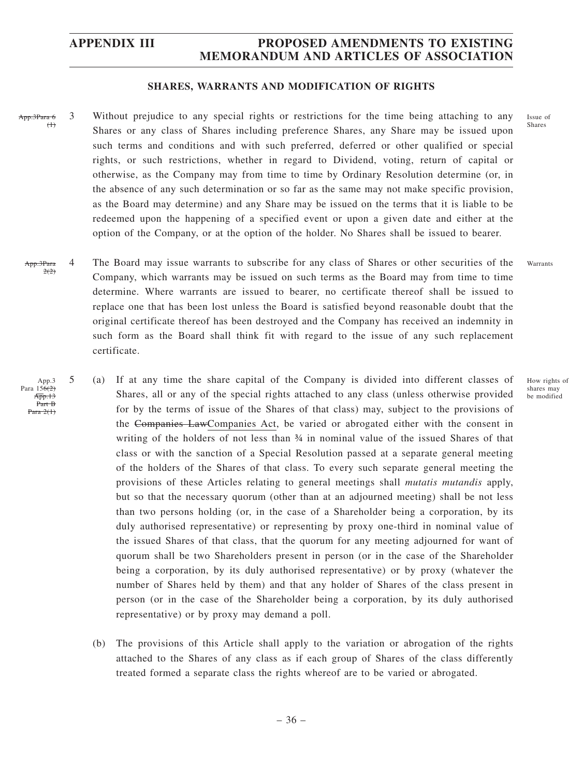### **SHARES, WARRANTS AND MODIFICATION OF RIGHTS**

- 3 Without prejudice to any special rights or restrictions for the time being attaching to any Shares or any class of Shares including preference Shares, any Share may be issued upon such terms and conditions and with such preferred, deferred or other qualified or special rights, or such restrictions, whether in regard to Dividend, voting, return of capital or otherwise, as the Company may from time to time by Ordinary Resolution determine (or, in the absence of any such determination or so far as the same may not make specific provision, as the Board may determine) and any Share may be issued on the terms that it is liable to be redeemed upon the happening of a specified event or upon a given date and either at the option of the Company, or at the option of the holder. No Shares shall be issued to bearer. App.3Para 6  $(1)$ 
	- 4 The Board may issue warrants to subscribe for any class of Shares or other securities of the Company, which warrants may be issued on such terms as the Board may from time to time determine. Where warrants are issued to bearer, no certificate thereof shall be issued to replace one that has been lost unless the Board is satisfied beyond reasonable doubt that the original certificate thereof has been destroyed and the Company has received an indemnity in such form as the Board shall think fit with regard to the issue of any such replacement certificate. App.3Para  $2(2)$
- 5 (a) If at any time the share capital of the Company is divided into different classes of Shares, all or any of the special rights attached to any class (unless otherwise provided for by the terms of issue of the Shares of that class) may, subject to the provisions of the Companies LawCompanies Act, be varied or abrogated either with the consent in writing of the holders of not less than ¾ in nominal value of the issued Shares of that class or with the sanction of a Special Resolution passed at a separate general meeting of the holders of the Shares of that class. To every such separate general meeting the provisions of these Articles relating to general meetings shall *mutatis mutandis* apply, but so that the necessary quorum (other than at an adjourned meeting) shall be not less than two persons holding (or, in the case of a Shareholder being a corporation, by its duly authorised representative) or representing by proxy one-third in nominal value of the issued Shares of that class, that the quorum for any meeting adjourned for want of quorum shall be two Shareholders present in person (or in the case of the Shareholder being a corporation, by its duly authorised representative) or by proxy (whatever the number of Shares held by them) and that any holder of Shares of the class present in person (or in the case of the Shareholder being a corporation, by its duly authorised representative) or by proxy may demand a poll. App.3 Para  $156(2)$ App.13 Part B Para 2(1)
	- (b) The provisions of this Article shall apply to the variation or abrogation of the rights attached to the Shares of any class as if each group of Shares of the class differently treated formed a separate class the rights whereof are to be varied or abrogated.

Issue of Shares

Warrants

How rights of shares may be modified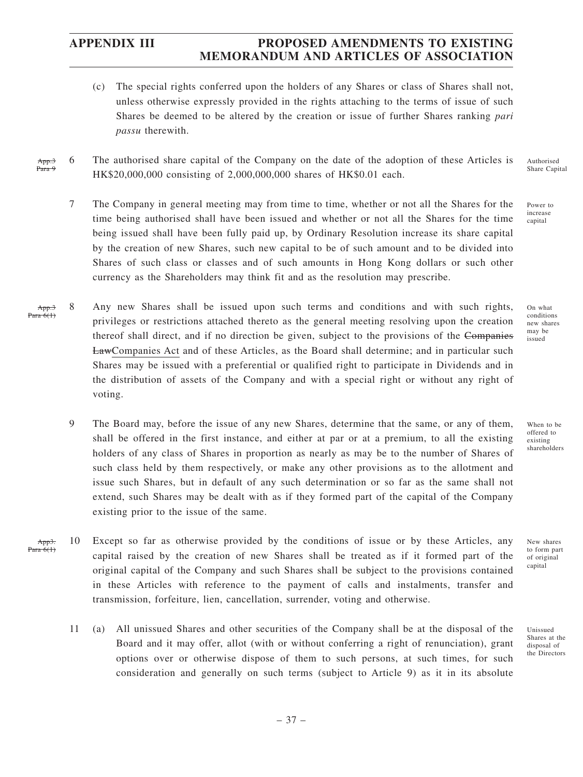- (c) The special rights conferred upon the holders of any Shares or class of Shares shall not, unless otherwise expressly provided in the rights attaching to the terms of issue of such Shares be deemed to be altered by the creation or issue of further Shares ranking *pari passu* therewith.
- 6 The authorised share capital of the Company on the date of the adoption of these Articles is HK\$20,000,000 consisting of 2,000,000,000 shares of HK\$0.01 each. App.3 Para
	- 7 The Company in general meeting may from time to time, whether or not all the Shares for the time being authorised shall have been issued and whether or not all the Shares for the time being issued shall have been fully paid up, by Ordinary Resolution increase its share capital by the creation of new Shares, such new capital to be of such amount and to be divided into Shares of such class or classes and of such amounts in Hong Kong dollars or such other currency as the Shareholders may think fit and as the resolution may prescribe.
- 8 Any new Shares shall be issued upon such terms and conditions and with such rights, privileges or restrictions attached thereto as the general meeting resolving upon the creation thereof shall direct, and if no direction be given, subject to the provisions of the Companies LawCompanies Act and of these Articles, as the Board shall determine; and in particular such Shares may be issued with a preferential or qualified right to participate in Dividends and in the distribution of assets of the Company and with a special right or without any right of voting. App.3 Para 6(1)
	- 9 The Board may, before the issue of any new Shares, determine that the same, or any of them, shall be offered in the first instance, and either at par or at a premium, to all the existing holders of any class of Shares in proportion as nearly as may be to the number of Shares of such class held by them respectively, or make any other provisions as to the allotment and issue such Shares, but in default of any such determination or so far as the same shall not extend, such Shares may be dealt with as if they formed part of the capital of the Company existing prior to the issue of the same.
- 10 Except so far as otherwise provided by the conditions of issue or by these Articles, any capital raised by the creation of new Shares shall be treated as if it formed part of the original capital of the Company and such Shares shall be subject to the provisions contained in these Articles with reference to the payment of calls and instalments, transfer and transmission, forfeiture, lien, cancellation, surrender, voting and otherwise. App3. Para 6(1)
	- 11 (a) All unissued Shares and other securities of the Company shall be at the disposal of the Board and it may offer, allot (with or without conferring a right of renunciation), grant options over or otherwise dispose of them to such persons, at such times, for such consideration and generally on such terms (subject to Article 9) as it in its absolute

Authorised Share Capital

Power to increase capital

On what conditions new shares may be issued

When to be offered to existing shareholders

New shares to form part of original capital

Unissued Shares at the disposal of the Directors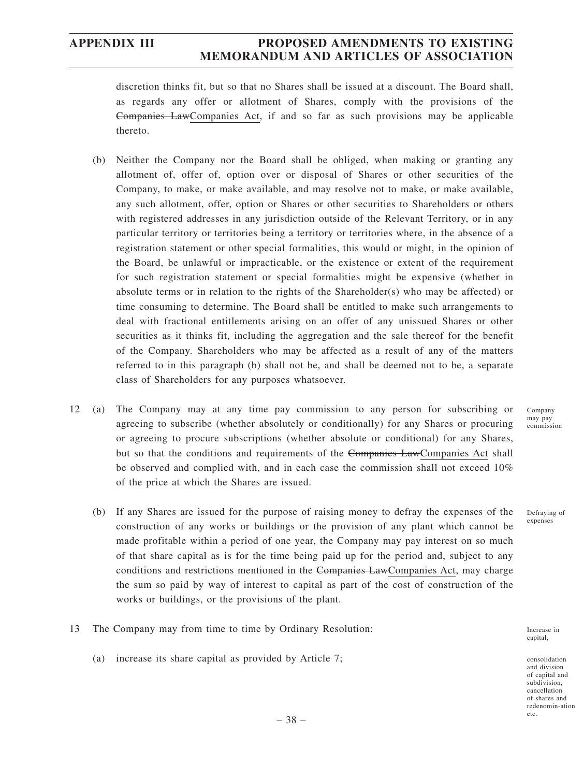discretion thinks fit, but so that no Shares shall be issued at a discount. The Board shall, as regards any offer or allotment of Shares, comply with the provisions of the Companies LawCompanies Act, if and so far as such provisions may be applicable thereto.

- (b) Neither the Company nor the Board shall be obliged, when making or granting any allotment of, offer of, option over or disposal of Shares or other securities of the Company, to make, or make available, and may resolve not to make, or make available, any such allotment, offer, option or Shares or other securities to Shareholders or others with registered addresses in any jurisdiction outside of the Relevant Territory, or in any particular territory or territories being a territory or territories where, in the absence of a registration statement or other special formalities, this would or might, in the opinion of the Board, be unlawful or impracticable, or the existence or extent of the requirement for such registration statement or special formalities might be expensive (whether in absolute terms or in relation to the rights of the Shareholder(s) who may be affected) or time consuming to determine. The Board shall be entitled to make such arrangements to deal with fractional entitlements arising on an offer of any unissued Shares or other securities as it thinks fit, including the aggregation and the sale thereof for the benefit of the Company. Shareholders who may be affected as a result of any of the matters referred to in this paragraph (b) shall not be, and shall be deemed not to be, a separate class of Shareholders for any purposes whatsoever.
- 12 (a) The Company may at any time pay commission to any person for subscribing or agreeing to subscribe (whether absolutely or conditionally) for any Shares or procuring or agreeing to procure subscriptions (whether absolute or conditional) for any Shares, but so that the conditions and requirements of the Companies LawCompanies Act shall be observed and complied with, and in each case the commission shall not exceed 10% of the price at which the Shares are issued.
	- (b) If any Shares are issued for the purpose of raising money to defray the expenses of the construction of any works or buildings or the provision of any plant which cannot be made profitable within a period of one year, the Company may pay interest on so much of that share capital as is for the time being paid up for the period and, subject to any conditions and restrictions mentioned in the Companies LawCompanies Act, may charge the sum so paid by way of interest to capital as part of the cost of construction of the works or buildings, or the provisions of the plant.
- 13 The Company may from time to time by Ordinary Resolution:
	- (a) increase its share capital as provided by Article 7;

Increase in capital,

consolidation and division of capital and subdivision, cancellation of shares and redenomin-ation etc.

Company may pay commission

Defraying of expenses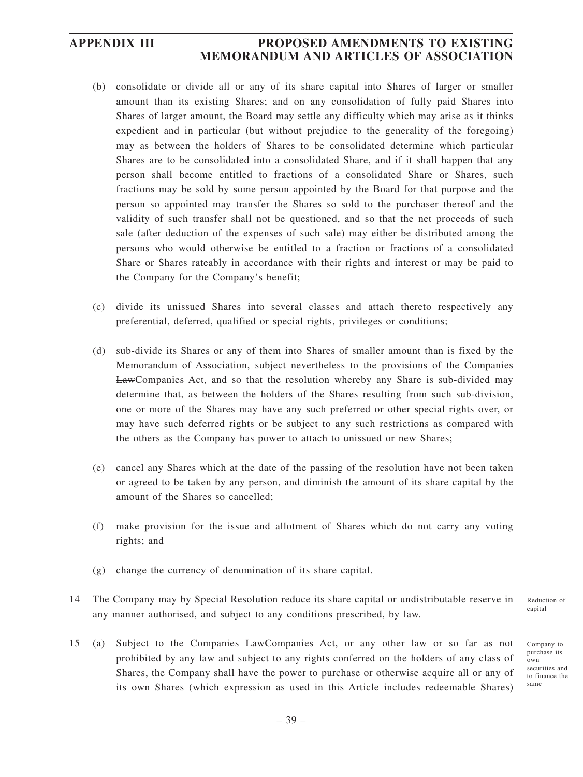- (b) consolidate or divide all or any of its share capital into Shares of larger or smaller amount than its existing Shares; and on any consolidation of fully paid Shares into Shares of larger amount, the Board may settle any difficulty which may arise as it thinks expedient and in particular (but without prejudice to the generality of the foregoing) may as between the holders of Shares to be consolidated determine which particular Shares are to be consolidated into a consolidated Share, and if it shall happen that any person shall become entitled to fractions of a consolidated Share or Shares, such fractions may be sold by some person appointed by the Board for that purpose and the person so appointed may transfer the Shares so sold to the purchaser thereof and the validity of such transfer shall not be questioned, and so that the net proceeds of such sale (after deduction of the expenses of such sale) may either be distributed among the persons who would otherwise be entitled to a fraction or fractions of a consolidated Share or Shares rateably in accordance with their rights and interest or may be paid to the Company for the Company's benefit;
- (c) divide its unissued Shares into several classes and attach thereto respectively any preferential, deferred, qualified or special rights, privileges or conditions;
- (d) sub-divide its Shares or any of them into Shares of smaller amount than is fixed by the Memorandum of Association, subject nevertheless to the provisions of the Companies LawCompanies Act, and so that the resolution whereby any Share is sub-divided may determine that, as between the holders of the Shares resulting from such sub-division, one or more of the Shares may have any such preferred or other special rights over, or may have such deferred rights or be subject to any such restrictions as compared with the others as the Company has power to attach to unissued or new Shares;
- (e) cancel any Shares which at the date of the passing of the resolution have not been taken or agreed to be taken by any person, and diminish the amount of its share capital by the amount of the Shares so cancelled;
- (f) make provision for the issue and allotment of Shares which do not carry any voting rights; and
- (g) change the currency of denomination of its share capital.
- 14 The Company may by Special Resolution reduce its share capital or undistributable reserve in any manner authorised, and subject to any conditions prescribed, by law.
- 15 (a) Subject to the Companies LawCompanies Act, or any other law or so far as not prohibited by any law and subject to any rights conferred on the holders of any class of Shares, the Company shall have the power to purchase or otherwise acquire all or any of its own Shares (which expression as used in this Article includes redeemable Shares)

Reduction of capital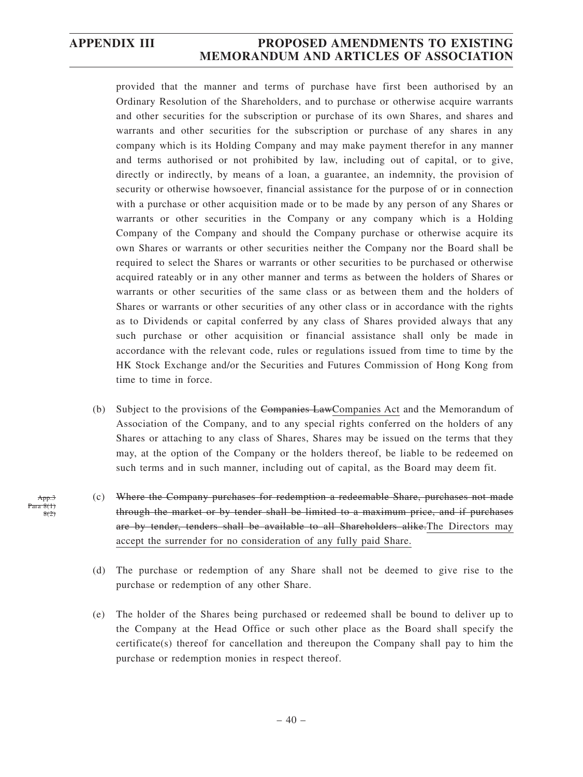provided that the manner and terms of purchase have first been authorised by an Ordinary Resolution of the Shareholders, and to purchase or otherwise acquire warrants and other securities for the subscription or purchase of its own Shares, and shares and warrants and other securities for the subscription or purchase of any shares in any company which is its Holding Company and may make payment therefor in any manner and terms authorised or not prohibited by law, including out of capital, or to give, directly or indirectly, by means of a loan, a guarantee, an indemnity, the provision of security or otherwise howsoever, financial assistance for the purpose of or in connection with a purchase or other acquisition made or to be made by any person of any Shares or warrants or other securities in the Company or any company which is a Holding Company of the Company and should the Company purchase or otherwise acquire its own Shares or warrants or other securities neither the Company nor the Board shall be required to select the Shares or warrants or other securities to be purchased or otherwise acquired rateably or in any other manner and terms as between the holders of Shares or warrants or other securities of the same class or as between them and the holders of Shares or warrants or other securities of any other class or in accordance with the rights as to Dividends or capital conferred by any class of Shares provided always that any such purchase or other acquisition or financial assistance shall only be made in accordance with the relevant code, rules or regulations issued from time to time by the HK Stock Exchange and/or the Securities and Futures Commission of Hong Kong from time to time in force.

- (b) Subject to the provisions of the Companies LawCompanies Act and the Memorandum of Association of the Company, and to any special rights conferred on the holders of any Shares or attaching to any class of Shares, Shares may be issued on the terms that they may, at the option of the Company or the holders thereof, be liable to be redeemed on such terms and in such manner, including out of capital, as the Board may deem fit.
- (c) Where the Company purchases for redemption a redeemable Share, purchases not made through the market or by tender shall be limited to a maximum price, and if purchases are by tender, tenders shall be available to all Shareholders alike.The Directors may accept the surrender for no consideration of any fully paid Share.
- (d) The purchase or redemption of any Share shall not be deemed to give rise to the purchase or redemption of any other Share.
- (e) The holder of the Shares being purchased or redeemed shall be bound to deliver up to the Company at the Head Office or such other place as the Board shall specify the certificate(s) thereof for cancellation and thereupon the Company shall pay to him the purchase or redemption monies in respect thereof.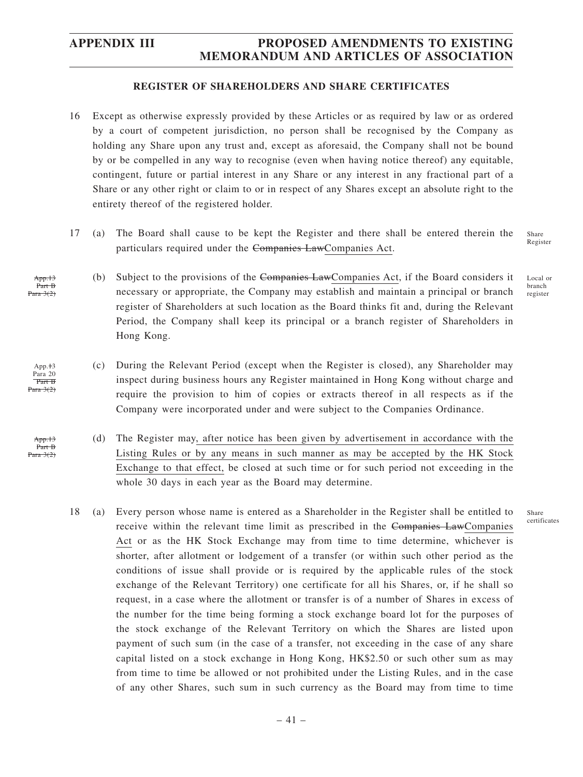### **REGISTER OF SHAREHOLDERS AND SHARE CERTIFICATES**

- 16 Except as otherwise expressly provided by these Articles or as required by law or as ordered by a court of competent jurisdiction, no person shall be recognised by the Company as holding any Share upon any trust and, except as aforesaid, the Company shall not be bound by or be compelled in any way to recognise (even when having notice thereof) any equitable, contingent, future or partial interest in any Share or any interest in any fractional part of a Share or any other right or claim to or in respect of any Shares except an absolute right to the entirety thereof of the registered holder.
- 17 (a) The Board shall cause to be kept the Register and there shall be entered therein the particulars required under the Companies LawCompanies Act. Share Register
	- (b) Subject to the provisions of the Companies LawCompanies Act, if the Board considers it necessary or appropriate, the Company may establish and maintain a principal or branch register of Shareholders at such location as the Board thinks fit and, during the Relevant Period, the Company shall keep its principal or a branch register of Shareholders in Hong Kong. Local or branch register
	- (c) During the Relevant Period (except when the Register is closed), any Shareholder may inspect during business hours any Register maintained in Hong Kong without charge and require the provision to him of copies or extracts thereof in all respects as if the Company were incorporated under and were subject to the Companies Ordinance.
	- (d) The Register may, after notice has been given by advertisement in accordance with the Listing Rules or by any means in such manner as may be accepted by the HK Stock Exchange to that effect, be closed at such time or for such period not exceeding in the whole 30 days in each year as the Board may determine.

Share certificates

18 (a) Every person whose name is entered as a Shareholder in the Register shall be entitled to receive within the relevant time limit as prescribed in the Companies LawCompanies Act or as the HK Stock Exchange may from time to time determine, whichever is shorter, after allotment or lodgement of a transfer (or within such other period as the conditions of issue shall provide or is required by the applicable rules of the stock exchange of the Relevant Territory) one certificate for all his Shares, or, if he shall so request, in a case where the allotment or transfer is of a number of Shares in excess of the number for the time being forming a stock exchange board lot for the purposes of the stock exchange of the Relevant Territory on which the Shares are listed upon payment of such sum (in the case of a transfer, not exceeding in the case of any share capital listed on a stock exchange in Hong Kong, HK\$2.50 or such other sum as may from time to time be allowed or not prohibited under the Listing Rules, and in the case of any other Shares, such sum in such currency as the Board may from time to time

App.13 Part B Para 3(2)

 $App. <sub>13</sub>$ Para 20 Part B  $P<sub>area</sub> 3(2)$ 

App.13 Part B Para 3(2)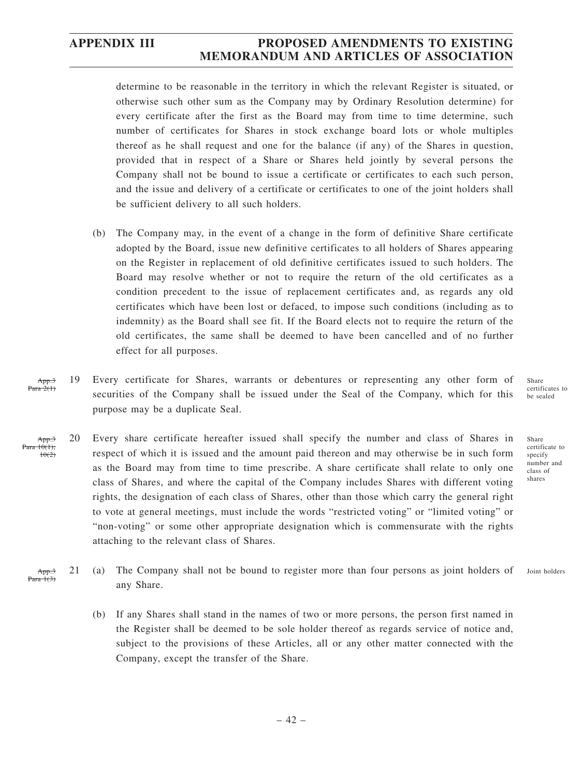determine to be reasonable in the territory in which the relevant Register is situated, or otherwise such other sum as the Company may by Ordinary Resolution determine) for every certificate after the first as the Board may from time to time determine, such number of certificates for Shares in stock exchange board lots or whole multiples thereof as he shall request and one for the balance (if any) of the Shares in question, provided that in respect of a Share or Shares held jointly by several persons the Company shall not be bound to issue a certificate or certificates to each such person, and the issue and delivery of a certificate or certificates to one of the joint holders shall be sufficient delivery to all such holders.

- (b) The Company may, in the event of a change in the form of definitive Share certificate adopted by the Board, issue new definitive certificates to all holders of Shares appearing on the Register in replacement of old definitive certificates issued to such holders. The Board may resolve whether or not to require the return of the old certificates as a condition precedent to the issue of replacement certificates and, as regards any old certificates which have been lost or defaced, to impose such conditions (including as to indemnity) as the Board shall see fit. If the Board elects not to require the return of the old certificates, the same shall be deemed to have been cancelled and of no further effect for all purposes.
- 19 Every certificate for Shares, warrants or debentures or representing any other form of securities of the Company shall be issued under the Seal of the Company, which for this purpose may be a duplicate Seal. App.3 Para  $2(1)$
- 20 Every share certificate hereafter issued shall specify the number and class of Shares in respect of which it is issued and the amount paid thereon and may otherwise be in such form as the Board may from time to time prescribe. A share certificate shall relate to only one class of Shares, and where the capital of the Company includes Shares with different voting rights, the designation of each class of Shares, other than those which carry the general right to vote at general meetings, must include the words "restricted voting" or "limited voting" or "non-voting" or some other appropriate designation which is commensurate with the rights attaching to the relevant class of Shares. App.3  $10(1)$  $+0(2)$
- 21 (a) The Company shall not be bound to register more than four persons as joint holders of any Share. App.3  $P<sub>area</sub> + t<sup>2</sup>$ Joint holders
	- (b) If any Shares shall stand in the names of two or more persons, the person first named in the Register shall be deemed to be sole holder thereof as regards service of notice and, subject to the provisions of these Articles, all or any other matter connected with the Company, except the transfer of the Share.

Share certificates to be sealed

Share certificate to specify number and class of shares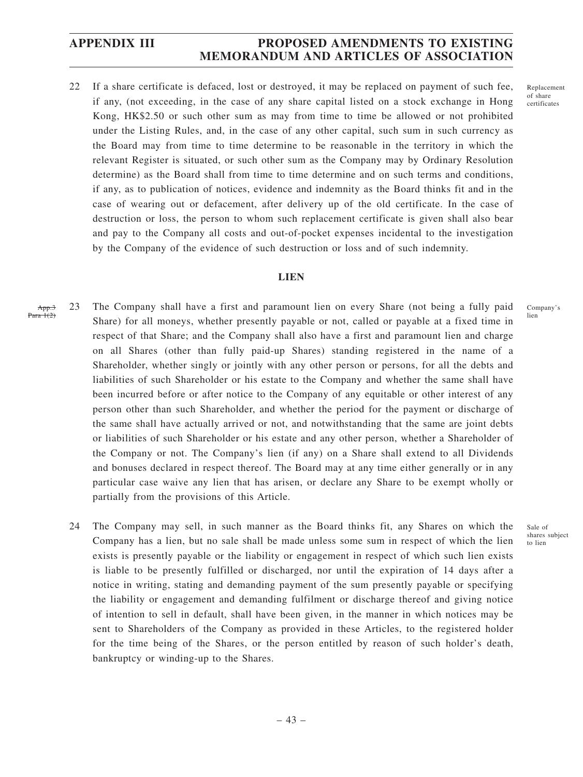22 If a share certificate is defaced, lost or destroyed, it may be replaced on payment of such fee, if any, (not exceeding, in the case of any share capital listed on a stock exchange in Hong Kong, HK\$2.50 or such other sum as may from time to time be allowed or not prohibited under the Listing Rules, and, in the case of any other capital, such sum in such currency as the Board may from time to time determine to be reasonable in the territory in which the relevant Register is situated, or such other sum as the Company may by Ordinary Resolution determine) as the Board shall from time to time determine and on such terms and conditions, if any, as to publication of notices, evidence and indemnity as the Board thinks fit and in the case of wearing out or defacement, after delivery up of the old certificate. In the case of destruction or loss, the person to whom such replacement certificate is given shall also bear and pay to the Company all costs and out-of-pocket expenses incidental to the investigation by the Company of the evidence of such destruction or loss and of such indemnity.

### **LIEN**

- 23 The Company shall have a first and paramount lien on every Share (not being a fully paid Share) for all moneys, whether presently payable or not, called or payable at a fixed time in respect of that Share; and the Company shall also have a first and paramount lien and charge on all Shares (other than fully paid-up Shares) standing registered in the name of a Shareholder, whether singly or jointly with any other person or persons, for all the debts and liabilities of such Shareholder or his estate to the Company and whether the same shall have been incurred before or after notice to the Company of any equitable or other interest of any person other than such Shareholder, and whether the period for the payment or discharge of the same shall have actually arrived or not, and notwithstanding that the same are joint debts or liabilities of such Shareholder or his estate and any other person, whether a Shareholder of the Company or not. The Company's lien (if any) on a Share shall extend to all Dividends and bonuses declared in respect thereof. The Board may at any time either generally or in any particular case waive any lien that has arisen, or declare any Share to be exempt wholly or partially from the provisions of this Article. App.3 Para  $1(2)$ 
	- 24 The Company may sell, in such manner as the Board thinks fit, any Shares on which the Company has a lien, but no sale shall be made unless some sum in respect of which the lien exists is presently payable or the liability or engagement in respect of which such lien exists is liable to be presently fulfilled or discharged, nor until the expiration of 14 days after a notice in writing, stating and demanding payment of the sum presently payable or specifying the liability or engagement and demanding fulfilment or discharge thereof and giving notice of intention to sell in default, shall have been given, in the manner in which notices may be sent to Shareholders of the Company as provided in these Articles, to the registered holder for the time being of the Shares, or the person entitled by reason of such holder's death, bankruptcy or winding-up to the Shares.

Replacement of share certificates

Company's lien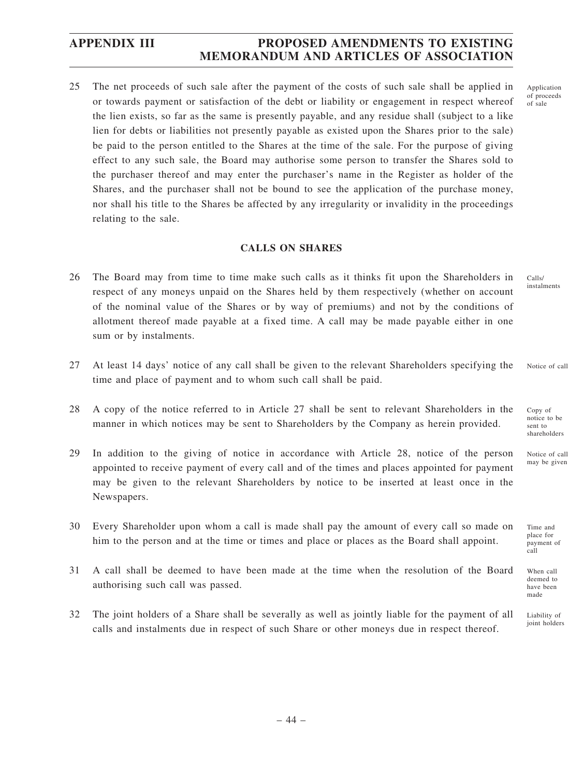25 The net proceeds of such sale after the payment of the costs of such sale shall be applied in or towards payment or satisfaction of the debt or liability or engagement in respect whereof the lien exists, so far as the same is presently payable, and any residue shall (subject to a like lien for debts or liabilities not presently payable as existed upon the Shares prior to the sale) be paid to the person entitled to the Shares at the time of the sale. For the purpose of giving effect to any such sale, the Board may authorise some person to transfer the Shares sold to the purchaser thereof and may enter the purchaser's name in the Register as holder of the Shares, and the purchaser shall not be bound to see the application of the purchase money, nor shall his title to the Shares be affected by any irregularity or invalidity in the proceedings relating to the sale.

### **CALLS ON SHARES**

- 26 The Board may from time to time make such calls as it thinks fit upon the Shareholders in respect of any moneys unpaid on the Shares held by them respectively (whether on account of the nominal value of the Shares or by way of premiums) and not by the conditions of allotment thereof made payable at a fixed time. A call may be made payable either in one sum or by instalments.
- 27 At least 14 days' notice of any call shall be given to the relevant Shareholders specifying the time and place of payment and to whom such call shall be paid. Notice of call
- 28 A copy of the notice referred to in Article 27 shall be sent to relevant Shareholders in the manner in which notices may be sent to Shareholders by the Company as herein provided.
- 29 In addition to the giving of notice in accordance with Article 28, notice of the person appointed to receive payment of every call and of the times and places appointed for payment may be given to the relevant Shareholders by notice to be inserted at least once in the Newspapers.
- 30 Every Shareholder upon whom a call is made shall pay the amount of every call so made on him to the person and at the time or times and place or places as the Board shall appoint.
- 31 A call shall be deemed to have been made at the time when the resolution of the Board authorising such call was passed.
- 32 The joint holders of a Share shall be severally as well as jointly liable for the payment of all calls and instalments due in respect of such Share or other moneys due in respect thereof.

Application of proceeds of sale

Calls/ instalments

Copy of notice to be sent to shareholders

Notice of call may be given

Time and place for payment of call

When call deemed to have been made

Liability of joint holders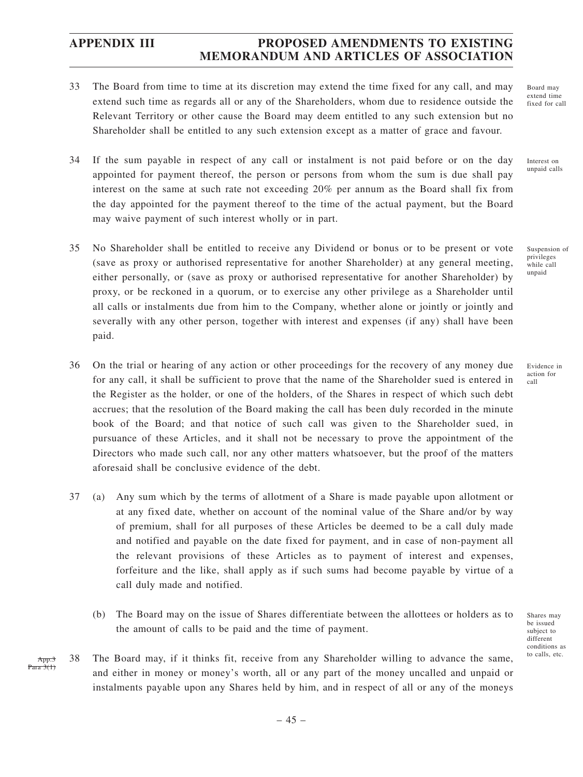- 33 The Board from time to time at its discretion may extend the time fixed for any call, and may extend such time as regards all or any of the Shareholders, whom due to residence outside the Relevant Territory or other cause the Board may deem entitled to any such extension but no Shareholder shall be entitled to any such extension except as a matter of grace and favour.
- 34 If the sum payable in respect of any call or instalment is not paid before or on the day appointed for payment thereof, the person or persons from whom the sum is due shall pay interest on the same at such rate not exceeding 20% per annum as the Board shall fix from the day appointed for the payment thereof to the time of the actual payment, but the Board may waive payment of such interest wholly or in part.
- 35 No Shareholder shall be entitled to receive any Dividend or bonus or to be present or vote (save as proxy or authorised representative for another Shareholder) at any general meeting, either personally, or (save as proxy or authorised representative for another Shareholder) by proxy, or be reckoned in a quorum, or to exercise any other privilege as a Shareholder until all calls or instalments due from him to the Company, whether alone or jointly or jointly and severally with any other person, together with interest and expenses (if any) shall have been paid.
- 36 On the trial or hearing of any action or other proceedings for the recovery of any money due for any call, it shall be sufficient to prove that the name of the Shareholder sued is entered in the Register as the holder, or one of the holders, of the Shares in respect of which such debt accrues; that the resolution of the Board making the call has been duly recorded in the minute book of the Board; and that notice of such call was given to the Shareholder sued, in pursuance of these Articles, and it shall not be necessary to prove the appointment of the Directors who made such call, nor any other matters whatsoever, but the proof of the matters aforesaid shall be conclusive evidence of the debt.
- 37 (a) Any sum which by the terms of allotment of a Share is made payable upon allotment or at any fixed date, whether on account of the nominal value of the Share and/or by way of premium, shall for all purposes of these Articles be deemed to be a call duly made and notified and payable on the date fixed for payment, and in case of non-payment all the relevant provisions of these Articles as to payment of interest and expenses, forfeiture and the like, shall apply as if such sums had become payable by virtue of a call duly made and notified.
	- (b) The Board may on the issue of Shares differentiate between the allottees or holders as to the amount of calls to be paid and the time of payment.
- 38 The Board may, if it thinks fit, receive from any Shareholder willing to advance the same, and either in money or money's worth, all or any part of the money uncalled and unpaid or instalments payable upon any Shares held by him, and in respect of all or any of the moneys App.3 Para 3(1)

Board may extend time fixed for call

Interest on unpaid calls

Suspension of privileges while call unpaid

Evidence in action for call

Shares may be issued subject to different conditions as to calls, etc.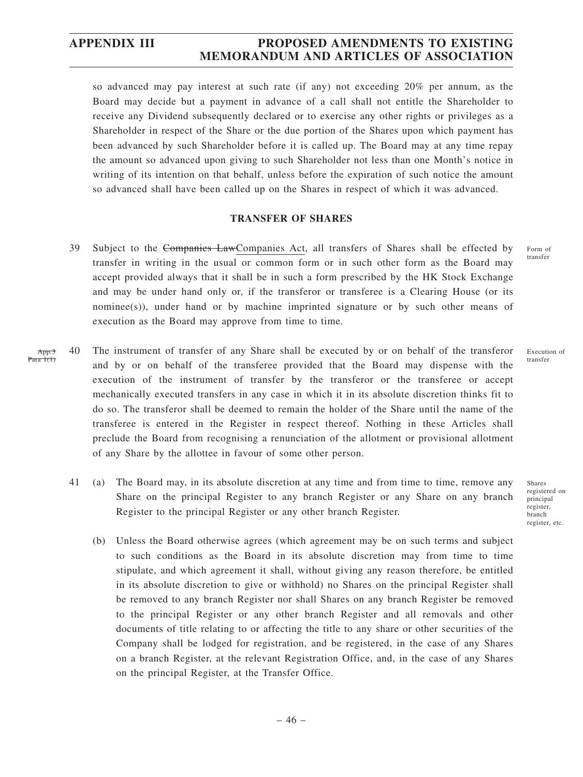so advanced may pay interest at such rate (if any) not exceeding 20% per annum, as the Board may decide but a payment in advance of a call shall not entitle the Shareholder to receive any Dividend subsequently declared or to exercise any other rights or privileges as a Shareholder in respect of the Share or the due portion of the Shares upon which payment has been advanced by such Shareholder before it is called up. The Board may at any time repay the amount so advanced upon giving to such Shareholder not less than one Month's notice in writing of its intention on that behalf, unless before the expiration of such notice the amount so advanced shall have been called up on the Shares in respect of which it was advanced.

### **TRANSFER OF SHARES**

- 39 Subject to the Companies LawCompanies Act, all transfers of Shares shall be effected by transfer in writing in the usual or common form or in such other form as the Board may accept provided always that it shall be in such a form prescribed by the HK Stock Exchange and may be under hand only or, if the transferor or transferee is a Clearing House (or its nominee(s)), under hand or by machine imprinted signature or by such other means of execution as the Board may approve from time to time.
- 40 The instrument of transfer of any Share shall be executed by or on behalf of the transferor and by or on behalf of the transferee provided that the Board may dispense with the execution of the instrument of transfer by the transferor or the transferee or accept mechanically executed transfers in any case in which it in its absolute discretion thinks fit to do so. The transferor shall be deemed to remain the holder of the Share until the name of the transferee is entered in the Register in respect thereof. Nothing in these Articles shall preclude the Board from recognising a renunciation of the allotment or provisional allotment of any Share by the allottee in favour of some other person. App. Para  $1(1)$ 
	- 41 (a) The Board may, in its absolute discretion at any time and from time to time, remove any Share on the principal Register to any branch Register or any Share on any branch Register to the principal Register or any other branch Register.
		- (b) Unless the Board otherwise agrees (which agreement may be on such terms and subject to such conditions as the Board in its absolute discretion may from time to time stipulate, and which agreement it shall, without giving any reason therefore, be entitled in its absolute discretion to give or withhold) no Shares on the principal Register shall be removed to any branch Register nor shall Shares on any branch Register be removed to the principal Register or any other branch Register and all removals and other documents of title relating to or affecting the title to any share or other securities of the Company shall be lodged for registration, and be registered, in the case of any Shares on a branch Register, at the relevant Registration Office, and, in the case of any Shares on the principal Register, at the Transfer Office.

Form of transfer

Execution of transfer

Shares registered on principal register, branch register, etc.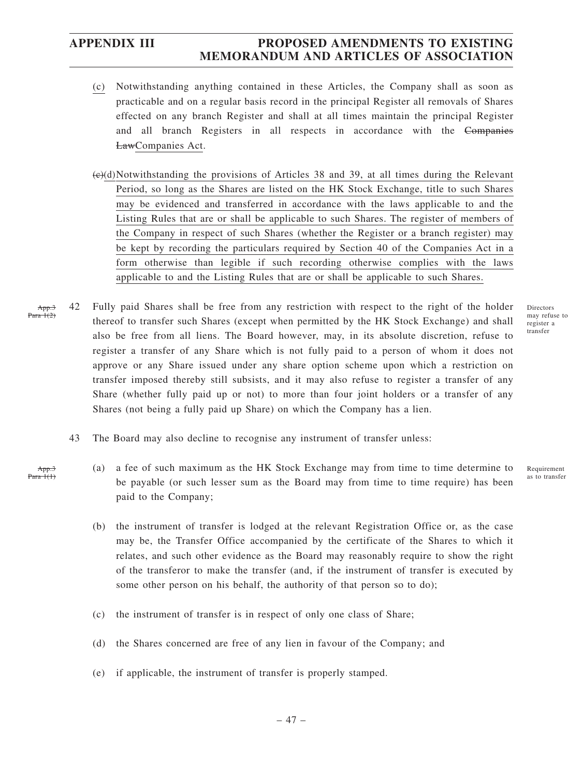App.3 Para 1(1)

# **APPENDIX III PROPOSED AMENDMENTS TO EXISTING MEMORANDUM AND ARTICLES OF ASSOCIATION**

- (c) Notwithstanding anything contained in these Articles, the Company shall as soon as practicable and on a regular basis record in the principal Register all removals of Shares effected on any branch Register and shall at all times maintain the principal Register and all branch Registers in all respects in accordance with the Companies LawCompanies Act.
- $(e)(d)$ Notwithstanding the provisions of Articles 38 and 39, at all times during the Relevant Period, so long as the Shares are listed on the HK Stock Exchange, title to such Shares may be evidenced and transferred in accordance with the laws applicable to and the Listing Rules that are or shall be applicable to such Shares. The register of members of the Company in respect of such Shares (whether the Register or a branch register) may be kept by recording the particulars required by Section 40 of the Companies Act in a form otherwise than legible if such recording otherwise complies with the laws applicable to and the Listing Rules that are or shall be applicable to such Shares.
- 42 Fully paid Shares shall be free from any restriction with respect to the right of the holder thereof to transfer such Shares (except when permitted by the HK Stock Exchange) and shall also be free from all liens. The Board however, may, in its absolute discretion, refuse to register a transfer of any Share which is not fully paid to a person of whom it does not approve or any Share issued under any share option scheme upon which a restriction on transfer imposed thereby still subsists, and it may also refuse to register a transfer of any Share (whether fully paid up or not) to more than four joint holders or a transfer of any Shares (not being a fully paid up Share) on which the Company has a lien. App.3 Para  $1(2)$ 
	- 43 The Board may also decline to recognise any instrument of transfer unless:
		- (a) a fee of such maximum as the HK Stock Exchange may from time to time determine to be payable (or such lesser sum as the Board may from time to time require) has been paid to the Company;
		- (b) the instrument of transfer is lodged at the relevant Registration Office or, as the case may be, the Transfer Office accompanied by the certificate of the Shares to which it relates, and such other evidence as the Board may reasonably require to show the right of the transferor to make the transfer (and, if the instrument of transfer is executed by some other person on his behalf, the authority of that person so to do);
		- (c) the instrument of transfer is in respect of only one class of Share;
		- (d) the Shares concerned are free of any lien in favour of the Company; and
		- (e) if applicable, the instrument of transfer is properly stamped.

Directors may refuse to register a transfer

Requirement as to transfer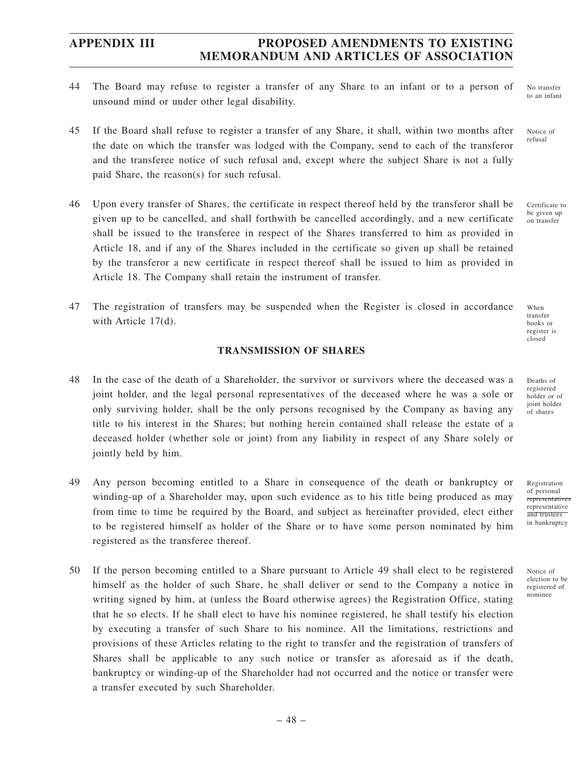- 44 The Board may refuse to register a transfer of any Share to an infant or to a person of unsound mind or under other legal disability.
- 45 If the Board shall refuse to register a transfer of any Share, it shall, within two months after the date on which the transfer was lodged with the Company, send to each of the transferor and the transferee notice of such refusal and, except where the subject Share is not a fully paid Share, the reason(s) for such refusal.
- 46 Upon every transfer of Shares, the certificate in respect thereof held by the transferor shall be given up to be cancelled, and shall forthwith be cancelled accordingly, and a new certificate shall be issued to the transferee in respect of the Shares transferred to him as provided in Article 18, and if any of the Shares included in the certificate so given up shall be retained by the transferor a new certificate in respect thereof shall be issued to him as provided in Article 18. The Company shall retain the instrument of transfer.
- 47 The registration of transfers may be suspended when the Register is closed in accordance with Article 17(d).

### **TRANSMISSION OF SHARES**

- 48 In the case of the death of a Shareholder, the survivor or survivors where the deceased was a joint holder, and the legal personal representatives of the deceased where he was a sole or only surviving holder, shall be the only persons recognised by the Company as having any title to his interest in the Shares; but nothing herein contained shall release the estate of a deceased holder (whether sole or joint) from any liability in respect of any Share solely or jointly held by him.
- 49 Any person becoming entitled to a Share in consequence of the death or bankruptcy or winding-up of a Shareholder may, upon such evidence as to his title being produced as may from time to time be required by the Board, and subject as hereinafter provided, elect either to be registered himself as holder of the Share or to have some person nominated by him registered as the transferee thereof.
- 50 If the person becoming entitled to a Share pursuant to Article 49 shall elect to be registered himself as the holder of such Share, he shall deliver or send to the Company a notice in writing signed by him, at (unless the Board otherwise agrees) the Registration Office, stating that he so elects. If he shall elect to have his nominee registered, he shall testify his election by executing a transfer of such Share to his nominee. All the limitations, restrictions and provisions of these Articles relating to the right to transfer and the registration of transfers of Shares shall be applicable to any such notice or transfer as aforesaid as if the death, bankruptcy or winding-up of the Shareholder had not occurred and the notice or transfer were a transfer executed by such Shareholder.

No transfer to an infant

Notice of refusal

Certificate to be given up on transfer

When transfer books or register is closed

Deaths of registered holder or of joint holder of shares

Registration of personal representati representative and trustees in bankruptcy

Notice of election to be registered of nominee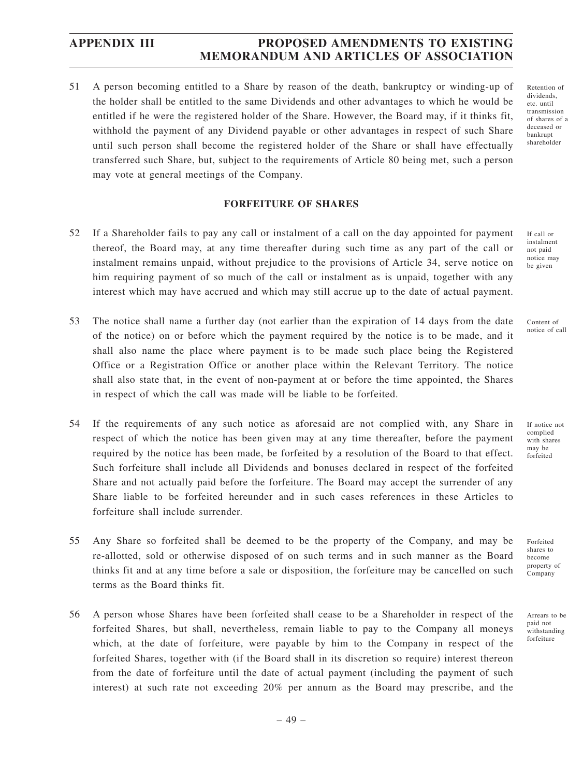51 A person becoming entitled to a Share by reason of the death, bankruptcy or winding-up of the holder shall be entitled to the same Dividends and other advantages to which he would be entitled if he were the registered holder of the Share. However, the Board may, if it thinks fit, withhold the payment of any Dividend payable or other advantages in respect of such Share until such person shall become the registered holder of the Share or shall have effectually transferred such Share, but, subject to the requirements of Article 80 being met, such a person may vote at general meetings of the Company.

### **FORFEITURE OF SHARES**

- 52 If a Shareholder fails to pay any call or instalment of a call on the day appointed for payment thereof, the Board may, at any time thereafter during such time as any part of the call or instalment remains unpaid, without prejudice to the provisions of Article 34, serve notice on him requiring payment of so much of the call or instalment as is unpaid, together with any interest which may have accrued and which may still accrue up to the date of actual payment.
- 53 The notice shall name a further day (not earlier than the expiration of 14 days from the date of the notice) on or before which the payment required by the notice is to be made, and it shall also name the place where payment is to be made such place being the Registered Office or a Registration Office or another place within the Relevant Territory. The notice shall also state that, in the event of non-payment at or before the time appointed, the Shares in respect of which the call was made will be liable to be forfeited.
- 54 If the requirements of any such notice as aforesaid are not complied with, any Share in respect of which the notice has been given may at any time thereafter, before the payment required by the notice has been made, be forfeited by a resolution of the Board to that effect. Such forfeiture shall include all Dividends and bonuses declared in respect of the forfeited Share and not actually paid before the forfeiture. The Board may accept the surrender of any Share liable to be forfeited hereunder and in such cases references in these Articles to forfeiture shall include surrender.
- 55 Any Share so forfeited shall be deemed to be the property of the Company, and may be re-allotted, sold or otherwise disposed of on such terms and in such manner as the Board thinks fit and at any time before a sale or disposition, the forfeiture may be cancelled on such terms as the Board thinks fit.
- 56 A person whose Shares have been forfeited shall cease to be a Shareholder in respect of the forfeited Shares, but shall, nevertheless, remain liable to pay to the Company all moneys which, at the date of forfeiture, were payable by him to the Company in respect of the forfeited Shares, together with (if the Board shall in its discretion so require) interest thereon from the date of forfeiture until the date of actual payment (including the payment of such interest) at such rate not exceeding 20% per annum as the Board may prescribe, and the

– 49 –

Retention of dividends, etc. until transmission of shares of a deceased or bankrupt shareholder

If call or instalment not paid notice may be given

Content of notice of call

If notice not complied with shares may be forfeited

shares to become property of Company

Arrears to be paid not withstanding forfeiture

Forfeited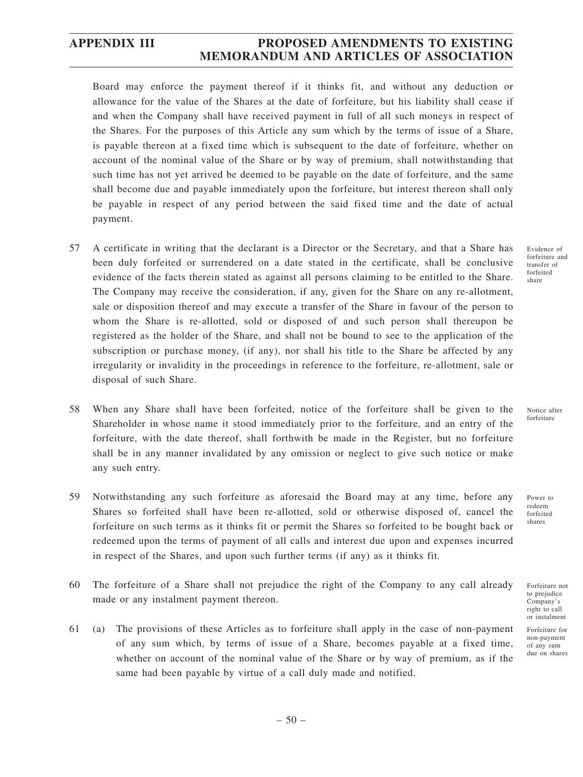Board may enforce the payment thereof if it thinks fit, and without any deduction or allowance for the value of the Shares at the date of forfeiture, but his liability shall cease if and when the Company shall have received payment in full of all such moneys in respect of the Shares. For the purposes of this Article any sum which by the terms of issue of a Share, is payable thereon at a fixed time which is subsequent to the date of forfeiture, whether on account of the nominal value of the Share or by way of premium, shall notwithstanding that such time has not yet arrived be deemed to be payable on the date of forfeiture, and the same shall become due and payable immediately upon the forfeiture, but interest thereon shall only be payable in respect of any period between the said fixed time and the date of actual payment.

- 57 A certificate in writing that the declarant is a Director or the Secretary, and that a Share has been duly forfeited or surrendered on a date stated in the certificate, shall be conclusive evidence of the facts therein stated as against all persons claiming to be entitled to the Share. The Company may receive the consideration, if any, given for the Share on any re-allotment, sale or disposition thereof and may execute a transfer of the Share in favour of the person to whom the Share is re-allotted, sold or disposed of and such person shall thereupon be registered as the holder of the Share, and shall not be bound to see to the application of the subscription or purchase money, (if any), nor shall his title to the Share be affected by any irregularity or invalidity in the proceedings in reference to the forfeiture, re-allotment, sale or disposal of such Share.
- 58 When any Share shall have been forfeited, notice of the forfeiture shall be given to the Shareholder in whose name it stood immediately prior to the forfeiture, and an entry of the forfeiture, with the date thereof, shall forthwith be made in the Register, but no forfeiture shall be in any manner invalidated by any omission or neglect to give such notice or make any such entry.
- 59 Notwithstanding any such forfeiture as aforesaid the Board may at any time, before any Shares so forfeited shall have been re-allotted, sold or otherwise disposed of, cancel the forfeiture on such terms as it thinks fit or permit the Shares so forfeited to be bought back or redeemed upon the terms of payment of all calls and interest due upon and expenses incurred in respect of the Shares, and upon such further terms (if any) as it thinks fit.
- 60 The forfeiture of a Share shall not prejudice the right of the Company to any call already made or any instalment payment thereon.
- 61 (a) The provisions of these Articles as to forfeiture shall apply in the case of non-payment of any sum which, by terms of issue of a Share, becomes payable at a fixed time, whether on account of the nominal value of the Share or by way of premium, as if the same had been payable by virtue of a call duly made and notified.

Evidence of forfeiture and transfer of forfeited share

Notice after forfeiture

Power to redeem forfeited shares

Forfeiture not to prejudice Company's right to call or instalment

Forfeiture for non-payment of any sum due on shares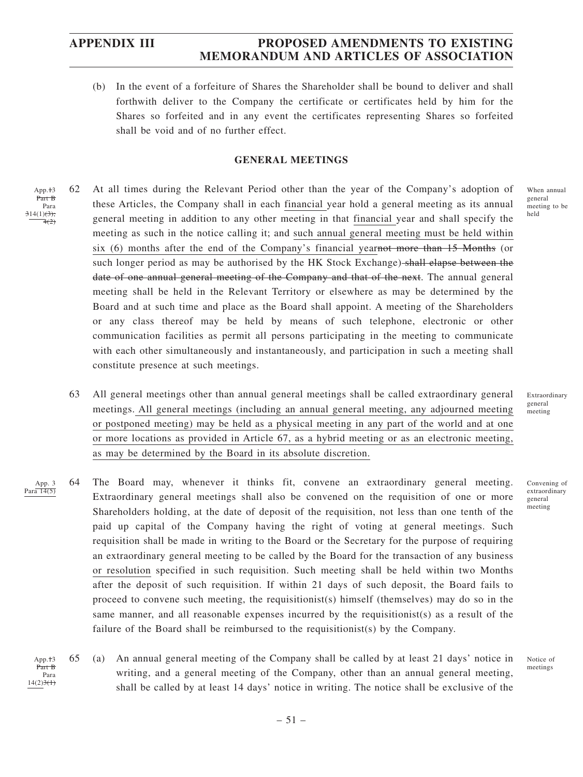(b) In the event of a forfeiture of Shares the Shareholder shall be bound to deliver and shall forthwith deliver to the Company the certificate or certificates held by him for the Shares so forfeited and in any event the certificates representing Shares so forfeited shall be void and of no further effect.

### **GENERAL MEETINGS**

- 62 At all times during the Relevant Period other than the year of the Company's adoption of these Articles, the Company shall in each financial year hold a general meeting as its annual general meeting in addition to any other meeting in that financial year and shall specify the meeting as such in the notice calling it; and such annual general meeting must be held within six (6) months after the end of the Company's financial yearnot more than 15 Months (or such longer period as may be authorised by the HK Stock Exchange) shall elapse between the date of one annual general meeting of the Company and that of the next. The annual general meeting shall be held in the Relevant Territory or elsewhere as may be determined by the Board and at such time and place as the Board shall appoint. A meeting of the Shareholders or any class thereof may be held by means of such telephone, electronic or other communication facilities as permit all persons participating in the meeting to communicate with each other simultaneously and instantaneously, and participation in such a meeting shall constitute presence at such meetings. App.<sup>+3</sup> Part B Para  $314(1)(3);$  $-4(2)$ 
	- 63 All general meetings other than annual general meetings shall be called extraordinary general meetings. All general meetings (including an annual general meeting, any adjourned meeting or postponed meeting) may be held as a physical meeting in any part of the world and at one or more locations as provided in Article 67, as a hybrid meeting or as an electronic meeting, as may be determined by the Board in its absolute discretion.
- 64 The Board may, whenever it thinks fit, convene an extraordinary general meeting. Extraordinary general meetings shall also be convened on the requisition of one or more Shareholders holding, at the date of deposit of the requisition, not less than one tenth of the paid up capital of the Company having the right of voting at general meetings. Such requisition shall be made in writing to the Board or the Secretary for the purpose of requiring an extraordinary general meeting to be called by the Board for the transaction of any business or resolution specified in such requisition. Such meeting shall be held within two Months after the deposit of such requisition. If within 21 days of such deposit, the Board fails to proceed to convene such meeting, the requisitionist(s) himself (themselves) may do so in the same manner, and all reasonable expenses incurred by the requisitionist(s) as a result of the failure of the Board shall be reimbursed to the requisitionist(s) by the Company. App. 3 Para 14(5)
	- 65 (a) An annual general meeting of the Company shall be called by at least 21 days' notice in writing, and a general meeting of the Company, other than an annual general meeting, shall be called by at least 14 days' notice in writing. The notice shall be exclusive of the App.<sup>+3</sup> Part B Para  $14(2)3(1)$

When annual general meeting to be held

Extraordinary general meeting

Convening of extraordinary general meeting

Notice of meetings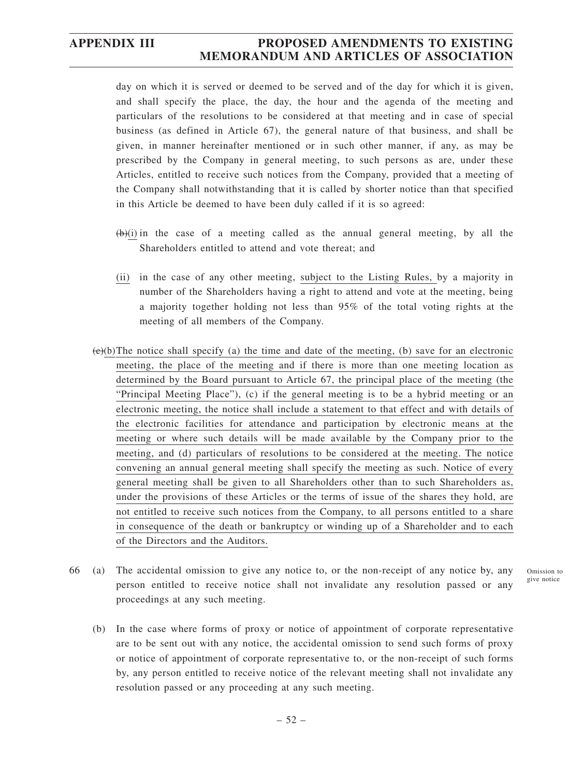day on which it is served or deemed to be served and of the day for which it is given, and shall specify the place, the day, the hour and the agenda of the meeting and particulars of the resolutions to be considered at that meeting and in case of special business (as defined in Article 67), the general nature of that business, and shall be given, in manner hereinafter mentioned or in such other manner, if any, as may be prescribed by the Company in general meeting, to such persons as are, under these Articles, entitled to receive such notices from the Company, provided that a meeting of the Company shall notwithstanding that it is called by shorter notice than that specified in this Article be deemed to have been duly called if it is so agreed:

- $(\theta)(i)$  in the case of a meeting called as the annual general meeting, by all the Shareholders entitled to attend and vote thereat; and
- (ii) in the case of any other meeting, subject to the Listing Rules, by a majority in number of the Shareholders having a right to attend and vote at the meeting, being a majority together holding not less than 95% of the total voting rights at the meeting of all members of the Company.
- $(e)(b)$ The notice shall specify (a) the time and date of the meeting, (b) save for an electronic meeting, the place of the meeting and if there is more than one meeting location as determined by the Board pursuant to Article 67, the principal place of the meeting (the "Principal Meeting Place"), (c) if the general meeting is to be a hybrid meeting or an electronic meeting, the notice shall include a statement to that effect and with details of the electronic facilities for attendance and participation by electronic means at the meeting or where such details will be made available by the Company prior to the meeting, and (d) particulars of resolutions to be considered at the meeting. The notice convening an annual general meeting shall specify the meeting as such. Notice of every general meeting shall be given to all Shareholders other than to such Shareholders as, under the provisions of these Articles or the terms of issue of the shares they hold, are not entitled to receive such notices from the Company, to all persons entitled to a share in consequence of the death or bankruptcy or winding up of a Shareholder and to each of the Directors and the Auditors.
- 66 (a) The accidental omission to give any notice to, or the non-receipt of any notice by, any person entitled to receive notice shall not invalidate any resolution passed or any proceedings at any such meeting.

Omission to give notice

(b) In the case where forms of proxy or notice of appointment of corporate representative are to be sent out with any notice, the accidental omission to send such forms of proxy or notice of appointment of corporate representative to, or the non-receipt of such forms by, any person entitled to receive notice of the relevant meeting shall not invalidate any resolution passed or any proceeding at any such meeting.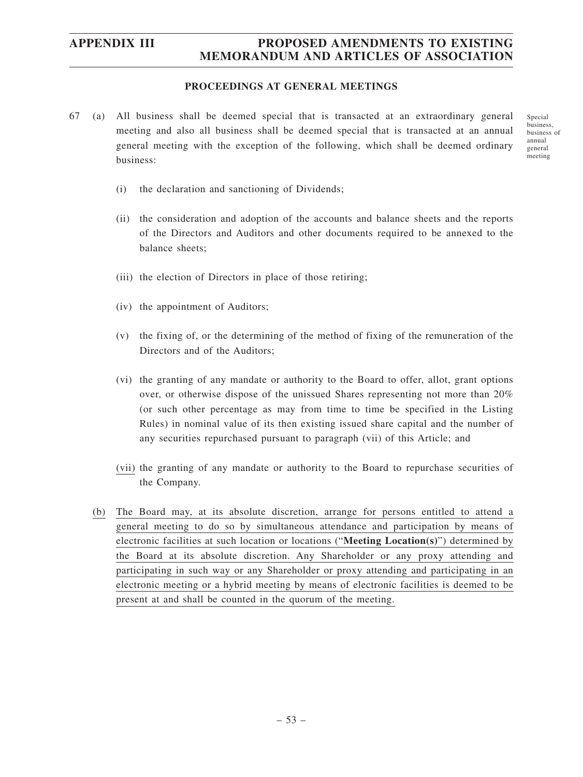### **PROCEEDINGS AT GENERAL MEETINGS**

67 (a) All business shall be deemed special that is transacted at an extraordinary general meeting and also all business shall be deemed special that is transacted at an annual general meeting with the exception of the following, which shall be deemed ordinary business:

Special business, business of annual general meeting

- (i) the declaration and sanctioning of Dividends;
- (ii) the consideration and adoption of the accounts and balance sheets and the reports of the Directors and Auditors and other documents required to be annexed to the balance sheets;
- (iii) the election of Directors in place of those retiring;
- (iv) the appointment of Auditors;
- (v) the fixing of, or the determining of the method of fixing of the remuneration of the Directors and of the Auditors;
- (vi) the granting of any mandate or authority to the Board to offer, allot, grant options over, or otherwise dispose of the unissued Shares representing not more than 20% (or such other percentage as may from time to time be specified in the Listing Rules) in nominal value of its then existing issued share capital and the number of any securities repurchased pursuant to paragraph (vii) of this Article; and
- (vii) the granting of any mandate or authority to the Board to repurchase securities of the Company.
- (b) The Board may, at its absolute discretion, arrange for persons entitled to attend a general meeting to do so by simultaneous attendance and participation by means of electronic facilities at such location or locations ("**Meeting Location(s)**") determined by the Board at its absolute discretion. Any Shareholder or any proxy attending and participating in such way or any Shareholder or proxy attending and participating in an electronic meeting or a hybrid meeting by means of electronic facilities is deemed to be present at and shall be counted in the quorum of the meeting.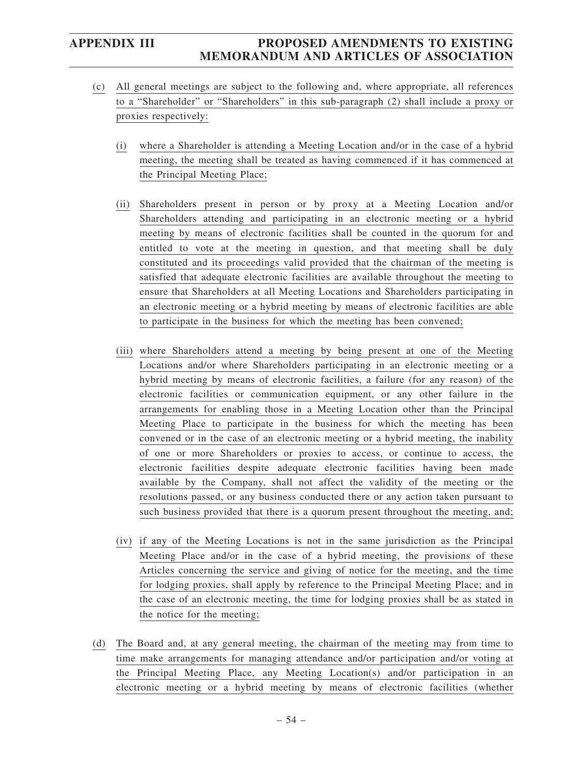- (c) All general meetings are subject to the following and, where appropriate, all references to a "Shareholder" or "Shareholders" in this sub-paragraph (2) shall include a proxy or proxies respectively:
	- (i) where a Shareholder is attending a Meeting Location and/or in the case of a hybrid meeting, the meeting shall be treated as having commenced if it has commenced at the Principal Meeting Place;
	- (ii) Shareholders present in person or by proxy at a Meeting Location and/or Shareholders attending and participating in an electronic meeting or a hybrid meeting by means of electronic facilities shall be counted in the quorum for and entitled to vote at the meeting in question, and that meeting shall be duly constituted and its proceedings valid provided that the chairman of the meeting is satisfied that adequate electronic facilities are available throughout the meeting to ensure that Shareholders at all Meeting Locations and Shareholders participating in an electronic meeting or a hybrid meeting by means of electronic facilities are able to participate in the business for which the meeting has been convened;
	- (iii) where Shareholders attend a meeting by being present at one of the Meeting Locations and/or where Shareholders participating in an electronic meeting or a hybrid meeting by means of electronic facilities, a failure (for any reason) of the electronic facilities or communication equipment, or any other failure in the arrangements for enabling those in a Meeting Location other than the Principal Meeting Place to participate in the business for which the meeting has been convened or in the case of an electronic meeting or a hybrid meeting, the inability of one or more Shareholders or proxies to access, or continue to access, the electronic facilities despite adequate electronic facilities having been made available by the Company, shall not affect the validity of the meeting or the resolutions passed, or any business conducted there or any action taken pursuant to such business provided that there is a quorum present throughout the meeting, and;
	- (iv) if any of the Meeting Locations is not in the same jurisdiction as the Principal Meeting Place and/or in the case of a hybrid meeting, the provisions of these Articles concerning the service and giving of notice for the meeting, and the time for lodging proxies, shall apply by reference to the Principal Meeting Place; and in the case of an electronic meeting, the time for lodging proxies shall be as stated in the notice for the meeting;
- (d) The Board and, at any general meeting, the chairman of the meeting may from time to time make arrangements for managing attendance and/or participation and/or voting at the Principal Meeting Place, any Meeting Location(s) and/or participation in an electronic meeting or a hybrid meeting by means of electronic facilities (whether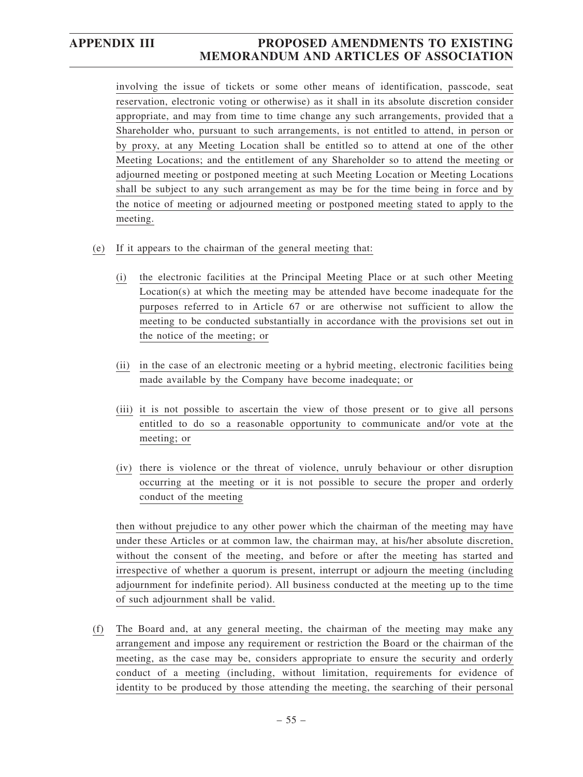involving the issue of tickets or some other means of identification, passcode, seat reservation, electronic voting or otherwise) as it shall in its absolute discretion consider appropriate, and may from time to time change any such arrangements, provided that a Shareholder who, pursuant to such arrangements, is not entitled to attend, in person or by proxy, at any Meeting Location shall be entitled so to attend at one of the other Meeting Locations; and the entitlement of any Shareholder so to attend the meeting or adjourned meeting or postponed meeting at such Meeting Location or Meeting Locations shall be subject to any such arrangement as may be for the time being in force and by the notice of meeting or adjourned meeting or postponed meeting stated to apply to the meeting.

- (e) If it appears to the chairman of the general meeting that:
	- (i) the electronic facilities at the Principal Meeting Place or at such other Meeting Location(s) at which the meeting may be attended have become inadequate for the purposes referred to in Article 67 or are otherwise not sufficient to allow the meeting to be conducted substantially in accordance with the provisions set out in the notice of the meeting; or
	- (ii) in the case of an electronic meeting or a hybrid meeting, electronic facilities being made available by the Company have become inadequate; or
	- (iii) it is not possible to ascertain the view of those present or to give all persons entitled to do so a reasonable opportunity to communicate and/or vote at the meeting; or
	- (iv) there is violence or the threat of violence, unruly behaviour or other disruption occurring at the meeting or it is not possible to secure the proper and orderly conduct of the meeting

then without prejudice to any other power which the chairman of the meeting may have under these Articles or at common law, the chairman may, at his/her absolute discretion, without the consent of the meeting, and before or after the meeting has started and irrespective of whether a quorum is present, interrupt or adjourn the meeting (including adjournment for indefinite period). All business conducted at the meeting up to the time of such adjournment shall be valid.

(f) The Board and, at any general meeting, the chairman of the meeting may make any arrangement and impose any requirement or restriction the Board or the chairman of the meeting, as the case may be, considers appropriate to ensure the security and orderly conduct of a meeting (including, without limitation, requirements for evidence of identity to be produced by those attending the meeting, the searching of their personal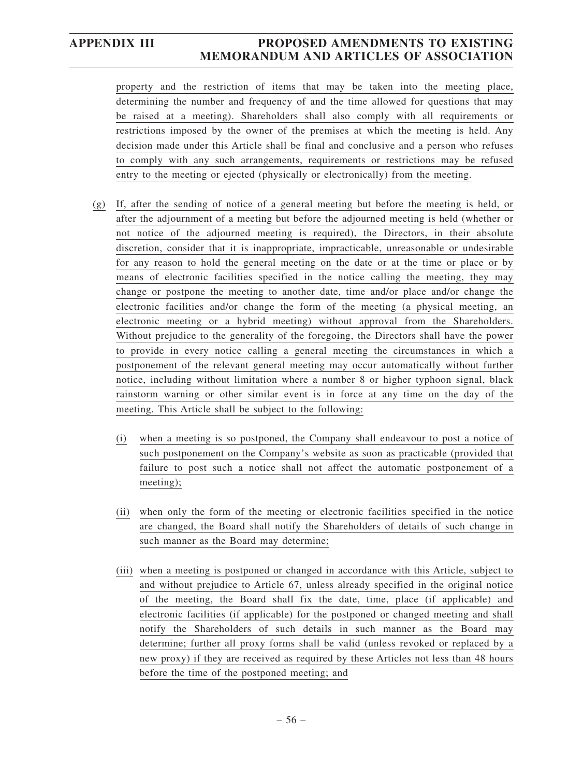property and the restriction of items that may be taken into the meeting place, determining the number and frequency of and the time allowed for questions that may be raised at a meeting). Shareholders shall also comply with all requirements or restrictions imposed by the owner of the premises at which the meeting is held. Any decision made under this Article shall be final and conclusive and a person who refuses to comply with any such arrangements, requirements or restrictions may be refused entry to the meeting or ejected (physically or electronically) from the meeting.

- (g) If, after the sending of notice of a general meeting but before the meeting is held, or after the adjournment of a meeting but before the adjourned meeting is held (whether or not notice of the adjourned meeting is required), the Directors, in their absolute discretion, consider that it is inappropriate, impracticable, unreasonable or undesirable for any reason to hold the general meeting on the date or at the time or place or by means of electronic facilities specified in the notice calling the meeting, they may change or postpone the meeting to another date, time and/or place and/or change the electronic facilities and/or change the form of the meeting (a physical meeting, an electronic meeting or a hybrid meeting) without approval from the Shareholders. Without prejudice to the generality of the foregoing, the Directors shall have the power to provide in every notice calling a general meeting the circumstances in which a postponement of the relevant general meeting may occur automatically without further notice, including without limitation where a number 8 or higher typhoon signal, black rainstorm warning or other similar event is in force at any time on the day of the meeting. This Article shall be subject to the following:
	- (i) when a meeting is so postponed, the Company shall endeavour to post a notice of such postponement on the Company's website as soon as practicable (provided that failure to post such a notice shall not affect the automatic postponement of a meeting);
	- (ii) when only the form of the meeting or electronic facilities specified in the notice are changed, the Board shall notify the Shareholders of details of such change in such manner as the Board may determine;
	- (iii) when a meeting is postponed or changed in accordance with this Article, subject to and without prejudice to Article 67, unless already specified in the original notice of the meeting, the Board shall fix the date, time, place (if applicable) and electronic facilities (if applicable) for the postponed or changed meeting and shall notify the Shareholders of such details in such manner as the Board may determine; further all proxy forms shall be valid (unless revoked or replaced by a new proxy) if they are received as required by these Articles not less than 48 hours before the time of the postponed meeting; and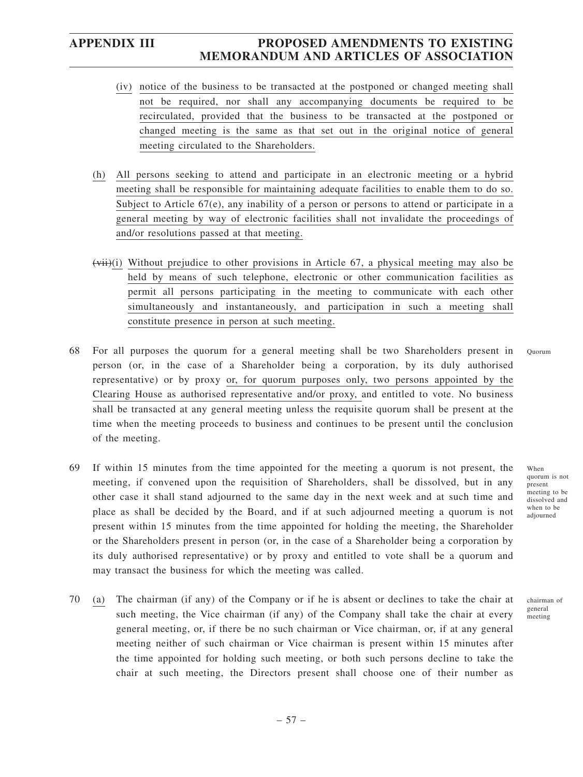- (iv) notice of the business to be transacted at the postponed or changed meeting shall not be required, nor shall any accompanying documents be required to be recirculated, provided that the business to be transacted at the postponed or changed meeting is the same as that set out in the original notice of general meeting circulated to the Shareholders.
- (h) All persons seeking to attend and participate in an electronic meeting or a hybrid meeting shall be responsible for maintaining adequate facilities to enable them to do so. Subject to Article  $67(e)$ , any inability of a person or persons to attend or participate in a general meeting by way of electronic facilities shall not invalidate the proceedings of and/or resolutions passed at that meeting.
- $(vii)(i)$  Without prejudice to other provisions in Article 67, a physical meeting may also be held by means of such telephone, electronic or other communication facilities as permit all persons participating in the meeting to communicate with each other simultaneously and instantaneously, and participation in such a meeting shall constitute presence in person at such meeting.
- 68 For all purposes the quorum for a general meeting shall be two Shareholders present in person (or, in the case of a Shareholder being a corporation, by its duly authorised representative) or by proxy or, for quorum purposes only, two persons appointed by the Clearing House as authorised representative and/or proxy, and entitled to vote. No business shall be transacted at any general meeting unless the requisite quorum shall be present at the time when the meeting proceeds to business and continues to be present until the conclusion of the meeting. Quorum
- 69 If within 15 minutes from the time appointed for the meeting a quorum is not present, the meeting, if convened upon the requisition of Shareholders, shall be dissolved, but in any other case it shall stand adjourned to the same day in the next week and at such time and place as shall be decided by the Board, and if at such adjourned meeting a quorum is not present within 15 minutes from the time appointed for holding the meeting, the Shareholder or the Shareholders present in person (or, in the case of a Shareholder being a corporation by its duly authorised representative) or by proxy and entitled to vote shall be a quorum and may transact the business for which the meeting was called.
- 70 (a) The chairman (if any) of the Company or if he is absent or declines to take the chair at such meeting, the Vice chairman (if any) of the Company shall take the chair at every general meeting, or, if there be no such chairman or Vice chairman, or, if at any general meeting neither of such chairman or Vice chairman is present within 15 minutes after the time appointed for holding such meeting, or both such persons decline to take the chair at such meeting, the Directors present shall choose one of their number as

When quorum is not present meeting to be dissolved and when to be adjourned

chairman of general meeting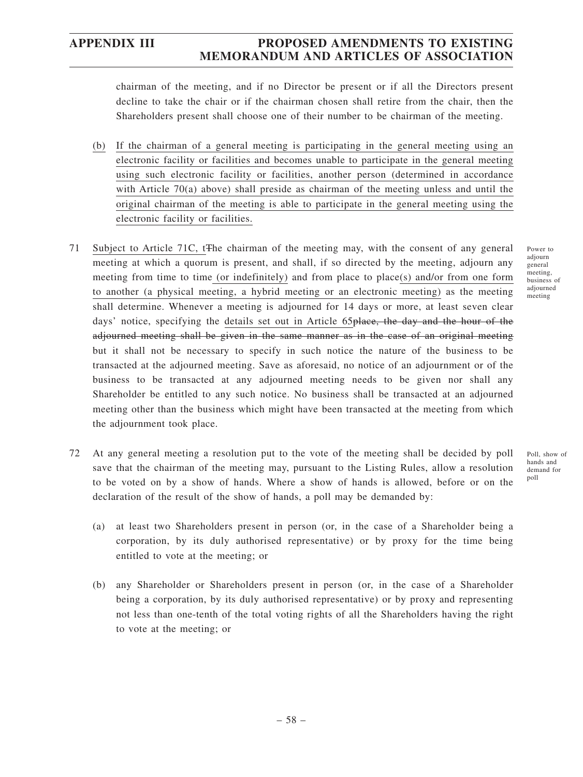chairman of the meeting, and if no Director be present or if all the Directors present decline to take the chair or if the chairman chosen shall retire from the chair, then the Shareholders present shall choose one of their number to be chairman of the meeting.

- (b) If the chairman of a general meeting is participating in the general meeting using an electronic facility or facilities and becomes unable to participate in the general meeting using such electronic facility or facilities, another person (determined in accordance with Article 70(a) above) shall preside as chairman of the meeting unless and until the original chairman of the meeting is able to participate in the general meeting using the electronic facility or facilities.
- 71 Subject to Article 71C, tThe chairman of the meeting may, with the consent of any general meeting at which a quorum is present, and shall, if so directed by the meeting, adjourn any meeting from time to time (or indefinitely) and from place to place(s) and/or from one form to another (a physical meeting, a hybrid meeting or an electronic meeting) as the meeting shall determine. Whenever a meeting is adjourned for 14 days or more, at least seven clear days' notice, specifying the details set out in Article 65<del>place, the day and the hour of the</del> adjourned meeting shall be given in the same manner as in the case of an original meeting but it shall not be necessary to specify in such notice the nature of the business to be transacted at the adjourned meeting. Save as aforesaid, no notice of an adjournment or of the business to be transacted at any adjourned meeting needs to be given nor shall any Shareholder be entitled to any such notice. No business shall be transacted at an adjourned meeting other than the business which might have been transacted at the meeting from which the adjournment took place.
- 72 At any general meeting a resolution put to the vote of the meeting shall be decided by poll save that the chairman of the meeting may, pursuant to the Listing Rules, allow a resolution to be voted on by a show of hands. Where a show of hands is allowed, before or on the declaration of the result of the show of hands, a poll may be demanded by: Poll, show of hands and demand for poll
	- (a) at least two Shareholders present in person (or, in the case of a Shareholder being a corporation, by its duly authorised representative) or by proxy for the time being entitled to vote at the meeting; or
	- (b) any Shareholder or Shareholders present in person (or, in the case of a Shareholder being a corporation, by its duly authorised representative) or by proxy and representing not less than one-tenth of the total voting rights of all the Shareholders having the right to vote at the meeting; or

Power to adjourn general meeting, business of adjourned meeting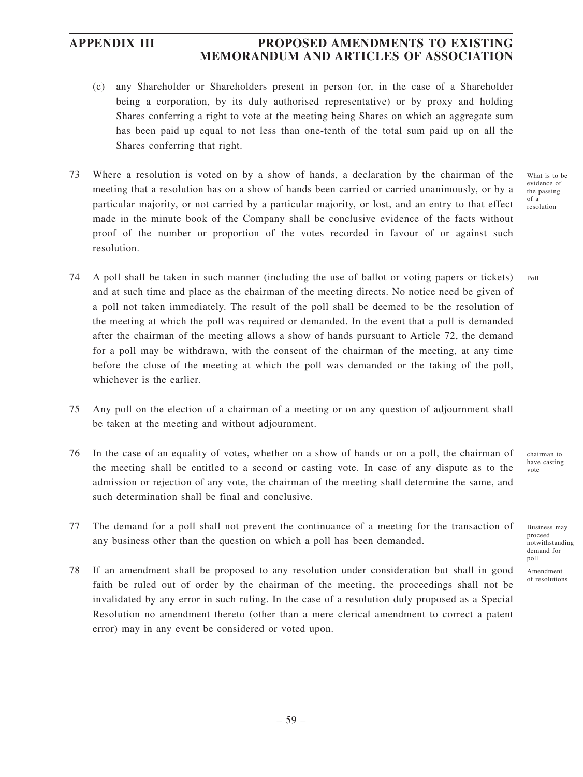- (c) any Shareholder or Shareholders present in person (or, in the case of a Shareholder being a corporation, by its duly authorised representative) or by proxy and holding Shares conferring a right to vote at the meeting being Shares on which an aggregate sum has been paid up equal to not less than one-tenth of the total sum paid up on all the Shares conferring that right.
- 73 Where a resolution is voted on by a show of hands, a declaration by the chairman of the meeting that a resolution has on a show of hands been carried or carried unanimously, or by a particular majority, or not carried by a particular majority, or lost, and an entry to that effect made in the minute book of the Company shall be conclusive evidence of the facts without proof of the number or proportion of the votes recorded in favour of or against such resolution.

What is to be evidence of the passing of a resolution

Poll

- 74 A poll shall be taken in such manner (including the use of ballot or voting papers or tickets) and at such time and place as the chairman of the meeting directs. No notice need be given of a poll not taken immediately. The result of the poll shall be deemed to be the resolution of the meeting at which the poll was required or demanded. In the event that a poll is demanded after the chairman of the meeting allows a show of hands pursuant to Article 72, the demand for a poll may be withdrawn, with the consent of the chairman of the meeting, at any time before the close of the meeting at which the poll was demanded or the taking of the poll, whichever is the earlier.
- 75 Any poll on the election of a chairman of a meeting or on any question of adjournment shall be taken at the meeting and without adjournment.
- 76 In the case of an equality of votes, whether on a show of hands or on a poll, the chairman of the meeting shall be entitled to a second or casting vote. In case of any dispute as to the admission or rejection of any vote, the chairman of the meeting shall determine the same, and such determination shall be final and conclusive.
- 77 The demand for a poll shall not prevent the continuance of a meeting for the transaction of any business other than the question on which a poll has been demanded.
- 78 If an amendment shall be proposed to any resolution under consideration but shall in good faith be ruled out of order by the chairman of the meeting, the proceedings shall not be invalidated by any error in such ruling. In the case of a resolution duly proposed as a Special Resolution no amendment thereto (other than a mere clerical amendment to correct a patent error) may in any event be considered or voted upon.

chairman to have casting vote

Business may proceed notwithstanding demand for poll

Amendment of resolutions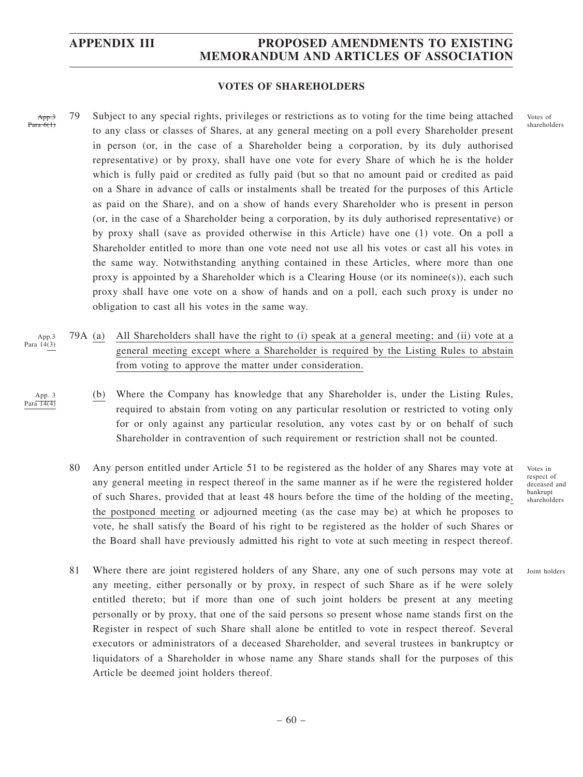### **VOTES OF SHAREHOLDERS**

App. Para 6(1)

App. 3 Para 14(4) 79 Subject to any special rights, privileges or restrictions as to voting for the time being attached to any class or classes of Shares, at any general meeting on a poll every Shareholder present in person (or, in the case of a Shareholder being a corporation, by its duly authorised representative) or by proxy, shall have one vote for every Share of which he is the holder which is fully paid or credited as fully paid (but so that no amount paid or credited as paid on a Share in advance of calls or instalments shall be treated for the purposes of this Article as paid on the Share), and on a show of hands every Shareholder who is present in person (or, in the case of a Shareholder being a corporation, by its duly authorised representative) or by proxy shall (save as provided otherwise in this Article) have one (1) vote. On a poll a Shareholder entitled to more than one vote need not use all his votes or cast all his votes in the same way. Notwithstanding anything contained in these Articles, where more than one proxy is appointed by a Shareholder which is a Clearing House (or its nominee(s)), each such proxy shall have one vote on a show of hands and on a poll, each such proxy is under no obligation to cast all his votes in the same way.

- 79A (a) All Shareholders shall have the right to (i) speak at a general meeting; and (ii) vote at a general meeting except where a Shareholder is required by the Listing Rules to abstain from voting to approve the matter under consideration. App.3 Para 14(3)
	- (b) Where the Company has knowledge that any Shareholder is, under the Listing Rules, required to abstain from voting on any particular resolution or restricted to voting only for or only against any particular resolution, any votes cast by or on behalf of such Shareholder in contravention of such requirement or restriction shall not be counted.
	- 80 Any person entitled under Article 51 to be registered as the holder of any Shares may vote at any general meeting in respect thereof in the same manner as if he were the registered holder of such Shares, provided that at least 48 hours before the time of the holding of the meeting, the postponed meeting or adjourned meeting (as the case may be) at which he proposes to vote, he shall satisfy the Board of his right to be registered as the holder of such Shares or the Board shall have previously admitted his right to vote at such meeting in respect thereof.
- Votes in respect of deceased and bankrupt shareholders

Joint holders

81 Where there are joint registered holders of any Share, any one of such persons may vote at any meeting, either personally or by proxy, in respect of such Share as if he were solely entitled thereto; but if more than one of such joint holders be present at any meeting personally or by proxy, that one of the said persons so present whose name stands first on the Register in respect of such Share shall alone be entitled to vote in respect thereof. Several executors or administrators of a deceased Shareholder, and several trustees in bankruptcy or liquidators of a Shareholder in whose name any Share stands shall for the purposes of this Article be deemed joint holders thereof.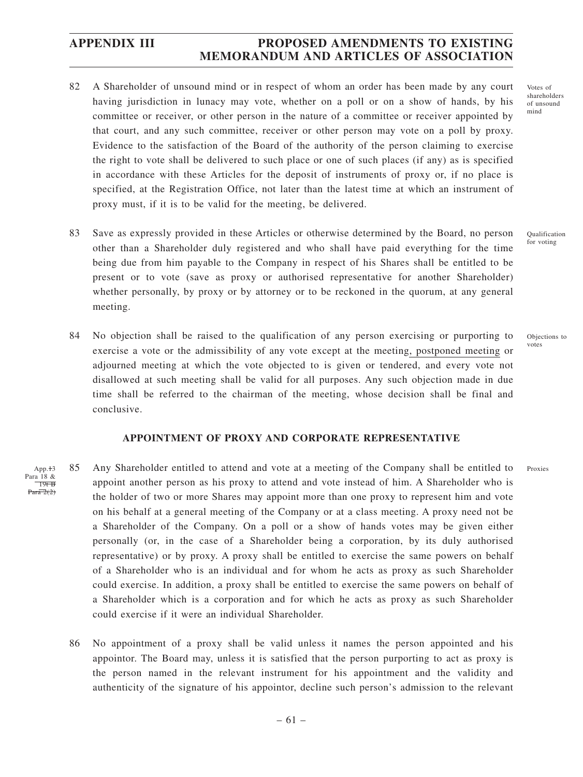- 82 A Shareholder of unsound mind or in respect of whom an order has been made by any court having jurisdiction in lunacy may vote, whether on a poll or on a show of hands, by his committee or receiver, or other person in the nature of a committee or receiver appointed by that court, and any such committee, receiver or other person may vote on a poll by proxy. Evidence to the satisfaction of the Board of the authority of the person claiming to exercise the right to vote shall be delivered to such place or one of such places (if any) as is specified in accordance with these Articles for the deposit of instruments of proxy or, if no place is specified, at the Registration Office, not later than the latest time at which an instrument of proxy must, if it is to be valid for the meeting, be delivered.
- 83 Save as expressly provided in these Articles or otherwise determined by the Board, no person other than a Shareholder duly registered and who shall have paid everything for the time being due from him payable to the Company in respect of his Shares shall be entitled to be present or to vote (save as proxy or authorised representative for another Shareholder) whether personally, by proxy or by attorney or to be reckoned in the quorum, at any general meeting.
- 84 No objection shall be raised to the qualification of any person exercising or purporting to exercise a vote or the admissibility of any vote except at the meeting, postponed meeting or adjourned meeting at which the vote objected to is given or tendered, and every vote not disallowed at such meeting shall be valid for all purposes. Any such objection made in due time shall be referred to the chairman of the meeting, whose decision shall be final and conclusive.

### **APPOINTMENT OF PROXY AND CORPORATE REPRESENTATIVE**

- 85 Any Shareholder entitled to attend and vote at a meeting of the Company shall be entitled to appoint another person as his proxy to attend and vote instead of him. A Shareholder who is the holder of two or more Shares may appoint more than one proxy to represent him and vote on his behalf at a general meeting of the Company or at a class meeting. A proxy need not be a Shareholder of the Company. On a poll or a show of hands votes may be given either personally (or, in the case of a Shareholder being a corporation, by its duly authorised representative) or by proxy. A proxy shall be entitled to exercise the same powers on behalf of a Shareholder who is an individual and for whom he acts as proxy as such Shareholder could exercise. In addition, a proxy shall be entitled to exercise the same powers on behalf of a Shareholder which is a corporation and for which he acts as proxy as such Shareholder could exercise if it were an individual Shareholder. App.<sup>+3</sup> Para 18 &  $19tB$  $Par\overline{a}$   $2(2)$ 
	- 86 No appointment of a proxy shall be valid unless it names the person appointed and his appointor. The Board may, unless it is satisfied that the person purporting to act as proxy is the person named in the relevant instrument for his appointment and the validity and authenticity of the signature of his appointor, decline such person's admission to the relevant

Votes of shareholders of unsound mind

Qualification for voting

Objections to votes

Proxies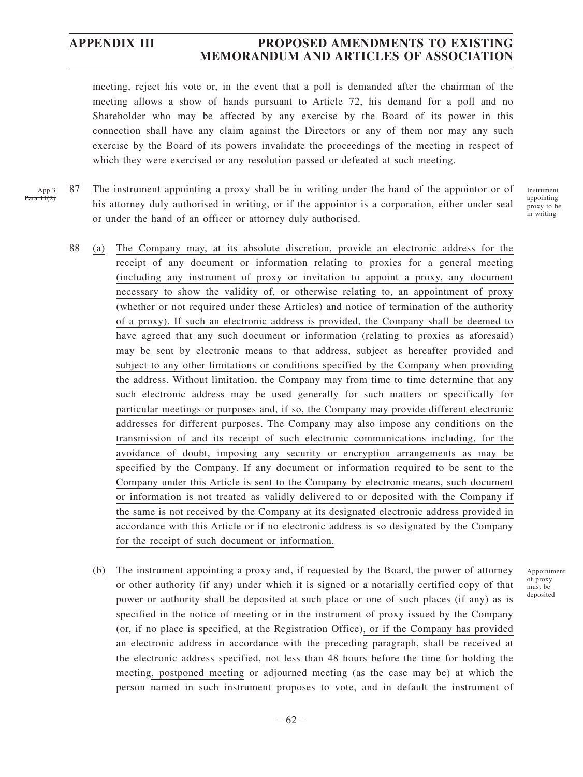meeting, reject his vote or, in the event that a poll is demanded after the chairman of the meeting allows a show of hands pursuant to Article 72, his demand for a poll and no Shareholder who may be affected by any exercise by the Board of its power in this connection shall have any claim against the Directors or any of them nor may any such exercise by the Board of its powers invalidate the proceedings of the meeting in respect of which they were exercised or any resolution passed or defeated at such meeting.

87 The instrument appointing a proxy shall be in writing under the hand of the appointor or of his attorney duly authorised in writing, or if the appointor is a corporation, either under seal or under the hand of an officer or attorney duly authorised. App.3 Para 11(2)

Instrument appointing proxy to be in writing

- 88 (a) The Company may, at its absolute discretion, provide an electronic address for the receipt of any document or information relating to proxies for a general meeting (including any instrument of proxy or invitation to appoint a proxy, any document necessary to show the validity of, or otherwise relating to, an appointment of proxy (whether or not required under these Articles) and notice of termination of the authority of a proxy). If such an electronic address is provided, the Company shall be deemed to have agreed that any such document or information (relating to proxies as aforesaid) may be sent by electronic means to that address, subject as hereafter provided and subject to any other limitations or conditions specified by the Company when providing the address. Without limitation, the Company may from time to time determine that any such electronic address may be used generally for such matters or specifically for particular meetings or purposes and, if so, the Company may provide different electronic addresses for different purposes. The Company may also impose any conditions on the transmission of and its receipt of such electronic communications including, for the avoidance of doubt, imposing any security or encryption arrangements as may be specified by the Company. If any document or information required to be sent to the Company under this Article is sent to the Company by electronic means, such document or information is not treated as validly delivered to or deposited with the Company if the same is not received by the Company at its designated electronic address provided in accordance with this Article or if no electronic address is so designated by the Company for the receipt of such document or information.
	- (b) The instrument appointing a proxy and, if requested by the Board, the power of attorney or other authority (if any) under which it is signed or a notarially certified copy of that power or authority shall be deposited at such place or one of such places (if any) as is specified in the notice of meeting or in the instrument of proxy issued by the Company (or, if no place is specified, at the Registration Office), or if the Company has provided an electronic address in accordance with the preceding paragraph, shall be received at the electronic address specified, not less than 48 hours before the time for holding the meeting, postponed meeting or adjourned meeting (as the case may be) at which the person named in such instrument proposes to vote, and in default the instrument of

Appointment of proxy must be deposited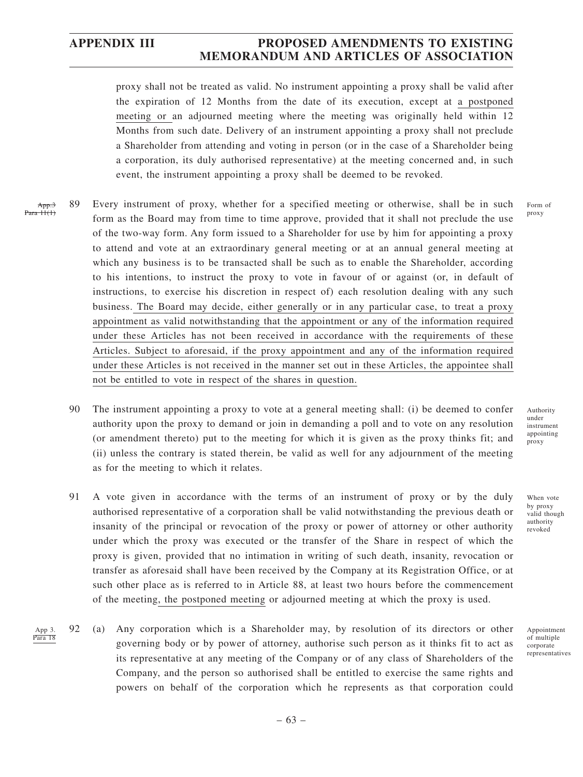proxy shall not be treated as valid. No instrument appointing a proxy shall be valid after the expiration of 12 Months from the date of its execution, except at a postponed meeting or an adjourned meeting where the meeting was originally held within 12 Months from such date. Delivery of an instrument appointing a proxy shall not preclude a Shareholder from attending and voting in person (or in the case of a Shareholder being a corporation, its duly authorised representative) at the meeting concerned and, in such event, the instrument appointing a proxy shall be deemed to be revoked.

- 89 Every instrument of proxy, whether for a specified meeting or otherwise, shall be in such form as the Board may from time to time approve, provided that it shall not preclude the use of the two-way form. Any form issued to a Shareholder for use by him for appointing a proxy to attend and vote at an extraordinary general meeting or at an annual general meeting at which any business is to be transacted shall be such as to enable the Shareholder, according to his intentions, to instruct the proxy to vote in favour of or against (or, in default of instructions, to exercise his discretion in respect of) each resolution dealing with any such business. The Board may decide, either generally or in any particular case, to treat a proxy appointment as valid notwithstanding that the appointment or any of the information required under these Articles has not been received in accordance with the requirements of these Articles. Subject to aforesaid, if the proxy appointment and any of the information required under these Articles is not received in the manner set out in these Articles, the appointee shall not be entitled to vote in respect of the shares in question. App.3 Para 11(1)
	- 90 The instrument appointing a proxy to vote at a general meeting shall: (i) be deemed to confer authority upon the proxy to demand or join in demanding a poll and to vote on any resolution (or amendment thereto) put to the meeting for which it is given as the proxy thinks fit; and (ii) unless the contrary is stated therein, be valid as well for any adjournment of the meeting as for the meeting to which it relates.
	- 91 A vote given in accordance with the terms of an instrument of proxy or by the duly authorised representative of a corporation shall be valid notwithstanding the previous death or insanity of the principal or revocation of the proxy or power of attorney or other authority under which the proxy was executed or the transfer of the Share in respect of which the proxy is given, provided that no intimation in writing of such death, insanity, revocation or transfer as aforesaid shall have been received by the Company at its Registration Office, or at such other place as is referred to in Article 88, at least two hours before the commencement of the meeting, the postponed meeting or adjourned meeting at which the proxy is used.
	- 92 (a) Any corporation which is a Shareholder may, by resolution of its directors or other governing body or by power of attorney, authorise such person as it thinks fit to act as its representative at any meeting of the Company or of any class of Shareholders of the Company, and the person so authorised shall be entitled to exercise the same rights and powers on behalf of the corporation which he represents as that corporation could App 3. Para 18

Authority under instrument appointing proxy

Form of proxy

When vote by proxy valid though authority revoked

Appointment of multiple corporate representatives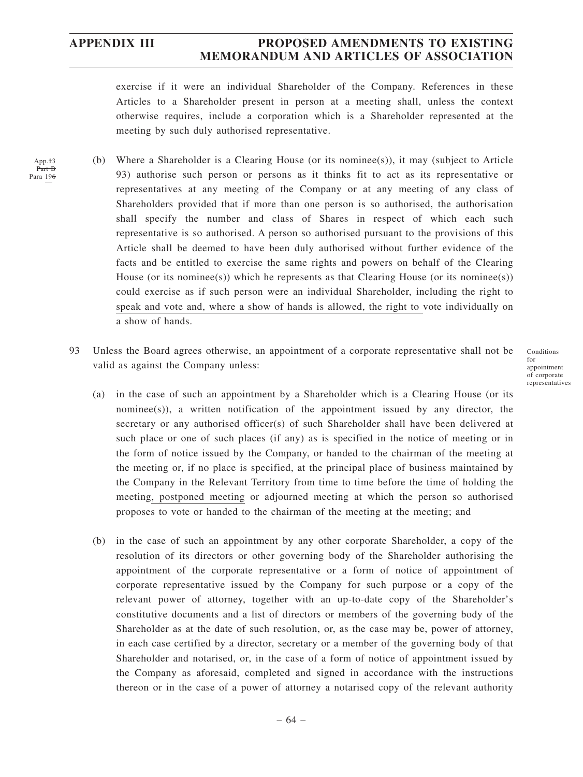App.<sup>+3</sup> Part B Para 196

# **APPENDIX III PROPOSED AMENDMENTS TO EXISTING MEMORANDUM AND ARTICLES OF ASSOCIATION**

exercise if it were an individual Shareholder of the Company. References in these Articles to a Shareholder present in person at a meeting shall, unless the context otherwise requires, include a corporation which is a Shareholder represented at the meeting by such duly authorised representative.

- (b) Where a Shareholder is a Clearing House (or its nominee(s)), it may (subject to Article 93) authorise such person or persons as it thinks fit to act as its representative or representatives at any meeting of the Company or at any meeting of any class of Shareholders provided that if more than one person is so authorised, the authorisation shall specify the number and class of Shares in respect of which each such representative is so authorised. A person so authorised pursuant to the provisions of this Article shall be deemed to have been duly authorised without further evidence of the facts and be entitled to exercise the same rights and powers on behalf of the Clearing House (or its nominee(s)) which he represents as that Clearing House (or its nominee(s)) could exercise as if such person were an individual Shareholder, including the right to speak and vote and, where a show of hands is allowed, the right to vote individually on a show of hands.
- 93 Unless the Board agrees otherwise, an appointment of a corporate representative shall not be valid as against the Company unless:

Conditions for appointment of corporate representatives

- (a) in the case of such an appointment by a Shareholder which is a Clearing House (or its nominee(s)), a written notification of the appointment issued by any director, the secretary or any authorised officer(s) of such Shareholder shall have been delivered at such place or one of such places (if any) as is specified in the notice of meeting or in the form of notice issued by the Company, or handed to the chairman of the meeting at the meeting or, if no place is specified, at the principal place of business maintained by the Company in the Relevant Territory from time to time before the time of holding the meeting, postponed meeting or adjourned meeting at which the person so authorised proposes to vote or handed to the chairman of the meeting at the meeting; and
- (b) in the case of such an appointment by any other corporate Shareholder, a copy of the resolution of its directors or other governing body of the Shareholder authorising the appointment of the corporate representative or a form of notice of appointment of corporate representative issued by the Company for such purpose or a copy of the relevant power of attorney, together with an up-to-date copy of the Shareholder's constitutive documents and a list of directors or members of the governing body of the Shareholder as at the date of such resolution, or, as the case may be, power of attorney, in each case certified by a director, secretary or a member of the governing body of that Shareholder and notarised, or, in the case of a form of notice of appointment issued by the Company as aforesaid, completed and signed in accordance with the instructions thereon or in the case of a power of attorney a notarised copy of the relevant authority

– 64 –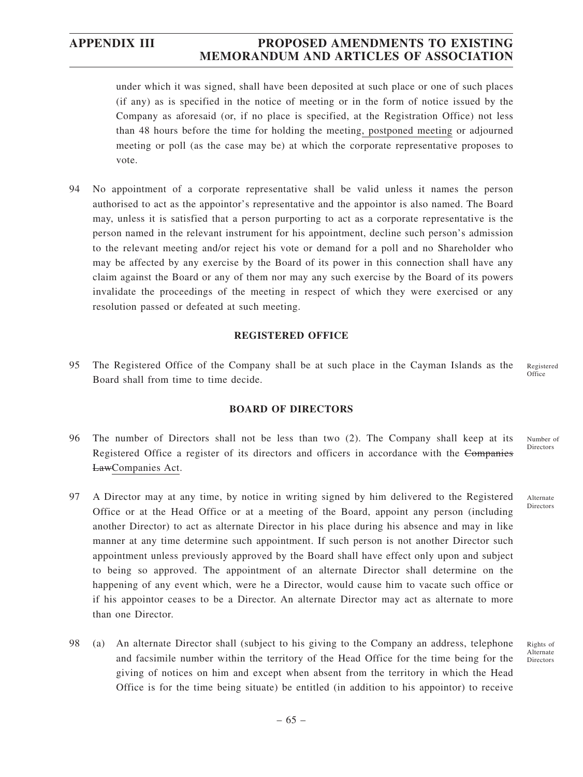under which it was signed, shall have been deposited at such place or one of such places (if any) as is specified in the notice of meeting or in the form of notice issued by the Company as aforesaid (or, if no place is specified, at the Registration Office) not less than 48 hours before the time for holding the meeting, postponed meeting or adjourned meeting or poll (as the case may be) at which the corporate representative proposes to vote.

94 No appointment of a corporate representative shall be valid unless it names the person authorised to act as the appointor's representative and the appointor is also named. The Board may, unless it is satisfied that a person purporting to act as a corporate representative is the person named in the relevant instrument for his appointment, decline such person's admission to the relevant meeting and/or reject his vote or demand for a poll and no Shareholder who may be affected by any exercise by the Board of its power in this connection shall have any claim against the Board or any of them nor may any such exercise by the Board of its powers invalidate the proceedings of the meeting in respect of which they were exercised or any resolution passed or defeated at such meeting.

### **REGISTERED OFFICE**

95 The Registered Office of the Company shall be at such place in the Cayman Islands as the Board shall from time to time decide. Registered **Office** 

### **BOARD OF DIRECTORS**

- 96 The number of Directors shall not be less than two (2). The Company shall keep at its Registered Office a register of its directors and officers in accordance with the Companies LawCompanies Act.
- 97 A Director may at any time, by notice in writing signed by him delivered to the Registered Office or at the Head Office or at a meeting of the Board, appoint any person (including another Director) to act as alternate Director in his place during his absence and may in like manner at any time determine such appointment. If such person is not another Director such appointment unless previously approved by the Board shall have effect only upon and subject to being so approved. The appointment of an alternate Director shall determine on the happening of any event which, were he a Director, would cause him to vacate such office or if his appointor ceases to be a Director. An alternate Director may act as alternate to more than one Director.
- 98 (a) An alternate Director shall (subject to his giving to the Company an address, telephone and facsimile number within the territory of the Head Office for the time being for the giving of notices on him and except when absent from the territory in which the Head Office is for the time being situate) be entitled (in addition to his appointor) to receive

Number of Directors

Alternate **Directors** 

Rights of Alternate Directors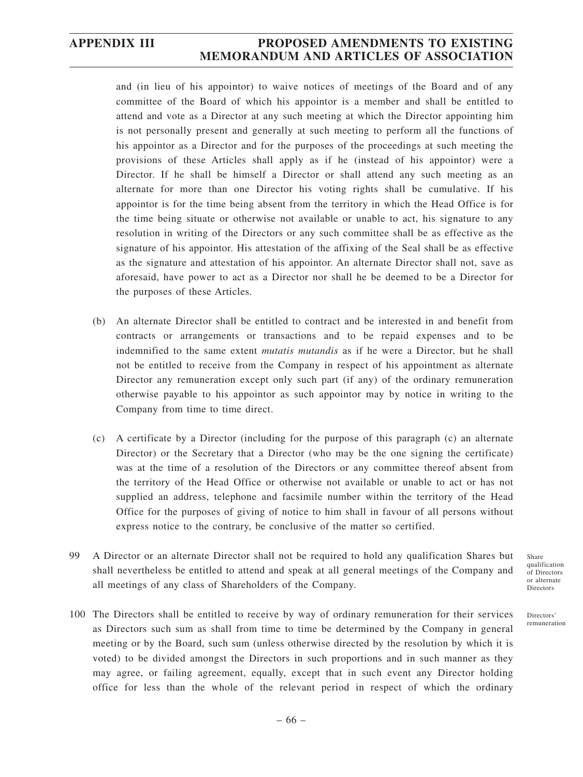and (in lieu of his appointor) to waive notices of meetings of the Board and of any committee of the Board of which his appointor is a member and shall be entitled to attend and vote as a Director at any such meeting at which the Director appointing him is not personally present and generally at such meeting to perform all the functions of his appointor as a Director and for the purposes of the proceedings at such meeting the provisions of these Articles shall apply as if he (instead of his appointor) were a Director. If he shall be himself a Director or shall attend any such meeting as an alternate for more than one Director his voting rights shall be cumulative. If his appointor is for the time being absent from the territory in which the Head Office is for the time being situate or otherwise not available or unable to act, his signature to any resolution in writing of the Directors or any such committee shall be as effective as the signature of his appointor. His attestation of the affixing of the Seal shall be as effective as the signature and attestation of his appointor. An alternate Director shall not, save as aforesaid, have power to act as a Director nor shall he be deemed to be a Director for the purposes of these Articles.

- (b) An alternate Director shall be entitled to contract and be interested in and benefit from contracts or arrangements or transactions and to be repaid expenses and to be indemnified to the same extent *mutatis mutandis* as if he were a Director, but he shall not be entitled to receive from the Company in respect of his appointment as alternate Director any remuneration except only such part (if any) of the ordinary remuneration otherwise payable to his appointor as such appointor may by notice in writing to the Company from time to time direct.
- (c) A certificate by a Director (including for the purpose of this paragraph (c) an alternate Director) or the Secretary that a Director (who may be the one signing the certificate) was at the time of a resolution of the Directors or any committee thereof absent from the territory of the Head Office or otherwise not available or unable to act or has not supplied an address, telephone and facsimile number within the territory of the Head Office for the purposes of giving of notice to him shall in favour of all persons without express notice to the contrary, be conclusive of the matter so certified.
- 99 A Director or an alternate Director shall not be required to hold any qualification Shares but shall nevertheless be entitled to attend and speak at all general meetings of the Company and all meetings of any class of Shareholders of the Company.
- 100 The Directors shall be entitled to receive by way of ordinary remuneration for their services as Directors such sum as shall from time to time be determined by the Company in general meeting or by the Board, such sum (unless otherwise directed by the resolution by which it is voted) to be divided amongst the Directors in such proportions and in such manner as they may agree, or failing agreement, equally, except that in such event any Director holding office for less than the whole of the relevant period in respect of which the ordinary

Share qualification of Directors or alternate Directors

Directors' remuneration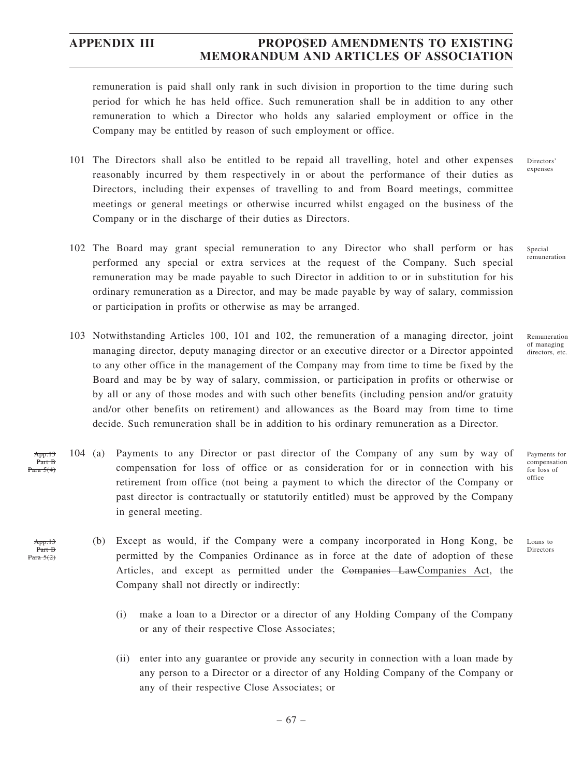remuneration is paid shall only rank in such division in proportion to the time during such period for which he has held office. Such remuneration shall be in addition to any other remuneration to which a Director who holds any salaried employment or office in the Company may be entitled by reason of such employment or office.

- 101 The Directors shall also be entitled to be repaid all travelling, hotel and other expenses reasonably incurred by them respectively in or about the performance of their duties as Directors, including their expenses of travelling to and from Board meetings, committee meetings or general meetings or otherwise incurred whilst engaged on the business of the Company or in the discharge of their duties as Directors.
- 102 The Board may grant special remuneration to any Director who shall perform or has performed any special or extra services at the request of the Company. Such special remuneration may be made payable to such Director in addition to or in substitution for his ordinary remuneration as a Director, and may be made payable by way of salary, commission or participation in profits or otherwise as may be arranged. Special remuneration
- 103 Notwithstanding Articles 100, 101 and 102, the remuneration of a managing director, joint managing director, deputy managing director or an executive director or a Director appointed to any other office in the management of the Company may from time to time be fixed by the Board and may be by way of salary, commission, or participation in profits or otherwise or by all or any of those modes and with such other benefits (including pension and/or gratuity and/or other benefits on retirement) and allowances as the Board may from time to time decide. Such remuneration shall be in addition to his ordinary remuneration as a Director.
- 104 (a) Payments to any Director or past director of the Company of any sum by way of compensation for loss of office or as consideration for or in connection with his retirement from office (not being a payment to which the director of the Company or past director is contractually or statutorily entitled) must be approved by the Company in general meeting. App.13 Part B Para 5(4)
	- (b) Except as would, if the Company were a company incorporated in Hong Kong, be permitted by the Companies Ordinance as in force at the date of adoption of these Articles, and except as permitted under the Companies LawCompanies Act, the Company shall not directly or indirectly:
		- (i) make a loan to a Director or a director of any Holding Company of the Company or any of their respective Close Associates;
		- (ii) enter into any guarantee or provide any security in connection with a loan made by any person to a Director or a director of any Holding Company of the Company or any of their respective Close Associates; or

– 67 –

Payments for compensation for loss of office

Remuneration of managing directors, etc.

Loans to Directors

Directors' expenses

 $App.13$ Part B Para 5(2)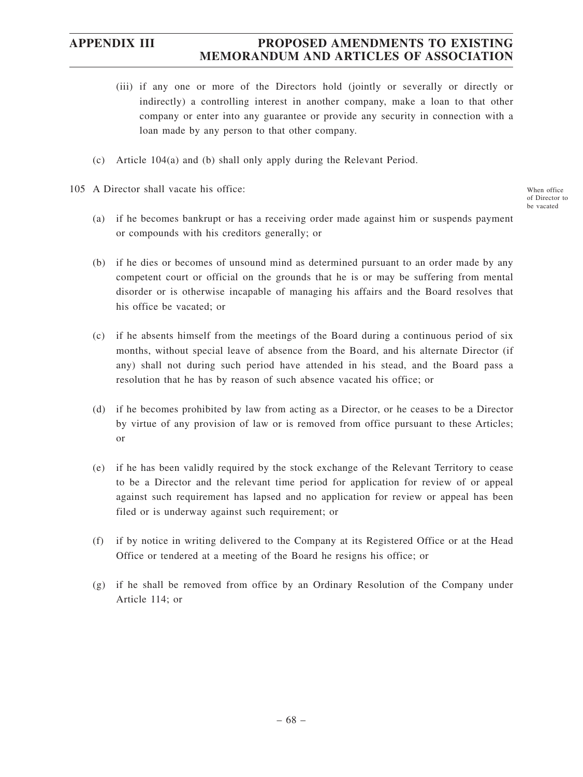- (iii) if any one or more of the Directors hold (jointly or severally or directly or indirectly) a controlling interest in another company, make a loan to that other company or enter into any guarantee or provide any security in connection with a loan made by any person to that other company.
- (c) Article 104(a) and (b) shall only apply during the Relevant Period.
- 105 A Director shall vacate his office:
	- (a) if he becomes bankrupt or has a receiving order made against him or suspends payment or compounds with his creditors generally; or
	- (b) if he dies or becomes of unsound mind as determined pursuant to an order made by any competent court or official on the grounds that he is or may be suffering from mental disorder or is otherwise incapable of managing his affairs and the Board resolves that his office be vacated; or
	- (c) if he absents himself from the meetings of the Board during a continuous period of six months, without special leave of absence from the Board, and his alternate Director (if any) shall not during such period have attended in his stead, and the Board pass a resolution that he has by reason of such absence vacated his office; or
	- (d) if he becomes prohibited by law from acting as a Director, or he ceases to be a Director by virtue of any provision of law or is removed from office pursuant to these Articles; or
	- (e) if he has been validly required by the stock exchange of the Relevant Territory to cease to be a Director and the relevant time period for application for review of or appeal against such requirement has lapsed and no application for review or appeal has been filed or is underway against such requirement; or
	- (f) if by notice in writing delivered to the Company at its Registered Office or at the Head Office or tendered at a meeting of the Board he resigns his office; or
	- (g) if he shall be removed from office by an Ordinary Resolution of the Company under Article 114; or

When office of Director to be vacated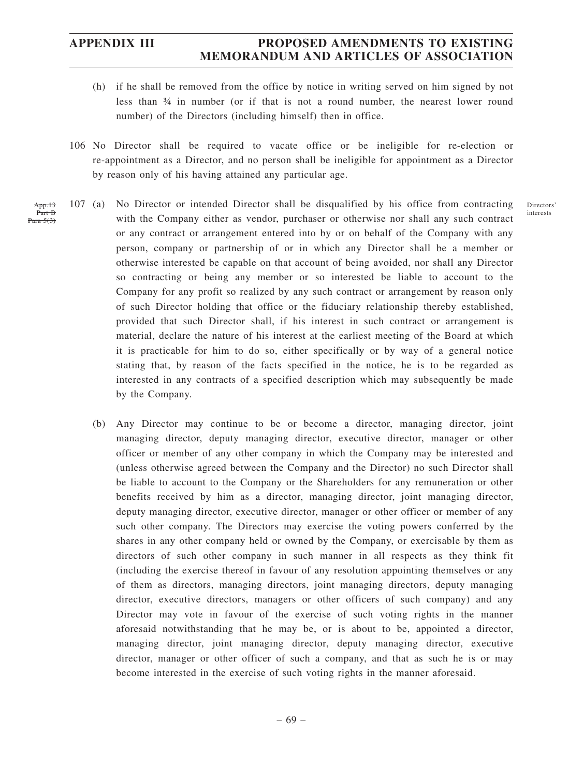- (h) if he shall be removed from the office by notice in writing served on him signed by not less than ¾ in number (or if that is not a round number, the nearest lower round number) of the Directors (including himself) then in office.
- 106 No Director shall be required to vacate office or be ineligible for re-election or re-appointment as a Director, and no person shall be ineligible for appointment as a Director by reason only of his having attained any particular age.
- 107 (a) No Director or intended Director shall be disqualified by his office from contracting with the Company either as vendor, purchaser or otherwise nor shall any such contract or any contract or arrangement entered into by or on behalf of the Company with any person, company or partnership of or in which any Director shall be a member or otherwise interested be capable on that account of being avoided, nor shall any Director so contracting or being any member or so interested be liable to account to the Company for any profit so realized by any such contract or arrangement by reason only of such Director holding that office or the fiduciary relationship thereby established, provided that such Director shall, if his interest in such contract or arrangement is material, declare the nature of his interest at the earliest meeting of the Board at which it is practicable for him to do so, either specifically or by way of a general notice stating that, by reason of the facts specified in the notice, he is to be regarded as interested in any contracts of a specified description which may subsequently be made by the Company. App.13 Part B Para 5(3)
	- (b) Any Director may continue to be or become a director, managing director, joint managing director, deputy managing director, executive director, manager or other officer or member of any other company in which the Company may be interested and (unless otherwise agreed between the Company and the Director) no such Director shall be liable to account to the Company or the Shareholders for any remuneration or other benefits received by him as a director, managing director, joint managing director, deputy managing director, executive director, manager or other officer or member of any such other company. The Directors may exercise the voting powers conferred by the shares in any other company held or owned by the Company, or exercisable by them as directors of such other company in such manner in all respects as they think fit (including the exercise thereof in favour of any resolution appointing themselves or any of them as directors, managing directors, joint managing directors, deputy managing director, executive directors, managers or other officers of such company) and any Director may vote in favour of the exercise of such voting rights in the manner aforesaid notwithstanding that he may be, or is about to be, appointed a director, managing director, joint managing director, deputy managing director, executive director, manager or other officer of such a company, and that as such he is or may become interested in the exercise of such voting rights in the manner aforesaid.

**Directors** interests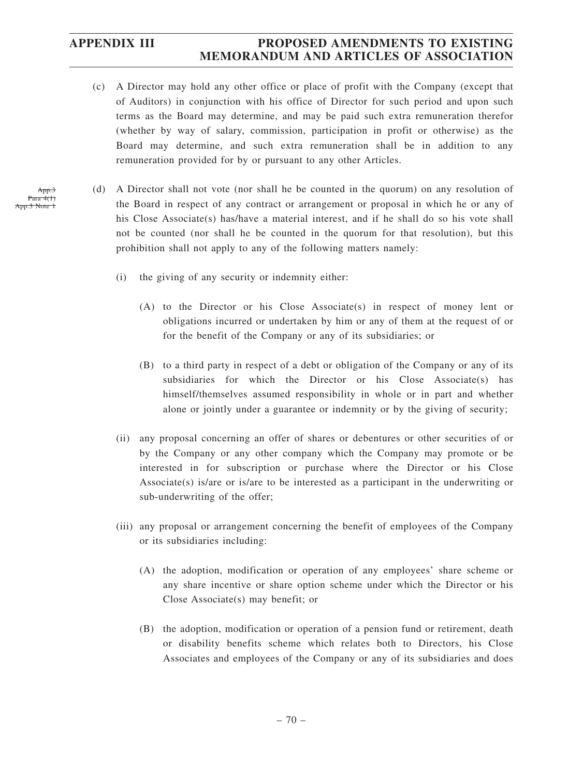- (c) A Director may hold any other office or place of profit with the Company (except that of Auditors) in conjunction with his office of Director for such period and upon such terms as the Board may determine, and may be paid such extra remuneration therefor (whether by way of salary, commission, participation in profit or otherwise) as the Board may determine, and such extra remuneration shall be in addition to any remuneration provided for by or pursuant to any other Articles.
- (d) A Director shall not vote (nor shall he be counted in the quorum) on any resolution of the Board in respect of any contract or arrangement or proposal in which he or any of his Close Associate(s) has/have a material interest, and if he shall do so his vote shall not be counted (nor shall he be counted in the quorum for that resolution), but this prohibition shall not apply to any of the following matters namely:
	- (i) the giving of any security or indemnity either:
		- (A) to the Director or his Close Associate(s) in respect of money lent or obligations incurred or undertaken by him or any of them at the request of or for the benefit of the Company or any of its subsidiaries; or
		- (B) to a third party in respect of a debt or obligation of the Company or any of its subsidiaries for which the Director or his Close Associate(s) has himself/themselves assumed responsibility in whole or in part and whether alone or jointly under a guarantee or indemnity or by the giving of security;
	- (ii) any proposal concerning an offer of shares or debentures or other securities of or by the Company or any other company which the Company may promote or be interested in for subscription or purchase where the Director or his Close Associate(s) is/are or is/are to be interested as a participant in the underwriting or sub-underwriting of the offer;
	- (iii) any proposal or arrangement concerning the benefit of employees of the Company or its subsidiaries including:
		- (A) the adoption, modification or operation of any employees' share scheme or any share incentive or share option scheme under which the Director or his Close Associate(s) may benefit; or
		- (B) the adoption, modification or operation of a pension fund or retirement, death or disability benefits scheme which relates both to Directors, his Close Associates and employees of the Company or any of its subsidiaries and does

App.3 Para 4(1)  $\frac{3}{2}$  Note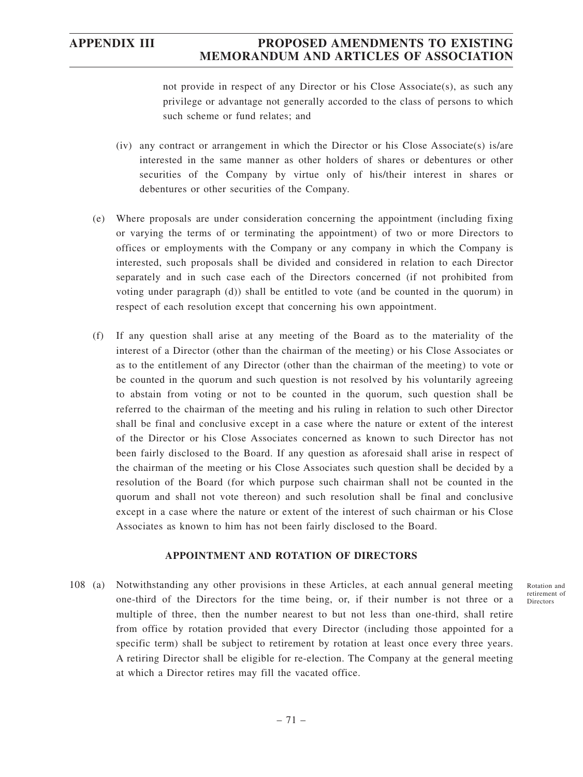not provide in respect of any Director or his Close Associate(s), as such any privilege or advantage not generally accorded to the class of persons to which such scheme or fund relates; and

- (iv) any contract or arrangement in which the Director or his Close Associate(s) is/are interested in the same manner as other holders of shares or debentures or other securities of the Company by virtue only of his/their interest in shares or debentures or other securities of the Company.
- (e) Where proposals are under consideration concerning the appointment (including fixing or varying the terms of or terminating the appointment) of two or more Directors to offices or employments with the Company or any company in which the Company is interested, such proposals shall be divided and considered in relation to each Director separately and in such case each of the Directors concerned (if not prohibited from voting under paragraph (d)) shall be entitled to vote (and be counted in the quorum) in respect of each resolution except that concerning his own appointment.
- (f) If any question shall arise at any meeting of the Board as to the materiality of the interest of a Director (other than the chairman of the meeting) or his Close Associates or as to the entitlement of any Director (other than the chairman of the meeting) to vote or be counted in the quorum and such question is not resolved by his voluntarily agreeing to abstain from voting or not to be counted in the quorum, such question shall be referred to the chairman of the meeting and his ruling in relation to such other Director shall be final and conclusive except in a case where the nature or extent of the interest of the Director or his Close Associates concerned as known to such Director has not been fairly disclosed to the Board. If any question as aforesaid shall arise in respect of the chairman of the meeting or his Close Associates such question shall be decided by a resolution of the Board (for which purpose such chairman shall not be counted in the quorum and shall not vote thereon) and such resolution shall be final and conclusive except in a case where the nature or extent of the interest of such chairman or his Close Associates as known to him has not been fairly disclosed to the Board.

### **APPOINTMENT AND ROTATION OF DIRECTORS**

108 (a) Notwithstanding any other provisions in these Articles, at each annual general meeting one-third of the Directors for the time being, or, if their number is not three or a multiple of three, then the number nearest to but not less than one-third, shall retire from office by rotation provided that every Director (including those appointed for a specific term) shall be subject to retirement by rotation at least once every three years. A retiring Director shall be eligible for re-election. The Company at the general meeting at which a Director retires may fill the vacated office.

Rotation and retirement of Directors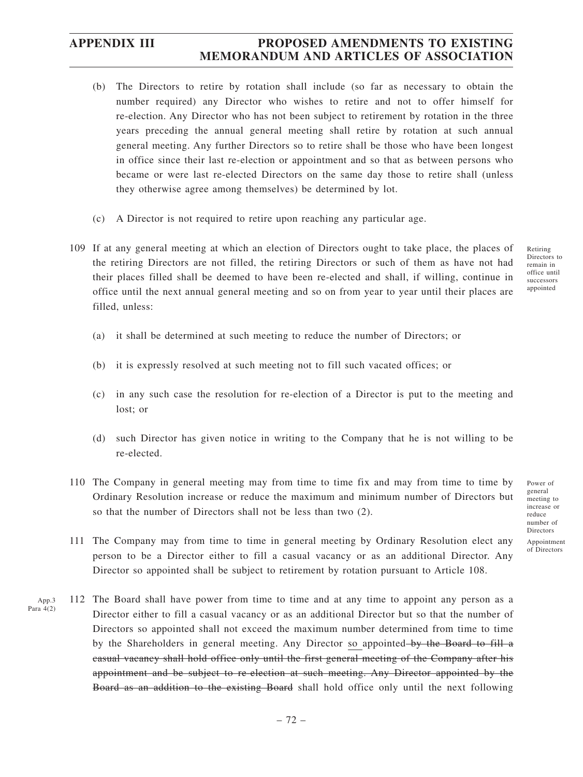- (b) The Directors to retire by rotation shall include (so far as necessary to obtain the number required) any Director who wishes to retire and not to offer himself for re-election. Any Director who has not been subject to retirement by rotation in the three years preceding the annual general meeting shall retire by rotation at such annual general meeting. Any further Directors so to retire shall be those who have been longest in office since their last re-election or appointment and so that as between persons who became or were last re-elected Directors on the same day those to retire shall (unless they otherwise agree among themselves) be determined by lot.
- (c) A Director is not required to retire upon reaching any particular age.
- 109 If at any general meeting at which an election of Directors ought to take place, the places of the retiring Directors are not filled, the retiring Directors or such of them as have not had their places filled shall be deemed to have been re-elected and shall, if willing, continue in office until the next annual general meeting and so on from year to year until their places are filled, unless:
	- (a) it shall be determined at such meeting to reduce the number of Directors; or
	- (b) it is expressly resolved at such meeting not to fill such vacated offices; or
	- (c) in any such case the resolution for re-election of a Director is put to the meeting and lost; or
	- (d) such Director has given notice in writing to the Company that he is not willing to be re-elected.
- 110 The Company in general meeting may from time to time fix and may from time to time by Ordinary Resolution increase or reduce the maximum and minimum number of Directors but so that the number of Directors shall not be less than two (2).
- 111 The Company may from time to time in general meeting by Ordinary Resolution elect any person to be a Director either to fill a casual vacancy or as an additional Director. Any Director so appointed shall be subject to retirement by rotation pursuant to Article 108.
- 112 The Board shall have power from time to time and at any time to appoint any person as a Director either to fill a casual vacancy or as an additional Director but so that the number of Directors so appointed shall not exceed the maximum number determined from time to time by the Shareholders in general meeting. Any Director so appointed–by the Board to fill a casual vacancy shall hold office only until the first general meeting of the Company after his appointment and be subject to re-election at such meeting. Any Director appointed by the Board as an addition to the existing Board shall hold office only until the next following App.3 Para  $4(2)$

Retiring Directors to remain in office until successors appointed

Power of general meeting to increase or reduce number of Directors Appointment of Directors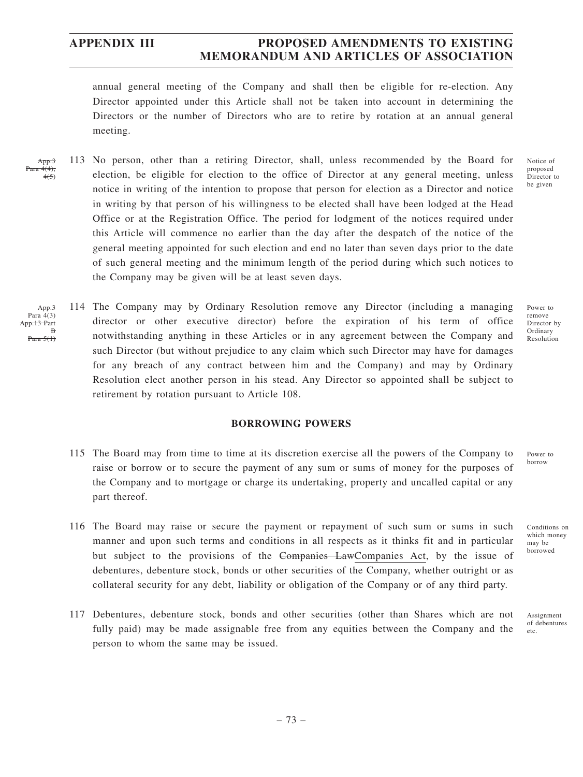annual general meeting of the Company and shall then be eligible for re-election. Any Director appointed under this Article shall not be taken into account in determining the Directors or the number of Directors who are to retire by rotation at an annual general meeting.

- 113 No person, other than a retiring Director, shall, unless recommended by the Board for election, be eligible for election to the office of Director at any general meeting, unless notice in writing of the intention to propose that person for election as a Director and notice in writing by that person of his willingness to be elected shall have been lodged at the Head Office or at the Registration Office. The period for lodgment of the notices required under this Article will commence no earlier than the day after the despatch of the notice of the general meeting appointed for such election and end no later than seven days prior to the date of such general meeting and the minimum length of the period during which such notices to the Company may be given will be at least seven days. App.3 Para 4(4);  $4(5)$
- 114 The Company may by Ordinary Resolution remove any Director (including a managing director or other executive director) before the expiration of his term of office notwithstanding anything in these Articles or in any agreement between the Company and such Director (but without prejudice to any claim which such Director may have for damages for any breach of any contract between him and the Company) and may by Ordinary Resolution elect another person in his stead. Any Director so appointed shall be subject to retirement by rotation pursuant to Article 108. App.3 Para 4(3) App.13 Part B Para 5(1)

### **BORROWING POWERS**

- 115 The Board may from time to time at its discretion exercise all the powers of the Company to raise or borrow or to secure the payment of any sum or sums of money for the purposes of the Company and to mortgage or charge its undertaking, property and uncalled capital or any part thereof.
- 116 The Board may raise or secure the payment or repayment of such sum or sums in such manner and upon such terms and conditions in all respects as it thinks fit and in particular but subject to the provisions of the Companies LawCompanies Act, by the issue of debentures, debenture stock, bonds or other securities of the Company, whether outright or as collateral security for any debt, liability or obligation of the Company or of any third party.
- 117 Debentures, debenture stock, bonds and other securities (other than Shares which are not fully paid) may be made assignable free from any equities between the Company and the person to whom the same may be issued.

Notice of proposed Director to be given

Power to remove Director by Ordinary Resolution

Power to borrow

which money may be borrowed

Conditions on

Assignment of debentures etc.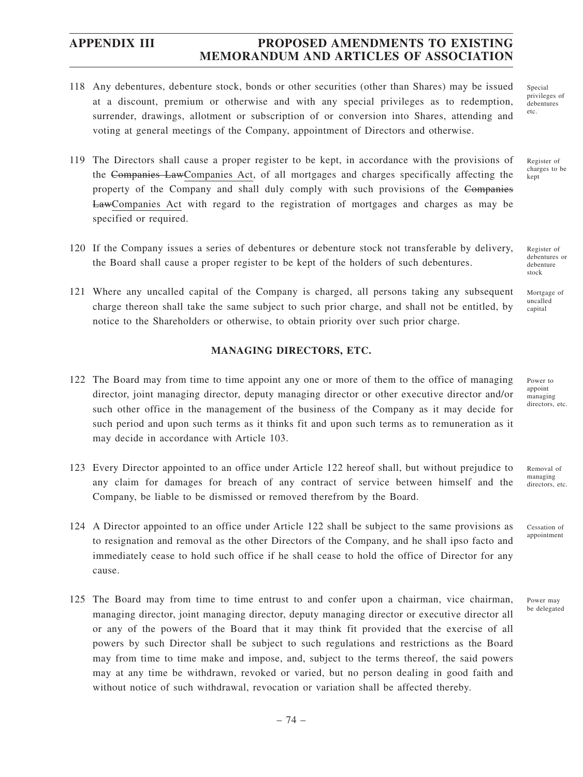- 118 Any debentures, debenture stock, bonds or other securities (other than Shares) may be issued at a discount, premium or otherwise and with any special privileges as to redemption, surrender, drawings, allotment or subscription of or conversion into Shares, attending and voting at general meetings of the Company, appointment of Directors and otherwise.
- 119 The Directors shall cause a proper register to be kept, in accordance with the provisions of the Companies LawCompanies Act, of all mortgages and charges specifically affecting the property of the Company and shall duly comply with such provisions of the Companies LawCompanies Act with regard to the registration of mortgages and charges as may be specified or required.
- 120 If the Company issues a series of debentures or debenture stock not transferable by delivery, the Board shall cause a proper register to be kept of the holders of such debentures.
- 121 Where any uncalled capital of the Company is charged, all persons taking any subsequent charge thereon shall take the same subject to such prior charge, and shall not be entitled, by notice to the Shareholders or otherwise, to obtain priority over such prior charge.

### **MANAGING DIRECTORS, ETC.**

- 122 The Board may from time to time appoint any one or more of them to the office of managing director, joint managing director, deputy managing director or other executive director and/or such other office in the management of the business of the Company as it may decide for such period and upon such terms as it thinks fit and upon such terms as to remuneration as it may decide in accordance with Article 103.
- 123 Every Director appointed to an office under Article 122 hereof shall, but without prejudice to any claim for damages for breach of any contract of service between himself and the Company, be liable to be dismissed or removed therefrom by the Board.
- 124 A Director appointed to an office under Article 122 shall be subject to the same provisions as to resignation and removal as the other Directors of the Company, and he shall ipso facto and immediately cease to hold such office if he shall cease to hold the office of Director for any cause.
- 125 The Board may from time to time entrust to and confer upon a chairman, vice chairman, managing director, joint managing director, deputy managing director or executive director all or any of the powers of the Board that it may think fit provided that the exercise of all powers by such Director shall be subject to such regulations and restrictions as the Board may from time to time make and impose, and, subject to the terms thereof, the said powers may at any time be withdrawn, revoked or varied, but no person dealing in good faith and without notice of such withdrawal, revocation or variation shall be affected thereby.

Special privileges of debentures etc.

Register of charges to be kept

Register of debentures or debenture stock

Mortgage of uncalled capital

Power to appoint managing directors, etc.

Removal of managing directors, etc.

Cessation of appointment

Power may be delegated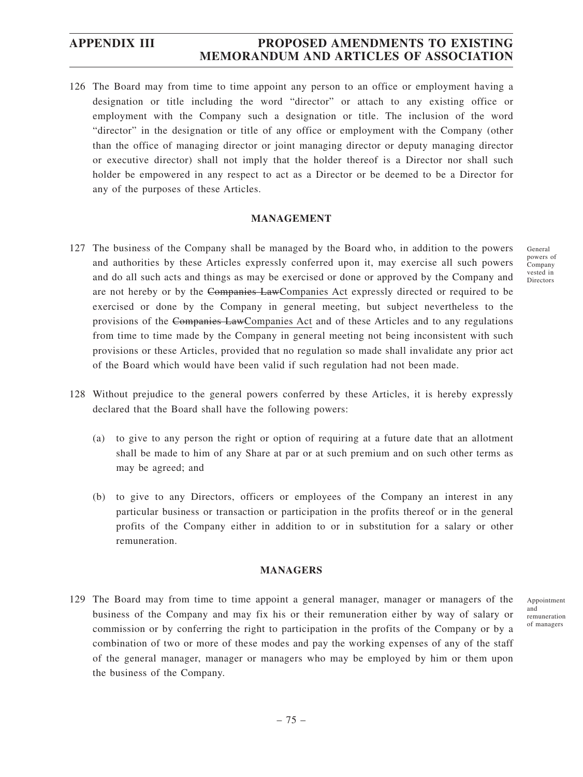126 The Board may from time to time appoint any person to an office or employment having a designation or title including the word "director" or attach to any existing office or employment with the Company such a designation or title. The inclusion of the word "director" in the designation or title of any office or employment with the Company (other than the office of managing director or joint managing director or deputy managing director or executive director) shall not imply that the holder thereof is a Director nor shall such holder be empowered in any respect to act as a Director or be deemed to be a Director for any of the purposes of these Articles.

### **MANAGEMENT**

- 127 The business of the Company shall be managed by the Board who, in addition to the powers and authorities by these Articles expressly conferred upon it, may exercise all such powers and do all such acts and things as may be exercised or done or approved by the Company and are not hereby or by the Companies LawCompanies Act expressly directed or required to be exercised or done by the Company in general meeting, but subject nevertheless to the provisions of the Companies LawCompanies Act and of these Articles and to any regulations from time to time made by the Company in general meeting not being inconsistent with such provisions or these Articles, provided that no regulation so made shall invalidate any prior act of the Board which would have been valid if such regulation had not been made.
- 128 Without prejudice to the general powers conferred by these Articles, it is hereby expressly declared that the Board shall have the following powers:
	- (a) to give to any person the right or option of requiring at a future date that an allotment shall be made to him of any Share at par or at such premium and on such other terms as may be agreed; and
	- (b) to give to any Directors, officers or employees of the Company an interest in any particular business or transaction or participation in the profits thereof or in the general profits of the Company either in addition to or in substitution for a salary or other remuneration.

#### **MANAGERS**

129 The Board may from time to time appoint a general manager, manager or managers of the business of the Company and may fix his or their remuneration either by way of salary or commission or by conferring the right to participation in the profits of the Company or by a combination of two or more of these modes and pay the working expenses of any of the staff of the general manager, manager or managers who may be employed by him or them upon the business of the Company.

Appointment and remuneration of managers

General powers of Company vested in Directors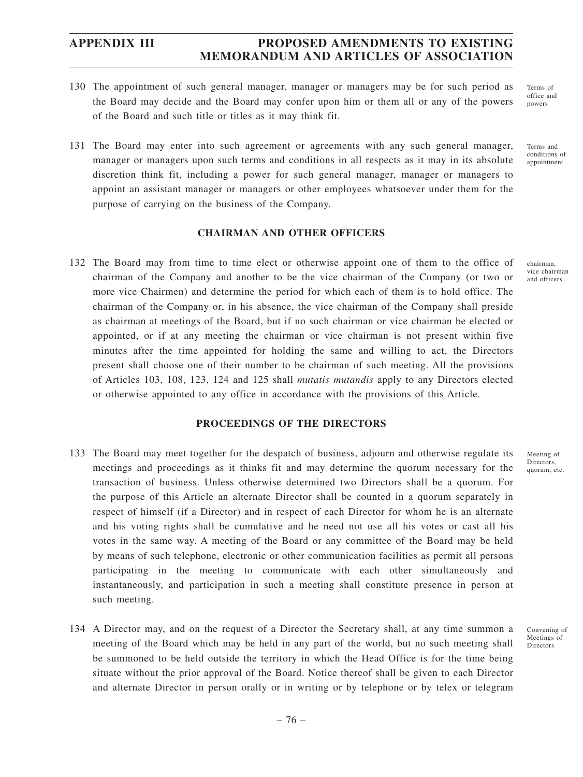- 130 The appointment of such general manager, manager or managers may be for such period as the Board may decide and the Board may confer upon him or them all or any of the powers of the Board and such title or titles as it may think fit.
- 131 The Board may enter into such agreement or agreements with any such general manager, manager or managers upon such terms and conditions in all respects as it may in its absolute discretion think fit, including a power for such general manager, manager or managers to appoint an assistant manager or managers or other employees whatsoever under them for the purpose of carrying on the business of the Company.

### **CHAIRMAN AND OTHER OFFICERS**

132 The Board may from time to time elect or otherwise appoint one of them to the office of chairman of the Company and another to be the vice chairman of the Company (or two or more vice Chairmen) and determine the period for which each of them is to hold office. The chairman of the Company or, in his absence, the vice chairman of the Company shall preside as chairman at meetings of the Board, but if no such chairman or vice chairman be elected or appointed, or if at any meeting the chairman or vice chairman is not present within five minutes after the time appointed for holding the same and willing to act, the Directors present shall choose one of their number to be chairman of such meeting. All the provisions of Articles 103, 108, 123, 124 and 125 shall *mutatis mutandis* apply to any Directors elected or otherwise appointed to any office in accordance with the provisions of this Article.

### **PROCEEDINGS OF THE DIRECTORS**

- 133 The Board may meet together for the despatch of business, adjourn and otherwise regulate its meetings and proceedings as it thinks fit and may determine the quorum necessary for the transaction of business. Unless otherwise determined two Directors shall be a quorum. For the purpose of this Article an alternate Director shall be counted in a quorum separately in respect of himself (if a Director) and in respect of each Director for whom he is an alternate and his voting rights shall be cumulative and he need not use all his votes or cast all his votes in the same way. A meeting of the Board or any committee of the Board may be held by means of such telephone, electronic or other communication facilities as permit all persons participating in the meeting to communicate with each other simultaneously and instantaneously, and participation in such a meeting shall constitute presence in person at such meeting.
- 134 A Director may, and on the request of a Director the Secretary shall, at any time summon a meeting of the Board which may be held in any part of the world, but no such meeting shall be summoned to be held outside the territory in which the Head Office is for the time being situate without the prior approval of the Board. Notice thereof shall be given to each Director and alternate Director in person orally or in writing or by telephone or by telex or telegram

Terms of office and powers

Terms and conditions of appointment

chairman, vice chairman and officers

Meeting of **Directors** quorum, etc.

Convening of Meetings of Directors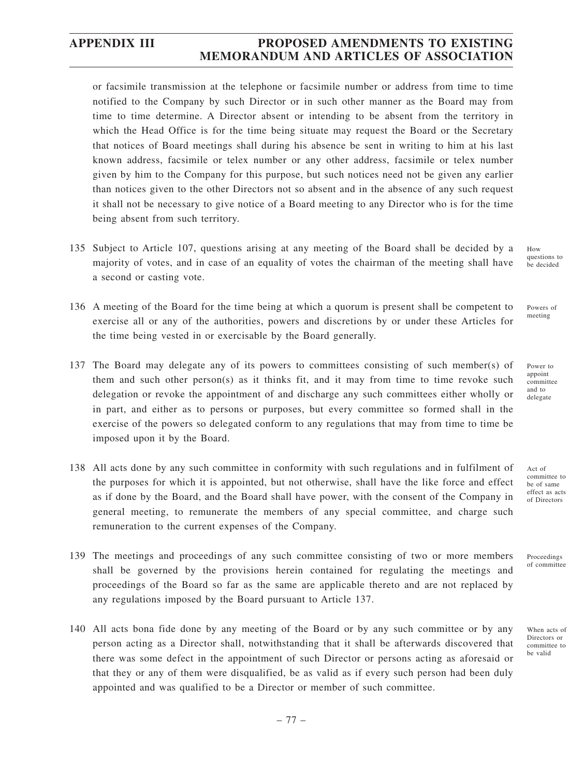or facsimile transmission at the telephone or facsimile number or address from time to time notified to the Company by such Director or in such other manner as the Board may from time to time determine. A Director absent or intending to be absent from the territory in which the Head Office is for the time being situate may request the Board or the Secretary that notices of Board meetings shall during his absence be sent in writing to him at his last known address, facsimile or telex number or any other address, facsimile or telex number given by him to the Company for this purpose, but such notices need not be given any earlier than notices given to the other Directors not so absent and in the absence of any such request it shall not be necessary to give notice of a Board meeting to any Director who is for the time being absent from such territory.

- 135 Subject to Article 107, questions arising at any meeting of the Board shall be decided by a majority of votes, and in case of an equality of votes the chairman of the meeting shall have a second or casting vote.
- 136 A meeting of the Board for the time being at which a quorum is present shall be competent to exercise all or any of the authorities, powers and discretions by or under these Articles for the time being vested in or exercisable by the Board generally.
- 137 The Board may delegate any of its powers to committees consisting of such member(s) of them and such other person(s) as it thinks fit, and it may from time to time revoke such delegation or revoke the appointment of and discharge any such committees either wholly or in part, and either as to persons or purposes, but every committee so formed shall in the exercise of the powers so delegated conform to any regulations that may from time to time be imposed upon it by the Board.
- 138 All acts done by any such committee in conformity with such regulations and in fulfilment of the purposes for which it is appointed, but not otherwise, shall have the like force and effect as if done by the Board, and the Board shall have power, with the consent of the Company in general meeting, to remunerate the members of any special committee, and charge such remuneration to the current expenses of the Company.
- 139 The meetings and proceedings of any such committee consisting of two or more members shall be governed by the provisions herein contained for regulating the meetings and proceedings of the Board so far as the same are applicable thereto and are not replaced by any regulations imposed by the Board pursuant to Article 137.
- 140 All acts bona fide done by any meeting of the Board or by any such committee or by any person acting as a Director shall, notwithstanding that it shall be afterwards discovered that there was some defect in the appointment of such Director or persons acting as aforesaid or that they or any of them were disqualified, be as valid as if every such person had been duly appointed and was qualified to be a Director or member of such committee.

How questions to be decided

Powers of meeting

Power to appoint committee and to delegate

Act of committee to be of same effect as acts of Directors

Proceedings of committee

When acts of Directors or committee to be valid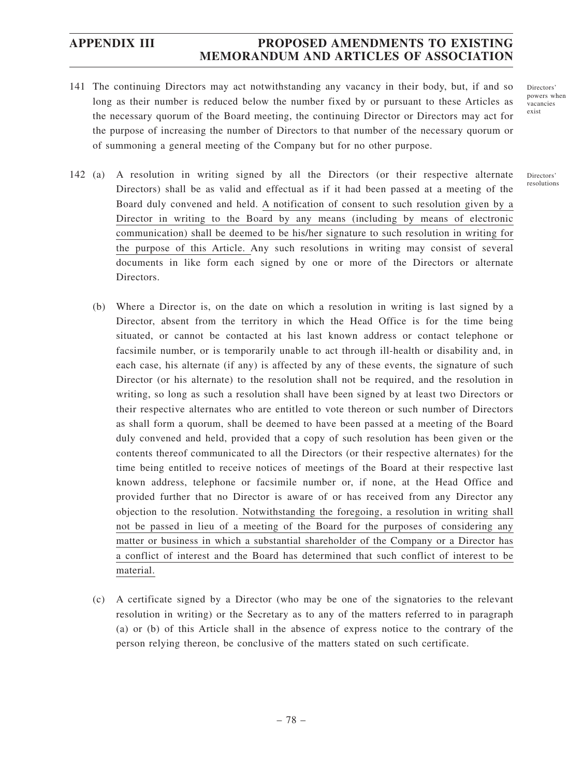141 The continuing Directors may act notwithstanding any vacancy in their body, but, if and so long as their number is reduced below the number fixed by or pursuant to these Articles as the necessary quorum of the Board meeting, the continuing Director or Directors may act for the purpose of increasing the number of Directors to that number of the necessary quorum or of summoning a general meeting of the Company but for no other purpose.

142 (a) A resolution in writing signed by all the Directors (or their respective alternate Directors) shall be as valid and effectual as if it had been passed at a meeting of the Board duly convened and held. A notification of consent to such resolution given by a Director in writing to the Board by any means (including by means of electronic communication) shall be deemed to be his/her signature to such resolution in writing for the purpose of this Article. Any such resolutions in writing may consist of several documents in like form each signed by one or more of the Directors or alternate Directors.

- (b) Where a Director is, on the date on which a resolution in writing is last signed by a Director, absent from the territory in which the Head Office is for the time being situated, or cannot be contacted at his last known address or contact telephone or facsimile number, or is temporarily unable to act through ill-health or disability and, in each case, his alternate (if any) is affected by any of these events, the signature of such Director (or his alternate) to the resolution shall not be required, and the resolution in writing, so long as such a resolution shall have been signed by at least two Directors or their respective alternates who are entitled to vote thereon or such number of Directors as shall form a quorum, shall be deemed to have been passed at a meeting of the Board duly convened and held, provided that a copy of such resolution has been given or the contents thereof communicated to all the Directors (or their respective alternates) for the time being entitled to receive notices of meetings of the Board at their respective last known address, telephone or facsimile number or, if none, at the Head Office and provided further that no Director is aware of or has received from any Director any objection to the resolution. Notwithstanding the foregoing, a resolution in writing shall not be passed in lieu of a meeting of the Board for the purposes of considering any matter or business in which a substantial shareholder of the Company or a Director has a conflict of interest and the Board has determined that such conflict of interest to be material.
- (c) A certificate signed by a Director (who may be one of the signatories to the relevant resolution in writing) or the Secretary as to any of the matters referred to in paragraph (a) or (b) of this Article shall in the absence of express notice to the contrary of the person relying thereon, be conclusive of the matters stated on such certificate.

Directors' powers when vacancies exist

Directors' resolutions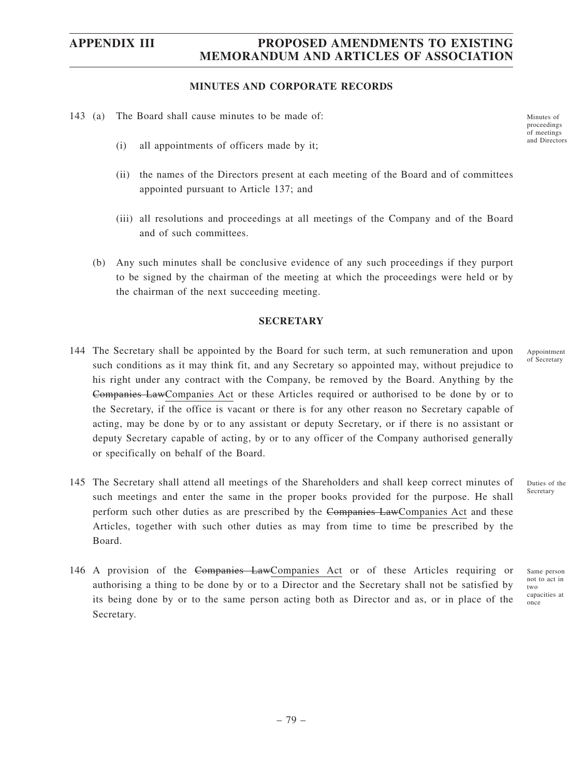#### **MINUTES AND CORPORATE RECORDS**

- 143 (a) The Board shall cause minutes to be made of:
	- (i) all appointments of officers made by it;
	- (ii) the names of the Directors present at each meeting of the Board and of committees appointed pursuant to Article 137; and
	- (iii) all resolutions and proceedings at all meetings of the Company and of the Board and of such committees.
	- (b) Any such minutes shall be conclusive evidence of any such proceedings if they purport to be signed by the chairman of the meeting at which the proceedings were held or by the chairman of the next succeeding meeting.

#### **SECRETARY**

- 144 The Secretary shall be appointed by the Board for such term, at such remuneration and upon such conditions as it may think fit, and any Secretary so appointed may, without prejudice to his right under any contract with the Company, be removed by the Board. Anything by the Companies LawCompanies Act or these Articles required or authorised to be done by or to the Secretary, if the office is vacant or there is for any other reason no Secretary capable of acting, may be done by or to any assistant or deputy Secretary, or if there is no assistant or deputy Secretary capable of acting, by or to any officer of the Company authorised generally or specifically on behalf of the Board.
- 145 The Secretary shall attend all meetings of the Shareholders and shall keep correct minutes of such meetings and enter the same in the proper books provided for the purpose. He shall perform such other duties as are prescribed by the Companies LawCompanies Act and these Articles, together with such other duties as may from time to time be prescribed by the Board. Duties of the Secretary
- 146 A provision of the Companies LawCompanies Act or of these Articles requiring or authorising a thing to be done by or to a Director and the Secretary shall not be satisfied by its being done by or to the same person acting both as Director and as, or in place of the Secretary.

Minutes of proceedings of meetings and Directors

Appointment of Secretary

Same person not to act in two capacities at

once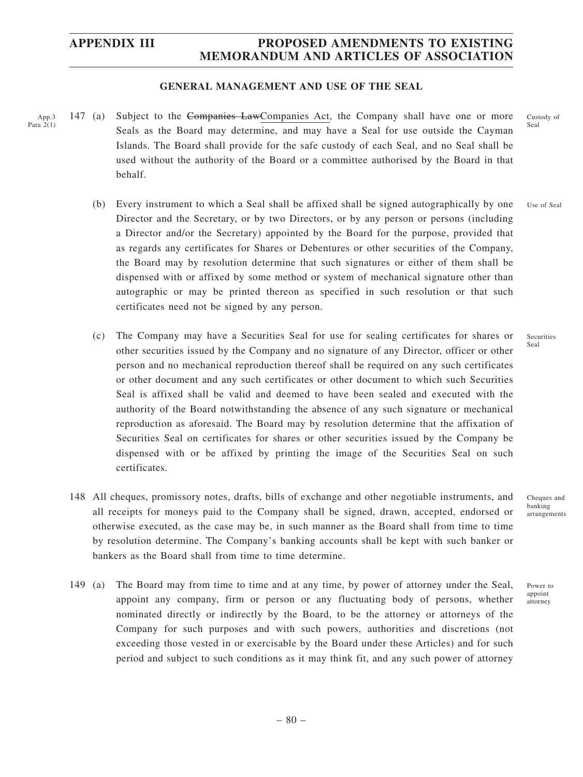### **GENERAL MANAGEMENT AND USE OF THE SEAL**

- 147 (a) Subject to the Companies LawCompanies Act, the Company shall have one or more Seals as the Board may determine, and may have a Seal for use outside the Cayman Islands. The Board shall provide for the safe custody of each Seal, and no Seal shall be used without the authority of the Board or a committee authorised by the Board in that behalf. App.3 Para 2(1)
	- (b) Every instrument to which a Seal shall be affixed shall be signed autographically by one Director and the Secretary, or by two Directors, or by any person or persons (including a Director and/or the Secretary) appointed by the Board for the purpose, provided that as regards any certificates for Shares or Debentures or other securities of the Company, the Board may by resolution determine that such signatures or either of them shall be dispensed with or affixed by some method or system of mechanical signature other than autographic or may be printed thereon as specified in such resolution or that such certificates need not be signed by any person. Use of Seal
	- (c) The Company may have a Securities Seal for use for sealing certificates for shares or other securities issued by the Company and no signature of any Director, officer or other person and no mechanical reproduction thereof shall be required on any such certificates or other document and any such certificates or other document to which such Securities Seal is affixed shall be valid and deemed to have been sealed and executed with the authority of the Board notwithstanding the absence of any such signature or mechanical reproduction as aforesaid. The Board may by resolution determine that the affixation of Securities Seal on certificates for shares or other securities issued by the Company be dispensed with or be affixed by printing the image of the Securities Seal on such certificates.
	- 148 All cheques, promissory notes, drafts, bills of exchange and other negotiable instruments, and all receipts for moneys paid to the Company shall be signed, drawn, accepted, endorsed or otherwise executed, as the case may be, in such manner as the Board shall from time to time by resolution determine. The Company's banking accounts shall be kept with such banker or bankers as the Board shall from time to time determine.
	- 149 (a) The Board may from time to time and at any time, by power of attorney under the Seal, appoint any company, firm or person or any fluctuating body of persons, whether nominated directly or indirectly by the Board, to be the attorney or attorneys of the Company for such purposes and with such powers, authorities and discretions (not exceeding those vested in or exercisable by the Board under these Articles) and for such period and subject to such conditions as it may think fit, and any such power of attorney

Cheques and banking arrangements

Power to appoint attorney

Custody of Seal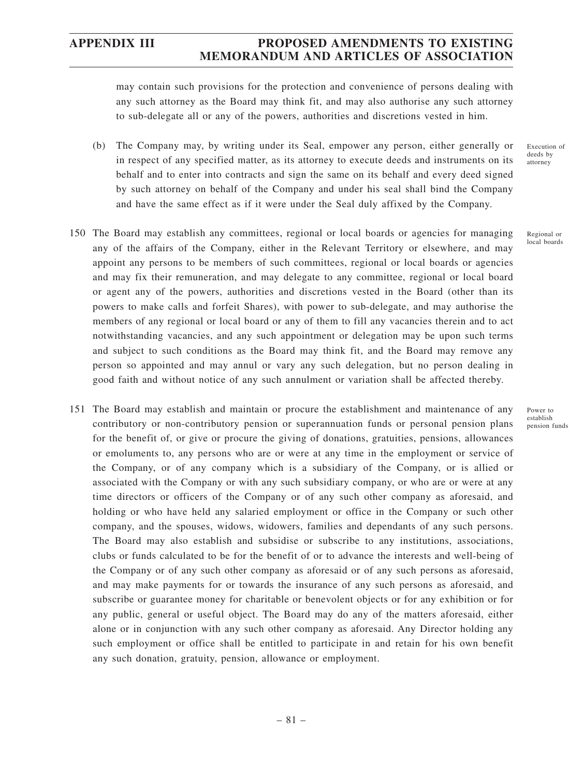may contain such provisions for the protection and convenience of persons dealing with any such attorney as the Board may think fit, and may also authorise any such attorney to sub-delegate all or any of the powers, authorities and discretions vested in him.

- (b) The Company may, by writing under its Seal, empower any person, either generally or in respect of any specified matter, as its attorney to execute deeds and instruments on its behalf and to enter into contracts and sign the same on its behalf and every deed signed by such attorney on behalf of the Company and under his seal shall bind the Company and have the same effect as if it were under the Seal duly affixed by the Company.
- 150 The Board may establish any committees, regional or local boards or agencies for managing any of the affairs of the Company, either in the Relevant Territory or elsewhere, and may appoint any persons to be members of such committees, regional or local boards or agencies and may fix their remuneration, and may delegate to any committee, regional or local board or agent any of the powers, authorities and discretions vested in the Board (other than its powers to make calls and forfeit Shares), with power to sub-delegate, and may authorise the members of any regional or local board or any of them to fill any vacancies therein and to act notwithstanding vacancies, and any such appointment or delegation may be upon such terms and subject to such conditions as the Board may think fit, and the Board may remove any person so appointed and may annul or vary any such delegation, but no person dealing in good faith and without notice of any such annulment or variation shall be affected thereby.
- 151 The Board may establish and maintain or procure the establishment and maintenance of any contributory or non-contributory pension or superannuation funds or personal pension plans for the benefit of, or give or procure the giving of donations, gratuities, pensions, allowances or emoluments to, any persons who are or were at any time in the employment or service of the Company, or of any company which is a subsidiary of the Company, or is allied or associated with the Company or with any such subsidiary company, or who are or were at any time directors or officers of the Company or of any such other company as aforesaid, and holding or who have held any salaried employment or office in the Company or such other company, and the spouses, widows, widowers, families and dependants of any such persons. The Board may also establish and subsidise or subscribe to any institutions, associations, clubs or funds calculated to be for the benefit of or to advance the interests and well-being of the Company or of any such other company as aforesaid or of any such persons as aforesaid, and may make payments for or towards the insurance of any such persons as aforesaid, and subscribe or guarantee money for charitable or benevolent objects or for any exhibition or for any public, general or useful object. The Board may do any of the matters aforesaid, either alone or in conjunction with any such other company as aforesaid. Any Director holding any such employment or office shall be entitled to participate in and retain for his own benefit any such donation, gratuity, pension, allowance or employment.

Execution of deeds by attorney

Regional or local boards

Power to establish pension funds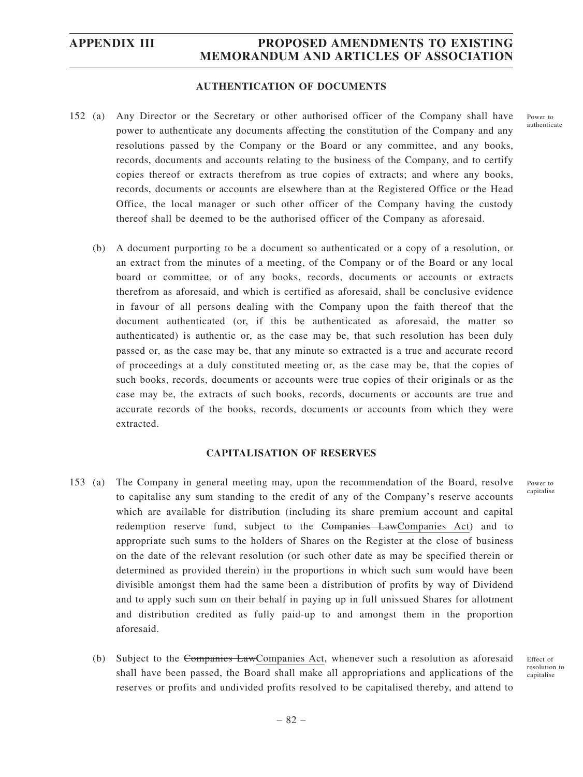### **AUTHENTICATION OF DOCUMENTS**

- 152 (a) Any Director or the Secretary or other authorised officer of the Company shall have power to authenticate any documents affecting the constitution of the Company and any resolutions passed by the Company or the Board or any committee, and any books, records, documents and accounts relating to the business of the Company, and to certify copies thereof or extracts therefrom as true copies of extracts; and where any books, records, documents or accounts are elsewhere than at the Registered Office or the Head Office, the local manager or such other officer of the Company having the custody thereof shall be deemed to be the authorised officer of the Company as aforesaid.
	- (b) A document purporting to be a document so authenticated or a copy of a resolution, or an extract from the minutes of a meeting, of the Company or of the Board or any local board or committee, or of any books, records, documents or accounts or extracts therefrom as aforesaid, and which is certified as aforesaid, shall be conclusive evidence in favour of all persons dealing with the Company upon the faith thereof that the document authenticated (or, if this be authenticated as aforesaid, the matter so authenticated) is authentic or, as the case may be, that such resolution has been duly passed or, as the case may be, that any minute so extracted is a true and accurate record of proceedings at a duly constituted meeting or, as the case may be, that the copies of such books, records, documents or accounts were true copies of their originals or as the case may be, the extracts of such books, records, documents or accounts are true and accurate records of the books, records, documents or accounts from which they were extracted.

### **CAPITALISATION OF RESERVES**

- 153 (a) The Company in general meeting may, upon the recommendation of the Board, resolve to capitalise any sum standing to the credit of any of the Company's reserve accounts which are available for distribution (including its share premium account and capital redemption reserve fund, subject to the Companies LawCompanies Act) and to appropriate such sums to the holders of Shares on the Register at the close of business on the date of the relevant resolution (or such other date as may be specified therein or determined as provided therein) in the proportions in which such sum would have been divisible amongst them had the same been a distribution of profits by way of Dividend and to apply such sum on their behalf in paying up in full unissued Shares for allotment and distribution credited as fully paid-up to and amongst them in the proportion aforesaid.
	- (b) Subject to the Companies LawCompanies Act, whenever such a resolution as aforesaid shall have been passed, the Board shall make all appropriations and applications of the reserves or profits and undivided profits resolved to be capitalised thereby, and attend to

Power to capitalise

Effect of resolution to capitalise

Power to authenticate

– 82 –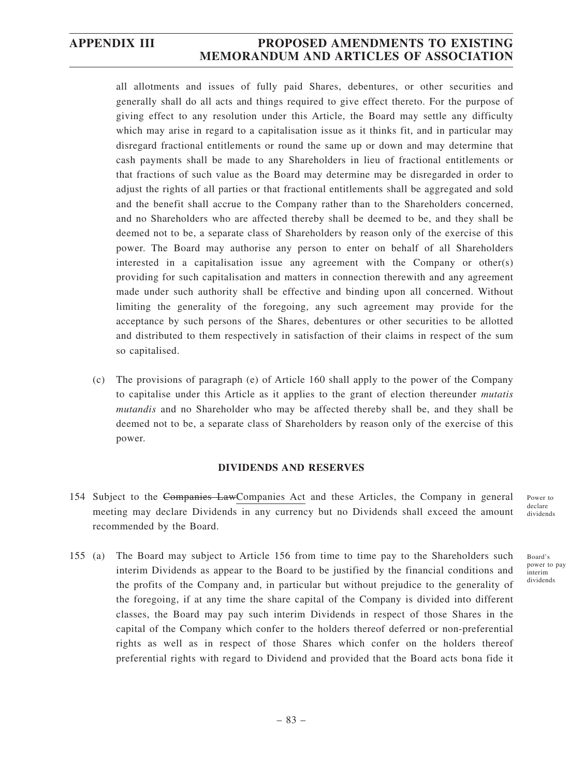all allotments and issues of fully paid Shares, debentures, or other securities and generally shall do all acts and things required to give effect thereto. For the purpose of giving effect to any resolution under this Article, the Board may settle any difficulty which may arise in regard to a capitalisation issue as it thinks fit, and in particular may disregard fractional entitlements or round the same up or down and may determine that cash payments shall be made to any Shareholders in lieu of fractional entitlements or that fractions of such value as the Board may determine may be disregarded in order to adjust the rights of all parties or that fractional entitlements shall be aggregated and sold and the benefit shall accrue to the Company rather than to the Shareholders concerned, and no Shareholders who are affected thereby shall be deemed to be, and they shall be deemed not to be, a separate class of Shareholders by reason only of the exercise of this power. The Board may authorise any person to enter on behalf of all Shareholders interested in a capitalisation issue any agreement with the Company or other(s) providing for such capitalisation and matters in connection therewith and any agreement made under such authority shall be effective and binding upon all concerned. Without limiting the generality of the foregoing, any such agreement may provide for the acceptance by such persons of the Shares, debentures or other securities to be allotted and distributed to them respectively in satisfaction of their claims in respect of the sum so capitalised.

(c) The provisions of paragraph (e) of Article 160 shall apply to the power of the Company to capitalise under this Article as it applies to the grant of election thereunder *mutatis mutandis* and no Shareholder who may be affected thereby shall be, and they shall be deemed not to be, a separate class of Shareholders by reason only of the exercise of this power.

### **DIVIDENDS AND RESERVES**

- 154 Subject to the Companies LawCompanies Act and these Articles, the Company in general meeting may declare Dividends in any currency but no Dividends shall exceed the amount recommended by the Board.
- 155 (a) The Board may subject to Article 156 from time to time pay to the Shareholders such interim Dividends as appear to the Board to be justified by the financial conditions and the profits of the Company and, in particular but without prejudice to the generality of the foregoing, if at any time the share capital of the Company is divided into different classes, the Board may pay such interim Dividends in respect of those Shares in the capital of the Company which confer to the holders thereof deferred or non-preferential rights as well as in respect of those Shares which confer on the holders thereof preferential rights with regard to Dividend and provided that the Board acts bona fide it

Power to declare dividends

Board's power to pay interim dividends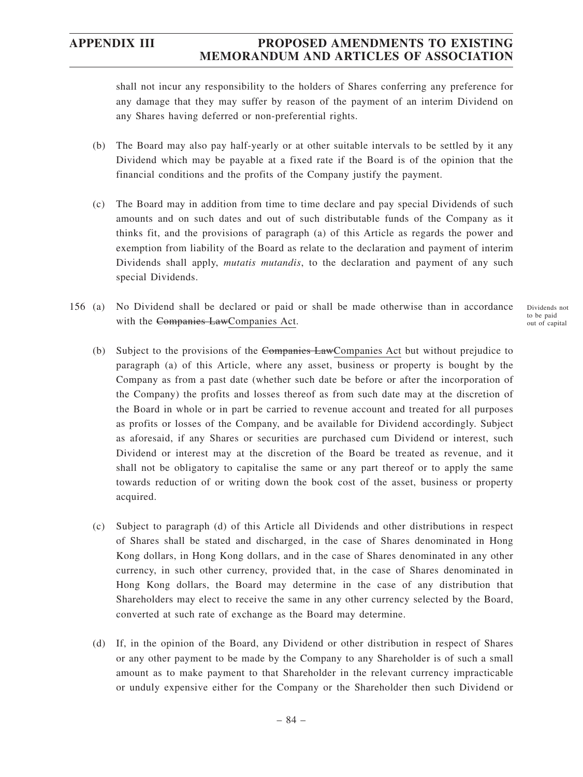shall not incur any responsibility to the holders of Shares conferring any preference for any damage that they may suffer by reason of the payment of an interim Dividend on any Shares having deferred or non-preferential rights.

- (b) The Board may also pay half-yearly or at other suitable intervals to be settled by it any Dividend which may be payable at a fixed rate if the Board is of the opinion that the financial conditions and the profits of the Company justify the payment.
- (c) The Board may in addition from time to time declare and pay special Dividends of such amounts and on such dates and out of such distributable funds of the Company as it thinks fit, and the provisions of paragraph (a) of this Article as regards the power and exemption from liability of the Board as relate to the declaration and payment of interim Dividends shall apply, *mutatis mutandis*, to the declaration and payment of any such special Dividends.
- 156 (a) No Dividend shall be declared or paid or shall be made otherwise than in accordance with the Companies LawCompanies Act. Dividends not to be paid out of capital
	- (b) Subject to the provisions of the Companies LawCompanies Act but without prejudice to paragraph (a) of this Article, where any asset, business or property is bought by the Company as from a past date (whether such date be before or after the incorporation of the Company) the profits and losses thereof as from such date may at the discretion of the Board in whole or in part be carried to revenue account and treated for all purposes as profits or losses of the Company, and be available for Dividend accordingly. Subject as aforesaid, if any Shares or securities are purchased cum Dividend or interest, such Dividend or interest may at the discretion of the Board be treated as revenue, and it shall not be obligatory to capitalise the same or any part thereof or to apply the same towards reduction of or writing down the book cost of the asset, business or property acquired.
	- (c) Subject to paragraph (d) of this Article all Dividends and other distributions in respect of Shares shall be stated and discharged, in the case of Shares denominated in Hong Kong dollars, in Hong Kong dollars, and in the case of Shares denominated in any other currency, in such other currency, provided that, in the case of Shares denominated in Hong Kong dollars, the Board may determine in the case of any distribution that Shareholders may elect to receive the same in any other currency selected by the Board, converted at such rate of exchange as the Board may determine.
	- (d) If, in the opinion of the Board, any Dividend or other distribution in respect of Shares or any other payment to be made by the Company to any Shareholder is of such a small amount as to make payment to that Shareholder in the relevant currency impracticable or unduly expensive either for the Company or the Shareholder then such Dividend or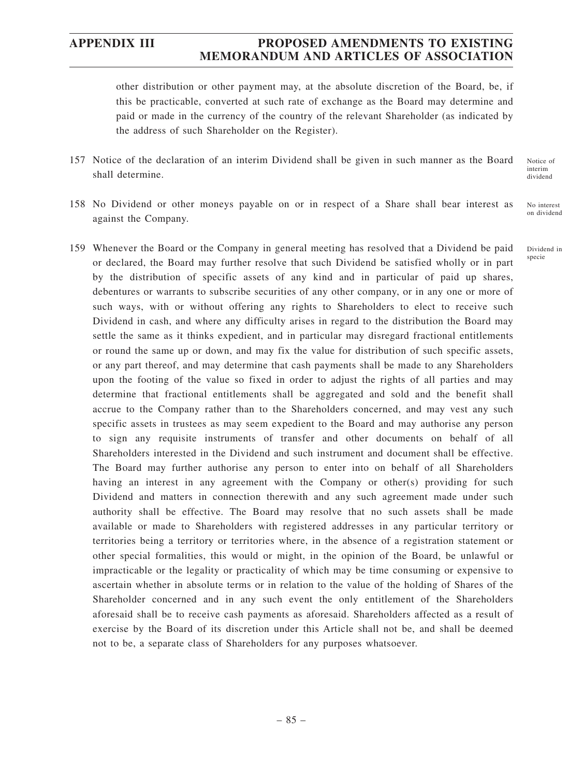other distribution or other payment may, at the absolute discretion of the Board, be, if this be practicable, converted at such rate of exchange as the Board may determine and paid or made in the currency of the country of the relevant Shareholder (as indicated by the address of such Shareholder on the Register).

- 157 Notice of the declaration of an interim Dividend shall be given in such manner as the Board shall determine. Notice of interim
- 158 No Dividend or other moneys payable on or in respect of a Share shall bear interest as against the Company. No interest on dividend
- 159 Whenever the Board or the Company in general meeting has resolved that a Dividend be paid or declared, the Board may further resolve that such Dividend be satisfied wholly or in part by the distribution of specific assets of any kind and in particular of paid up shares, debentures or warrants to subscribe securities of any other company, or in any one or more of such ways, with or without offering any rights to Shareholders to elect to receive such Dividend in cash, and where any difficulty arises in regard to the distribution the Board may settle the same as it thinks expedient, and in particular may disregard fractional entitlements or round the same up or down, and may fix the value for distribution of such specific assets, or any part thereof, and may determine that cash payments shall be made to any Shareholders upon the footing of the value so fixed in order to adjust the rights of all parties and may determine that fractional entitlements shall be aggregated and sold and the benefit shall accrue to the Company rather than to the Shareholders concerned, and may vest any such specific assets in trustees as may seem expedient to the Board and may authorise any person to sign any requisite instruments of transfer and other documents on behalf of all Shareholders interested in the Dividend and such instrument and document shall be effective. The Board may further authorise any person to enter into on behalf of all Shareholders having an interest in any agreement with the Company or other(s) providing for such Dividend and matters in connection therewith and any such agreement made under such authority shall be effective. The Board may resolve that no such assets shall be made available or made to Shareholders with registered addresses in any particular territory or territories being a territory or territories where, in the absence of a registration statement or other special formalities, this would or might, in the opinion of the Board, be unlawful or impracticable or the legality or practicality of which may be time consuming or expensive to ascertain whether in absolute terms or in relation to the value of the holding of Shares of the Shareholder concerned and in any such event the only entitlement of the Shareholders aforesaid shall be to receive cash payments as aforesaid. Shareholders affected as a result of exercise by the Board of its discretion under this Article shall not be, and shall be deemed not to be, a separate class of Shareholders for any purposes whatsoever.

dividend

Dividend in

specie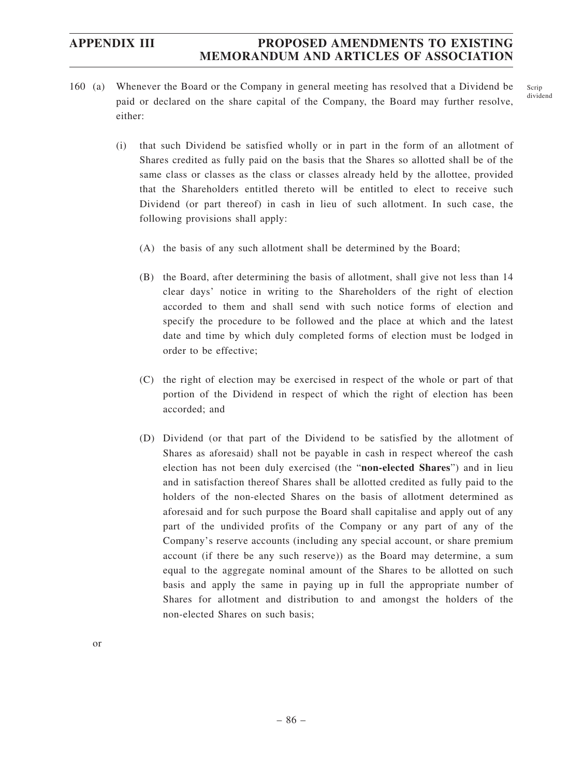160 (a) Whenever the Board or the Company in general meeting has resolved that a Dividend be paid or declared on the share capital of the Company, the Board may further resolve, either:

Scrip dividend

- (i) that such Dividend be satisfied wholly or in part in the form of an allotment of Shares credited as fully paid on the basis that the Shares so allotted shall be of the same class or classes as the class or classes already held by the allottee, provided that the Shareholders entitled thereto will be entitled to elect to receive such Dividend (or part thereof) in cash in lieu of such allotment. In such case, the following provisions shall apply:
	- (A) the basis of any such allotment shall be determined by the Board;
	- (B) the Board, after determining the basis of allotment, shall give not less than 14 clear days' notice in writing to the Shareholders of the right of election accorded to them and shall send with such notice forms of election and specify the procedure to be followed and the place at which and the latest date and time by which duly completed forms of election must be lodged in order to be effective;
	- (C) the right of election may be exercised in respect of the whole or part of that portion of the Dividend in respect of which the right of election has been accorded; and
	- (D) Dividend (or that part of the Dividend to be satisfied by the allotment of Shares as aforesaid) shall not be payable in cash in respect whereof the cash election has not been duly exercised (the "**non-elected Shares**") and in lieu and in satisfaction thereof Shares shall be allotted credited as fully paid to the holders of the non-elected Shares on the basis of allotment determined as aforesaid and for such purpose the Board shall capitalise and apply out of any part of the undivided profits of the Company or any part of any of the Company's reserve accounts (including any special account, or share premium account (if there be any such reserve)) as the Board may determine, a sum equal to the aggregate nominal amount of the Shares to be allotted on such basis and apply the same in paying up in full the appropriate number of Shares for allotment and distribution to and amongst the holders of the non-elected Shares on such basis;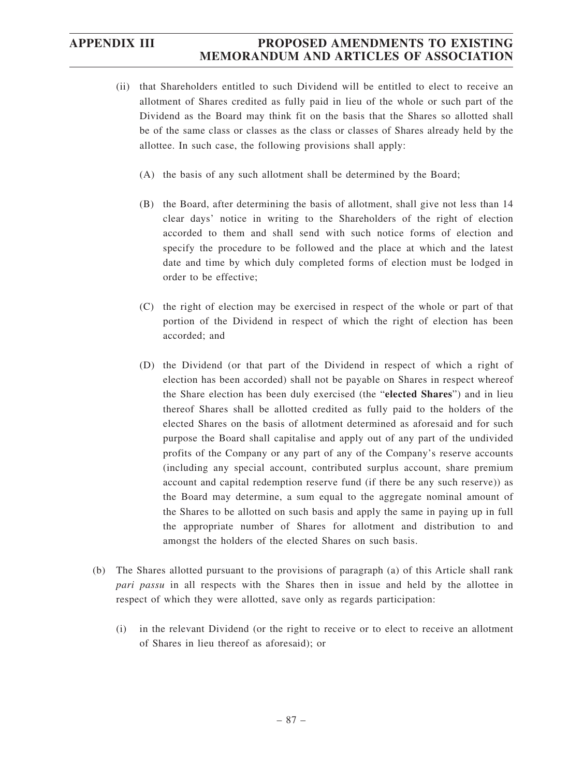- (ii) that Shareholders entitled to such Dividend will be entitled to elect to receive an allotment of Shares credited as fully paid in lieu of the whole or such part of the Dividend as the Board may think fit on the basis that the Shares so allotted shall be of the same class or classes as the class or classes of Shares already held by the allottee. In such case, the following provisions shall apply:
	- (A) the basis of any such allotment shall be determined by the Board;
	- (B) the Board, after determining the basis of allotment, shall give not less than 14 clear days' notice in writing to the Shareholders of the right of election accorded to them and shall send with such notice forms of election and specify the procedure to be followed and the place at which and the latest date and time by which duly completed forms of election must be lodged in order to be effective;
	- (C) the right of election may be exercised in respect of the whole or part of that portion of the Dividend in respect of which the right of election has been accorded; and
	- (D) the Dividend (or that part of the Dividend in respect of which a right of election has been accorded) shall not be payable on Shares in respect whereof the Share election has been duly exercised (the "**elected Shares**") and in lieu thereof Shares shall be allotted credited as fully paid to the holders of the elected Shares on the basis of allotment determined as aforesaid and for such purpose the Board shall capitalise and apply out of any part of the undivided profits of the Company or any part of any of the Company's reserve accounts (including any special account, contributed surplus account, share premium account and capital redemption reserve fund (if there be any such reserve)) as the Board may determine, a sum equal to the aggregate nominal amount of the Shares to be allotted on such basis and apply the same in paying up in full the appropriate number of Shares for allotment and distribution to and amongst the holders of the elected Shares on such basis.
- (b) The Shares allotted pursuant to the provisions of paragraph (a) of this Article shall rank *pari passu* in all respects with the Shares then in issue and held by the allottee in respect of which they were allotted, save only as regards participation:
	- (i) in the relevant Dividend (or the right to receive or to elect to receive an allotment of Shares in lieu thereof as aforesaid); or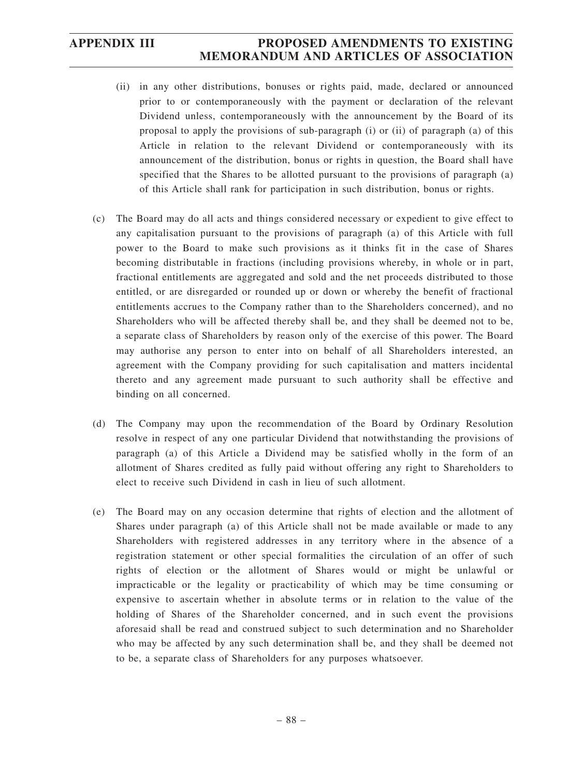- (ii) in any other distributions, bonuses or rights paid, made, declared or announced prior to or contemporaneously with the payment or declaration of the relevant Dividend unless, contemporaneously with the announcement by the Board of its proposal to apply the provisions of sub-paragraph (i) or (ii) of paragraph (a) of this Article in relation to the relevant Dividend or contemporaneously with its announcement of the distribution, bonus or rights in question, the Board shall have specified that the Shares to be allotted pursuant to the provisions of paragraph (a) of this Article shall rank for participation in such distribution, bonus or rights.
- (c) The Board may do all acts and things considered necessary or expedient to give effect to any capitalisation pursuant to the provisions of paragraph (a) of this Article with full power to the Board to make such provisions as it thinks fit in the case of Shares becoming distributable in fractions (including provisions whereby, in whole or in part, fractional entitlements are aggregated and sold and the net proceeds distributed to those entitled, or are disregarded or rounded up or down or whereby the benefit of fractional entitlements accrues to the Company rather than to the Shareholders concerned), and no Shareholders who will be affected thereby shall be, and they shall be deemed not to be, a separate class of Shareholders by reason only of the exercise of this power. The Board may authorise any person to enter into on behalf of all Shareholders interested, an agreement with the Company providing for such capitalisation and matters incidental thereto and any agreement made pursuant to such authority shall be effective and binding on all concerned.
- (d) The Company may upon the recommendation of the Board by Ordinary Resolution resolve in respect of any one particular Dividend that notwithstanding the provisions of paragraph (a) of this Article a Dividend may be satisfied wholly in the form of an allotment of Shares credited as fully paid without offering any right to Shareholders to elect to receive such Dividend in cash in lieu of such allotment.
- (e) The Board may on any occasion determine that rights of election and the allotment of Shares under paragraph (a) of this Article shall not be made available or made to any Shareholders with registered addresses in any territory where in the absence of a registration statement or other special formalities the circulation of an offer of such rights of election or the allotment of Shares would or might be unlawful or impracticable or the legality or practicability of which may be time consuming or expensive to ascertain whether in absolute terms or in relation to the value of the holding of Shares of the Shareholder concerned, and in such event the provisions aforesaid shall be read and construed subject to such determination and no Shareholder who may be affected by any such determination shall be, and they shall be deemed not to be, a separate class of Shareholders for any purposes whatsoever.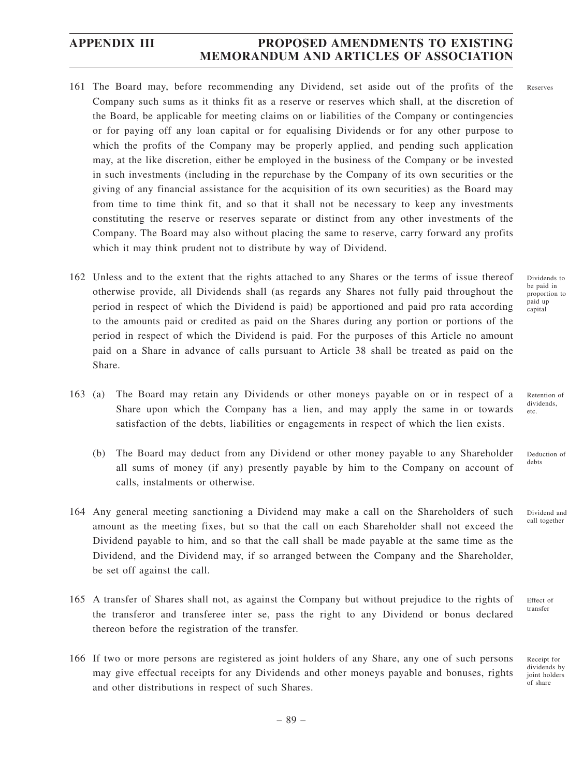- 161 The Board may, before recommending any Dividend, set aside out of the profits of the Company such sums as it thinks fit as a reserve or reserves which shall, at the discretion of the Board, be applicable for meeting claims on or liabilities of the Company or contingencies or for paying off any loan capital or for equalising Dividends or for any other purpose to which the profits of the Company may be properly applied, and pending such application may, at the like discretion, either be employed in the business of the Company or be invested in such investments (including in the repurchase by the Company of its own securities or the giving of any financial assistance for the acquisition of its own securities) as the Board may from time to time think fit, and so that it shall not be necessary to keep any investments constituting the reserve or reserves separate or distinct from any other investments of the Company. The Board may also without placing the same to reserve, carry forward any profits which it may think prudent not to distribute by way of Dividend.
- 162 Unless and to the extent that the rights attached to any Shares or the terms of issue thereof otherwise provide, all Dividends shall (as regards any Shares not fully paid throughout the period in respect of which the Dividend is paid) be apportioned and paid pro rata according to the amounts paid or credited as paid on the Shares during any portion or portions of the period in respect of which the Dividend is paid. For the purposes of this Article no amount paid on a Share in advance of calls pursuant to Article 38 shall be treated as paid on the Share.
- 163 (a) The Board may retain any Dividends or other moneys payable on or in respect of a Share upon which the Company has a lien, and may apply the same in or towards satisfaction of the debts, liabilities or engagements in respect of which the lien exists.
	- (b) The Board may deduct from any Dividend or other money payable to any Shareholder all sums of money (if any) presently payable by him to the Company on account of calls, instalments or otherwise.
- 164 Any general meeting sanctioning a Dividend may make a call on the Shareholders of such amount as the meeting fixes, but so that the call on each Shareholder shall not exceed the Dividend payable to him, and so that the call shall be made payable at the same time as the Dividend, and the Dividend may, if so arranged between the Company and the Shareholder, be set off against the call.
- 165 A transfer of Shares shall not, as against the Company but without prejudice to the rights of the transferor and transferee inter se, pass the right to any Dividend or bonus declared thereon before the registration of the transfer.
- 166 If two or more persons are registered as joint holders of any Share, any one of such persons may give effectual receipts for any Dividends and other moneys payable and bonuses, rights and other distributions in respect of such Shares.

Dividends to be paid in proportion to paid un capital

Retention of dividends, etc.

Deduction of debts

call together

Dividend and

Effect of transfer

Receipt for dividends by joint holders of share

Reserves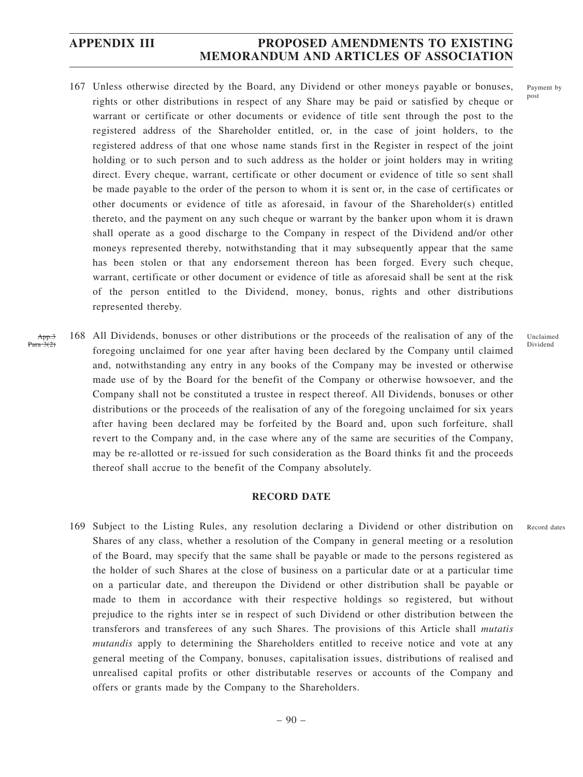- 167 Unless otherwise directed by the Board, any Dividend or other moneys payable or bonuses, rights or other distributions in respect of any Share may be paid or satisfied by cheque or warrant or certificate or other documents or evidence of title sent through the post to the registered address of the Shareholder entitled, or, in the case of joint holders, to the registered address of that one whose name stands first in the Register in respect of the joint holding or to such person and to such address as the holder or joint holders may in writing direct. Every cheque, warrant, certificate or other document or evidence of title so sent shall be made payable to the order of the person to whom it is sent or, in the case of certificates or other documents or evidence of title as aforesaid, in favour of the Shareholder(s) entitled thereto, and the payment on any such cheque or warrant by the banker upon whom it is drawn shall operate as a good discharge to the Company in respect of the Dividend and/or other moneys represented thereby, notwithstanding that it may subsequently appear that the same has been stolen or that any endorsement thereon has been forged. Every such cheque, warrant, certificate or other document or evidence of title as aforesaid shall be sent at the risk of the person entitled to the Dividend, money, bonus, rights and other distributions represented thereby.
- 168 All Dividends, bonuses or other distributions or the proceeds of the realisation of any of the foregoing unclaimed for one year after having been declared by the Company until claimed and, notwithstanding any entry in any books of the Company may be invested or otherwise made use of by the Board for the benefit of the Company or otherwise howsoever, and the Company shall not be constituted a trustee in respect thereof. All Dividends, bonuses or other distributions or the proceeds of the realisation of any of the foregoing unclaimed for six years after having been declared may be forfeited by the Board and, upon such forfeiture, shall revert to the Company and, in the case where any of the same are securities of the Company, may be re-allotted or re-issued for such consideration as the Board thinks fit and the proceeds thereof shall accrue to the benefit of the Company absolutely. App.3 Para  $3(2)$

### **RECORD DATE**

169 Subject to the Listing Rules, any resolution declaring a Dividend or other distribution on Shares of any class, whether a resolution of the Company in general meeting or a resolution of the Board, may specify that the same shall be payable or made to the persons registered as the holder of such Shares at the close of business on a particular date or at a particular time on a particular date, and thereupon the Dividend or other distribution shall be payable or made to them in accordance with their respective holdings so registered, but without prejudice to the rights inter se in respect of such Dividend or other distribution between the transferors and transferees of any such Shares. The provisions of this Article shall *mutatis mutandis* apply to determining the Shareholders entitled to receive notice and vote at any general meeting of the Company, bonuses, capitalisation issues, distributions of realised and unrealised capital profits or other distributable reserves or accounts of the Company and offers or grants made by the Company to the Shareholders.

Payment by post

Unclaimed Dividend

Record dates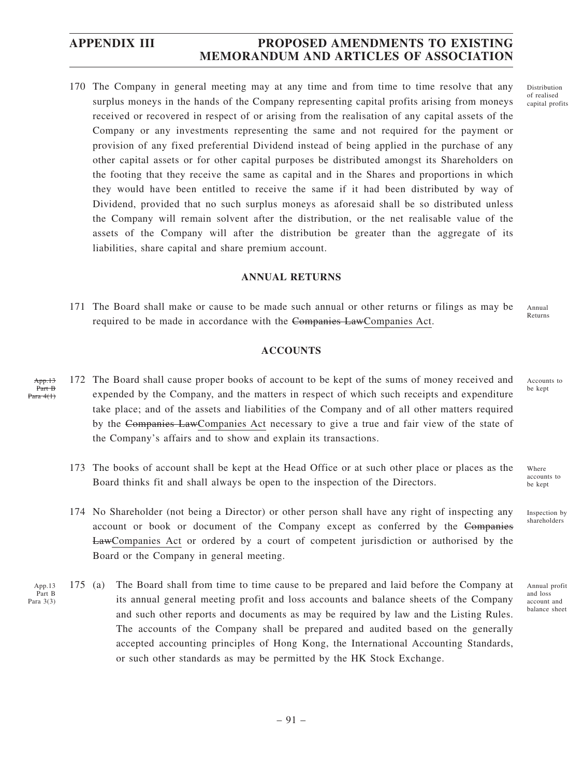170 The Company in general meeting may at any time and from time to time resolve that any surplus moneys in the hands of the Company representing capital profits arising from moneys received or recovered in respect of or arising from the realisation of any capital assets of the Company or any investments representing the same and not required for the payment or provision of any fixed preferential Dividend instead of being applied in the purchase of any other capital assets or for other capital purposes be distributed amongst its Shareholders on the footing that they receive the same as capital and in the Shares and proportions in which they would have been entitled to receive the same if it had been distributed by way of Dividend, provided that no such surplus moneys as aforesaid shall be so distributed unless the Company will remain solvent after the distribution, or the net realisable value of the assets of the Company will after the distribution be greater than the aggregate of its liabilities, share capital and share premium account.

#### **ANNUAL RETURNS**

171 The Board shall make or cause to be made such annual or other returns or filings as may be required to be made in accordance with the Companies LawCompanies Act. Annual Returns

#### **ACCOUNTS**

- 172 The Board shall cause proper books of account to be kept of the sums of money received and expended by the Company, and the matters in respect of which such receipts and expenditure take place; and of the assets and liabilities of the Company and of all other matters required by the Companies LawCompanies Act necessary to give a true and fair view of the state of the Company's affairs and to show and explain its transactions. App.13 Part B Para 4(1)
	- 173 The books of account shall be kept at the Head Office or at such other place or places as the Board thinks fit and shall always be open to the inspection of the Directors.
	- 174 No Shareholder (not being a Director) or other person shall have any right of inspecting any account or book or document of the Company except as conferred by the Companies LawCompanies Act or ordered by a court of competent jurisdiction or authorised by the Board or the Company in general meeting.
- 175 (a) The Board shall from time to time cause to be prepared and laid before the Company at its annual general meeting profit and loss accounts and balance sheets of the Company and such other reports and documents as may be required by law and the Listing Rules. The accounts of the Company shall be prepared and audited based on the generally accepted accounting principles of Hong Kong, the International Accounting Standards, or such other standards as may be permitted by the HK Stock Exchange. App.13 Part B Para 3(3)

be kept

Accounts to

Distribution of realised capital profits

Where accounts to be kept

Inspection by shareholders

Annual profit and loss account and balance sheet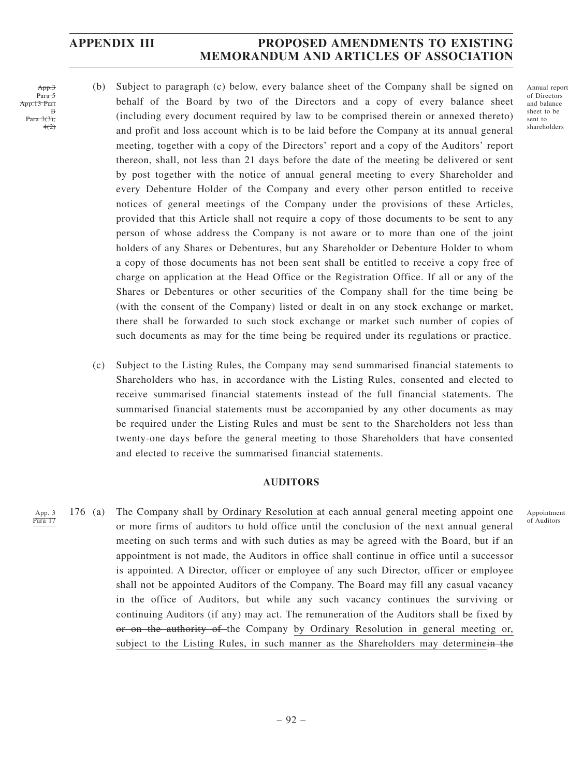- App.. Para 5 13 Part B  $3(3)$ 4(2)
- (b) Subject to paragraph (c) below, every balance sheet of the Company shall be signed on behalf of the Board by two of the Directors and a copy of every balance sheet (including every document required by law to be comprised therein or annexed thereto) and profit and loss account which is to be laid before the Company at its annual general meeting, together with a copy of the Directors' report and a copy of the Auditors' report thereon, shall, not less than 21 days before the date of the meeting be delivered or sent by post together with the notice of annual general meeting to every Shareholder and every Debenture Holder of the Company and every other person entitled to receive notices of general meetings of the Company under the provisions of these Articles, provided that this Article shall not require a copy of those documents to be sent to any person of whose address the Company is not aware or to more than one of the joint holders of any Shares or Debentures, but any Shareholder or Debenture Holder to whom a copy of those documents has not been sent shall be entitled to receive a copy free of charge on application at the Head Office or the Registration Office. If all or any of the Shares or Debentures or other securities of the Company shall for the time being be (with the consent of the Company) listed or dealt in on any stock exchange or market, there shall be forwarded to such stock exchange or market such number of copies of such documents as may for the time being be required under its regulations or practice.
- (c) Subject to the Listing Rules, the Company may send summarised financial statements to Shareholders who has, in accordance with the Listing Rules, consented and elected to receive summarised financial statements instead of the full financial statements. The summarised financial statements must be accompanied by any other documents as may be required under the Listing Rules and must be sent to the Shareholders not less than twenty-one days before the general meeting to those Shareholders that have consented and elected to receive the summarised financial statements.

### **AUDITORS**

176 (a) The Company shall by Ordinary Resolution at each annual general meeting appoint one or more firms of auditors to hold office until the conclusion of the next annual general meeting on such terms and with such duties as may be agreed with the Board, but if an appointment is not made, the Auditors in office shall continue in office until a successor is appointed. A Director, officer or employee of any such Director, officer or employee shall not be appointed Auditors of the Company. The Board may fill any casual vacancy in the office of Auditors, but while any such vacancy continues the surviving or continuing Auditors (if any) may act. The remuneration of the Auditors shall be fixed by or on the authority of the Company by Ordinary Resolution in general meeting or, subject to the Listing Rules, in such manner as the Shareholders may determinein the App. 3 Para 17

Appointment of Auditors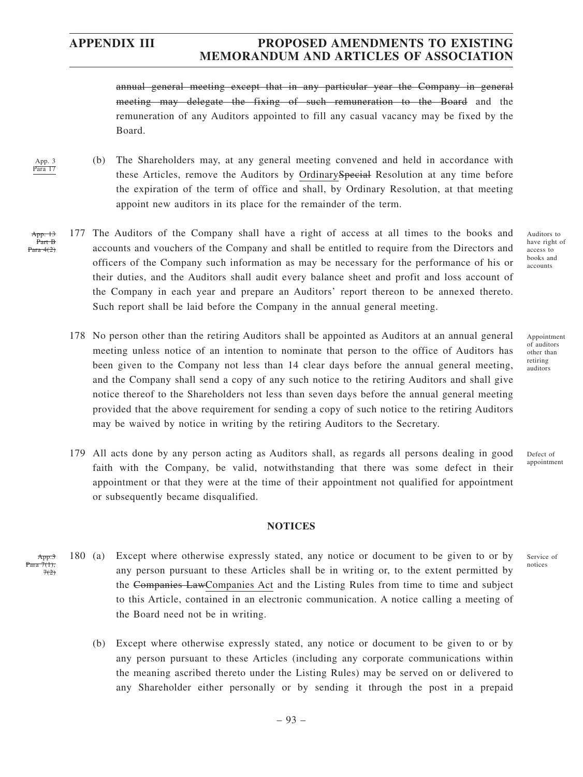App. 3 Para 17

## **APPENDIX III PROPOSED AMENDMENTS TO EXISTING MEMORANDUM AND ARTICLES OF ASSOCIATION**

annual general meeting except that in any particular year the Company in general meeting may delegate the fixing of such remuneration to the Board and the remuneration of any Auditors appointed to fill any casual vacancy may be fixed by the Board.

- (b) The Shareholders may, at any general meeting convened and held in accordance with these Articles, remove the Auditors by OrdinarySpecial Resolution at any time before the expiration of the term of office and shall, by Ordinary Resolution, at that meeting appoint new auditors in its place for the remainder of the term.
- 177 The Auditors of the Company shall have a right of access at all times to the books and accounts and vouchers of the Company and shall be entitled to require from the Directors and officers of the Company such information as may be necessary for the performance of his or their duties, and the Auditors shall audit every balance sheet and profit and loss account of the Company in each year and prepare an Auditors' report thereon to be annexed thereto. Such report shall be laid before the Company in the annual general meeting. App. 13 Part B Para  $4(2)$ 
	- 178 No person other than the retiring Auditors shall be appointed as Auditors at an annual general meeting unless notice of an intention to nominate that person to the office of Auditors has been given to the Company not less than 14 clear days before the annual general meeting, and the Company shall send a copy of any such notice to the retiring Auditors and shall give notice thereof to the Shareholders not less than seven days before the annual general meeting provided that the above requirement for sending a copy of such notice to the retiring Auditors may be waived by notice in writing by the retiring Auditors to the Secretary.
	- 179 All acts done by any person acting as Auditors shall, as regards all persons dealing in good faith with the Company, be valid, notwithstanding that there was some defect in their appointment or that they were at the time of their appointment not qualified for appointment or subsequently became disqualified.

### **NOTICES**

- 180 (a) Except where otherwise expressly stated, any notice or document to be given to or by any person pursuant to these Articles shall be in writing or, to the extent permitted by the Companies LawCompanies Act and the Listing Rules from time to time and subject to this Article, contained in an electronic communication. A notice calling a meeting of the Board need not be in writing. App. Para 7(1);  $70$ 
	- (b) Except where otherwise expressly stated, any notice or document to be given to or by any person pursuant to these Articles (including any corporate communications within the meaning ascribed thereto under the Listing Rules) may be served on or delivered to any Shareholder either personally or by sending it through the post in a prepaid

Auditors to have right of access to books and accounts

Appointment of auditors other than retiring auditors

Defect of appointment

Service of notices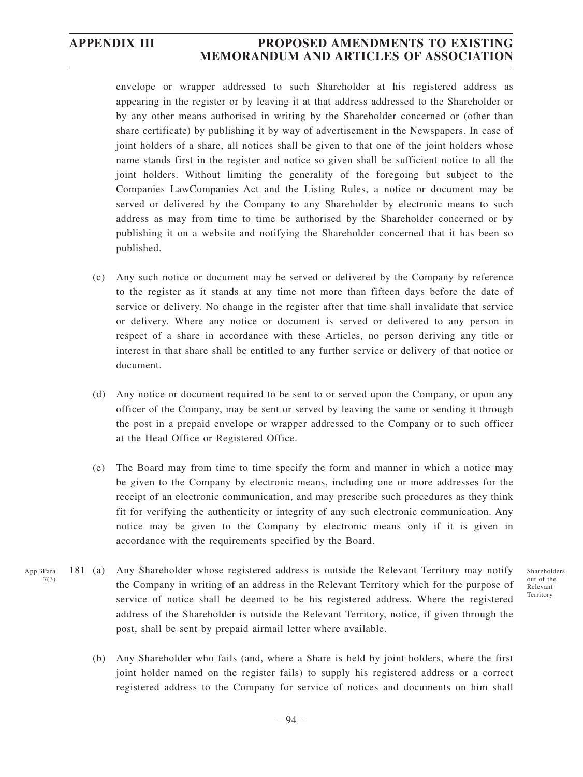App.3Para  $7(3)$ 

## **APPENDIX III PROPOSED AMENDMENTS TO EXISTING MEMORANDUM AND ARTICLES OF ASSOCIATION**

envelope or wrapper addressed to such Shareholder at his registered address as appearing in the register or by leaving it at that address addressed to the Shareholder or by any other means authorised in writing by the Shareholder concerned or (other than share certificate) by publishing it by way of advertisement in the Newspapers. In case of joint holders of a share, all notices shall be given to that one of the joint holders whose name stands first in the register and notice so given shall be sufficient notice to all the joint holders. Without limiting the generality of the foregoing but subject to the Companies LawCompanies Act and the Listing Rules, a notice or document may be served or delivered by the Company to any Shareholder by electronic means to such address as may from time to time be authorised by the Shareholder concerned or by publishing it on a website and notifying the Shareholder concerned that it has been so published.

- (c) Any such notice or document may be served or delivered by the Company by reference to the register as it stands at any time not more than fifteen days before the date of service or delivery. No change in the register after that time shall invalidate that service or delivery. Where any notice or document is served or delivered to any person in respect of a share in accordance with these Articles, no person deriving any title or interest in that share shall be entitled to any further service or delivery of that notice or document.
- (d) Any notice or document required to be sent to or served upon the Company, or upon any officer of the Company, may be sent or served by leaving the same or sending it through the post in a prepaid envelope or wrapper addressed to the Company or to such officer at the Head Office or Registered Office.
- (e) The Board may from time to time specify the form and manner in which a notice may be given to the Company by electronic means, including one or more addresses for the receipt of an electronic communication, and may prescribe such procedures as they think fit for verifying the authenticity or integrity of any such electronic communication. Any notice may be given to the Company by electronic means only if it is given in accordance with the requirements specified by the Board.
- 181 (a) Any Shareholder whose registered address is outside the Relevant Territory may notify the Company in writing of an address in the Relevant Territory which for the purpose of service of notice shall be deemed to be his registered address. Where the registered address of the Shareholder is outside the Relevant Territory, notice, if given through the post, shall be sent by prepaid airmail letter where available.

Shareholders out of the Relevant Territory

(b) Any Shareholder who fails (and, where a Share is held by joint holders, where the first joint holder named on the register fails) to supply his registered address or a correct registered address to the Company for service of notices and documents on him shall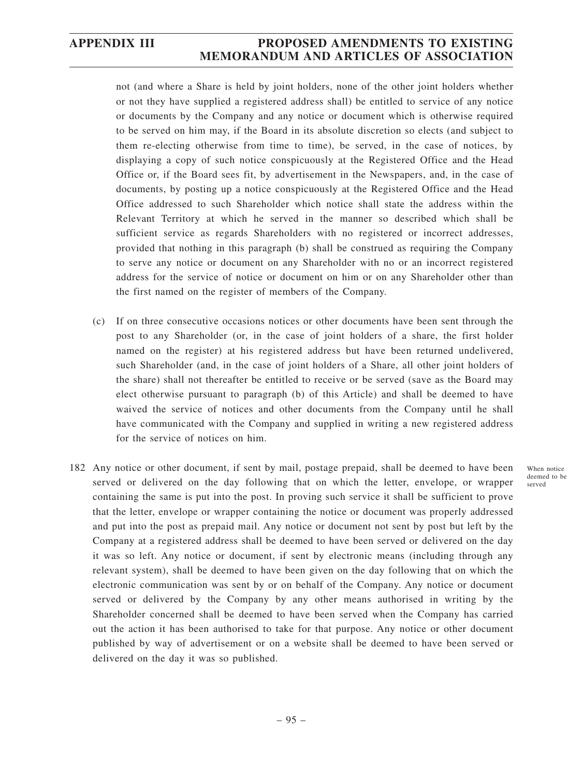not (and where a Share is held by joint holders, none of the other joint holders whether or not they have supplied a registered address shall) be entitled to service of any notice or documents by the Company and any notice or document which is otherwise required to be served on him may, if the Board in its absolute discretion so elects (and subject to them re-electing otherwise from time to time), be served, in the case of notices, by displaying a copy of such notice conspicuously at the Registered Office and the Head Office or, if the Board sees fit, by advertisement in the Newspapers, and, in the case of documents, by posting up a notice conspicuously at the Registered Office and the Head Office addressed to such Shareholder which notice shall state the address within the Relevant Territory at which he served in the manner so described which shall be sufficient service as regards Shareholders with no registered or incorrect addresses, provided that nothing in this paragraph (b) shall be construed as requiring the Company to serve any notice or document on any Shareholder with no or an incorrect registered address for the service of notice or document on him or on any Shareholder other than the first named on the register of members of the Company.

- (c) If on three consecutive occasions notices or other documents have been sent through the post to any Shareholder (or, in the case of joint holders of a share, the first holder named on the register) at his registered address but have been returned undelivered, such Shareholder (and, in the case of joint holders of a Share, all other joint holders of the share) shall not thereafter be entitled to receive or be served (save as the Board may elect otherwise pursuant to paragraph (b) of this Article) and shall be deemed to have waived the service of notices and other documents from the Company until he shall have communicated with the Company and supplied in writing a new registered address for the service of notices on him.
- 182 Any notice or other document, if sent by mail, postage prepaid, shall be deemed to have been served or delivered on the day following that on which the letter, envelope, or wrapper containing the same is put into the post. In proving such service it shall be sufficient to prove that the letter, envelope or wrapper containing the notice or document was properly addressed and put into the post as prepaid mail. Any notice or document not sent by post but left by the Company at a registered address shall be deemed to have been served or delivered on the day it was so left. Any notice or document, if sent by electronic means (including through any relevant system), shall be deemed to have been given on the day following that on which the electronic communication was sent by or on behalf of the Company. Any notice or document served or delivered by the Company by any other means authorised in writing by the Shareholder concerned shall be deemed to have been served when the Company has carried out the action it has been authorised to take for that purpose. Any notice or other document published by way of advertisement or on a website shall be deemed to have been served or delivered on the day it was so published.

When notice deemed to be served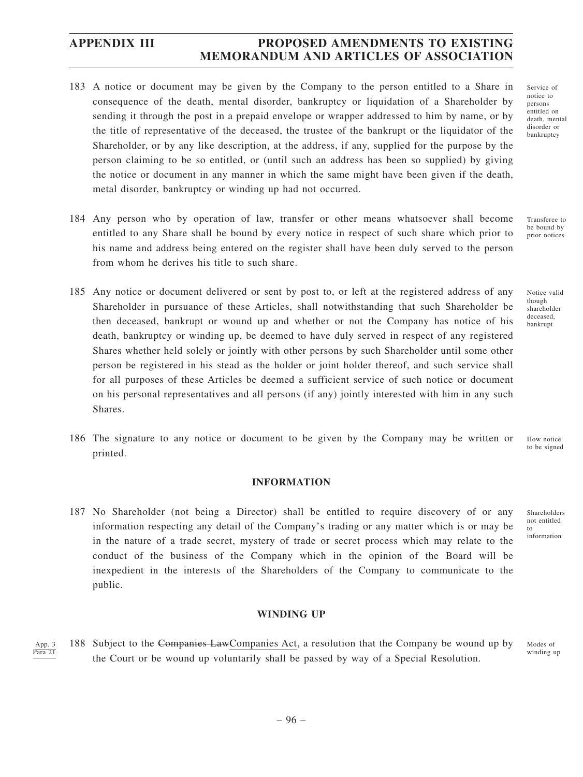- 183 A notice or document may be given by the Company to the person entitled to a Share in consequence of the death, mental disorder, bankruptcy or liquidation of a Shareholder by sending it through the post in a prepaid envelope or wrapper addressed to him by name, or by the title of representative of the deceased, the trustee of the bankrupt or the liquidator of the Shareholder, or by any like description, at the address, if any, supplied for the purpose by the person claiming to be so entitled, or (until such an address has been so supplied) by giving the notice or document in any manner in which the same might have been given if the death, metal disorder, bankruptcy or winding up had not occurred.
- 184 Any person who by operation of law, transfer or other means whatsoever shall become entitled to any Share shall be bound by every notice in respect of such share which prior to his name and address being entered on the register shall have been duly served to the person from whom he derives his title to such share.
- 185 Any notice or document delivered or sent by post to, or left at the registered address of any Shareholder in pursuance of these Articles, shall notwithstanding that such Shareholder be then deceased, bankrupt or wound up and whether or not the Company has notice of his death, bankruptcy or winding up, be deemed to have duly served in respect of any registered Shares whether held solely or jointly with other persons by such Shareholder until some other person be registered in his stead as the holder or joint holder thereof, and such service shall for all purposes of these Articles be deemed a sufficient service of such notice or document on his personal representatives and all persons (if any) jointly interested with him in any such Shares.
- 186 The signature to any notice or document to be given by the Company may be written or printed.

### **INFORMATION**

187 No Shareholder (not being a Director) shall be entitled to require discovery of or any information respecting any detail of the Company's trading or any matter which is or may be in the nature of a trade secret, mystery of trade or secret process which may relate to the conduct of the business of the Company which in the opinion of the Board will be inexpedient in the interests of the Shareholders of the Company to communicate to the public.

#### **WINDING UP**

188 Subject to the Companies LawCompanies Act, a resolution that the Company be wound up by the Court or be wound up voluntarily shall be passed by way of a Special Resolution. App. 3 Para 21

Service of notice to persons entitled on death, mental disorder or bankruptcy

Transferee to be bound by prior notices

Notice valid though shareholder deceased, bankrupt

How notice to be signed

Shareholders not entitled to information

Modes of winding up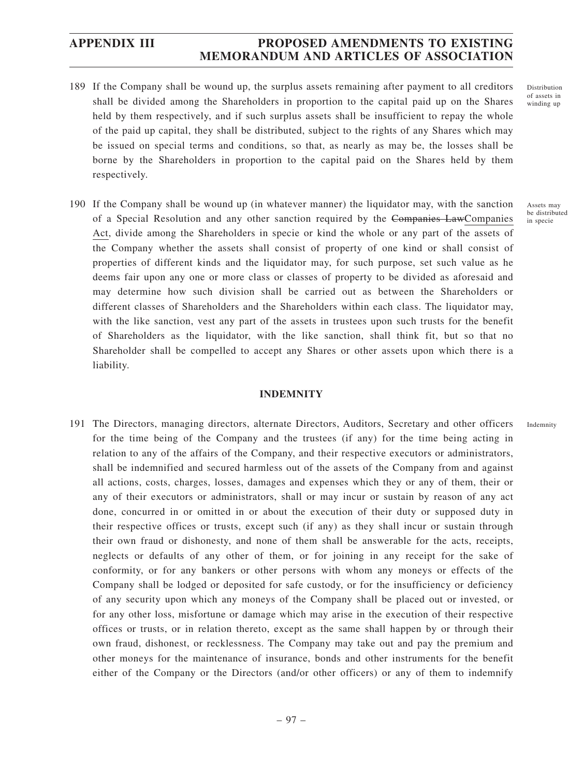- 189 If the Company shall be wound up, the surplus assets remaining after payment to all creditors shall be divided among the Shareholders in proportion to the capital paid up on the Shares held by them respectively, and if such surplus assets shall be insufficient to repay the whole of the paid up capital, they shall be distributed, subject to the rights of any Shares which may be issued on special terms and conditions, so that, as nearly as may be, the losses shall be borne by the Shareholders in proportion to the capital paid on the Shares held by them respectively.
- 190 If the Company shall be wound up (in whatever manner) the liquidator may, with the sanction of a Special Resolution and any other sanction required by the Companies LawCompanies Act, divide among the Shareholders in specie or kind the whole or any part of the assets of the Company whether the assets shall consist of property of one kind or shall consist of properties of different kinds and the liquidator may, for such purpose, set such value as he deems fair upon any one or more class or classes of property to be divided as aforesaid and may determine how such division shall be carried out as between the Shareholders or different classes of Shareholders and the Shareholders within each class. The liquidator may, with the like sanction, vest any part of the assets in trustees upon such trusts for the benefit of Shareholders as the liquidator, with the like sanction, shall think fit, but so that no Shareholder shall be compelled to accept any Shares or other assets upon which there is a liability.

### **INDEMNITY**

191 The Directors, managing directors, alternate Directors, Auditors, Secretary and other officers for the time being of the Company and the trustees (if any) for the time being acting in relation to any of the affairs of the Company, and their respective executors or administrators, shall be indemnified and secured harmless out of the assets of the Company from and against all actions, costs, charges, losses, damages and expenses which they or any of them, their or any of their executors or administrators, shall or may incur or sustain by reason of any act done, concurred in or omitted in or about the execution of their duty or supposed duty in their respective offices or trusts, except such (if any) as they shall incur or sustain through their own fraud or dishonesty, and none of them shall be answerable for the acts, receipts, neglects or defaults of any other of them, or for joining in any receipt for the sake of conformity, or for any bankers or other persons with whom any moneys or effects of the Company shall be lodged or deposited for safe custody, or for the insufficiency or deficiency of any security upon which any moneys of the Company shall be placed out or invested, or for any other loss, misfortune or damage which may arise in the execution of their respective offices or trusts, or in relation thereto, except as the same shall happen by or through their own fraud, dishonest, or recklessness. The Company may take out and pay the premium and other moneys for the maintenance of insurance, bonds and other instruments for the benefit either of the Company or the Directors (and/or other officers) or any of them to indemnify

Assets may be distributed in specie

Indemnity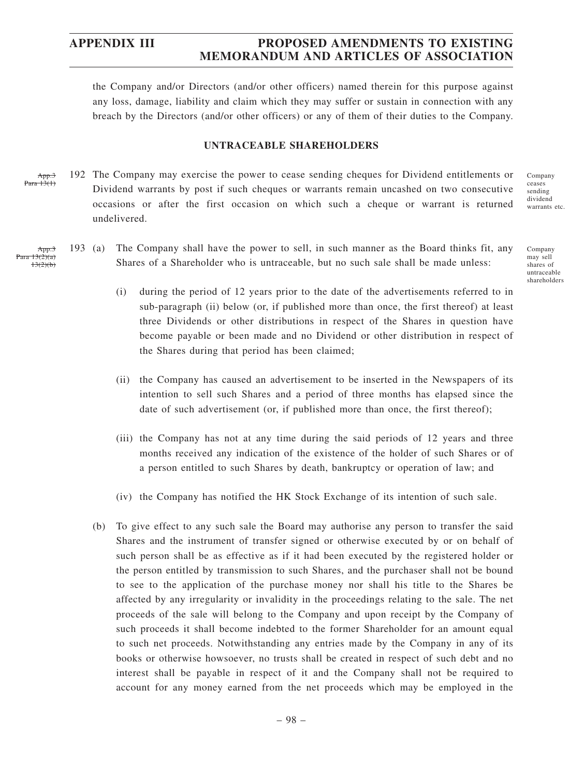the Company and/or Directors (and/or other officers) named therein for this purpose against any loss, damage, liability and claim which they may suffer or sustain in connection with any breach by the Directors (and/or other officers) or any of them of their duties to the Company.

#### **UNTRACEABLE SHAREHOLDERS**

192 The Company may exercise the power to cease sending cheques for Dividend entitlements or Dividend warrants by post if such cheques or warrants remain uncashed on two consecutive occasions or after the first occasion on which such a cheque or warrant is returned undelivered. App.3  $13(1)$ 

193 (a) The Company shall have the power to sell, in such manner as the Board thinks fit, any Shares of a Shareholder who is untraceable, but no such sale shall be made unless:

Company may sell shares of

untraceable shareholders

Company ceases sending dividend warrants etc.

- (i) during the period of 12 years prior to the date of the advertisements referred to in sub-paragraph (ii) below (or, if published more than once, the first thereof) at least three Dividends or other distributions in respect of the Shares in question have become payable or been made and no Dividend or other distribution in respect of the Shares during that period has been claimed;
- (ii) the Company has caused an advertisement to be inserted in the Newspapers of its intention to sell such Shares and a period of three months has elapsed since the date of such advertisement (or, if published more than once, the first thereof);
- (iii) the Company has not at any time during the said periods of 12 years and three months received any indication of the existence of the holder of such Shares or of a person entitled to such Shares by death, bankruptcy or operation of law; and
- (iv) the Company has notified the HK Stock Exchange of its intention of such sale.
- (b) To give effect to any such sale the Board may authorise any person to transfer the said Shares and the instrument of transfer signed or otherwise executed by or on behalf of such person shall be as effective as if it had been executed by the registered holder or the person entitled by transmission to such Shares, and the purchaser shall not be bound to see to the application of the purchase money nor shall his title to the Shares be affected by any irregularity or invalidity in the proceedings relating to the sale. The net proceeds of the sale will belong to the Company and upon receipt by the Company of such proceeds it shall become indebted to the former Shareholder for an amount equal to such net proceeds. Notwithstanding any entries made by the Company in any of its books or otherwise howsoever, no trusts shall be created in respect of such debt and no interest shall be payable in respect of it and the Company shall not be required to account for any money earned from the net proceeds which may be employed in the

App.3  $\frac{13(2)}{a}$ 

 $13(2)(b)$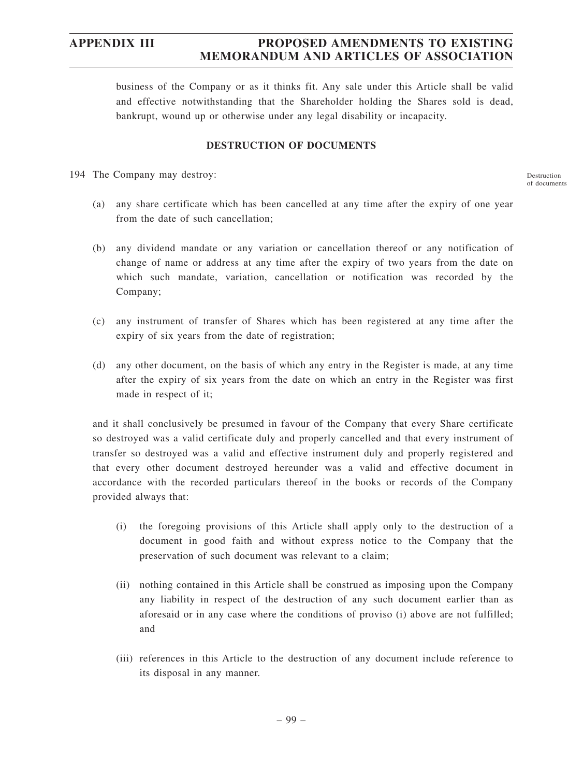business of the Company or as it thinks fit. Any sale under this Article shall be valid and effective notwithstanding that the Shareholder holding the Shares sold is dead, bankrupt, wound up or otherwise under any legal disability or incapacity.

#### **DESTRUCTION OF DOCUMENTS**

194 The Company may destroy:

Destruction of documents

- (a) any share certificate which has been cancelled at any time after the expiry of one year from the date of such cancellation;
- (b) any dividend mandate or any variation or cancellation thereof or any notification of change of name or address at any time after the expiry of two years from the date on which such mandate, variation, cancellation or notification was recorded by the Company;
- (c) any instrument of transfer of Shares which has been registered at any time after the expiry of six years from the date of registration;
- (d) any other document, on the basis of which any entry in the Register is made, at any time after the expiry of six years from the date on which an entry in the Register was first made in respect of it;

and it shall conclusively be presumed in favour of the Company that every Share certificate so destroyed was a valid certificate duly and properly cancelled and that every instrument of transfer so destroyed was a valid and effective instrument duly and properly registered and that every other document destroyed hereunder was a valid and effective document in accordance with the recorded particulars thereof in the books or records of the Company provided always that:

- (i) the foregoing provisions of this Article shall apply only to the destruction of a document in good faith and without express notice to the Company that the preservation of such document was relevant to a claim;
- (ii) nothing contained in this Article shall be construed as imposing upon the Company any liability in respect of the destruction of any such document earlier than as aforesaid or in any case where the conditions of proviso (i) above are not fulfilled; and
- (iii) references in this Article to the destruction of any document include reference to its disposal in any manner.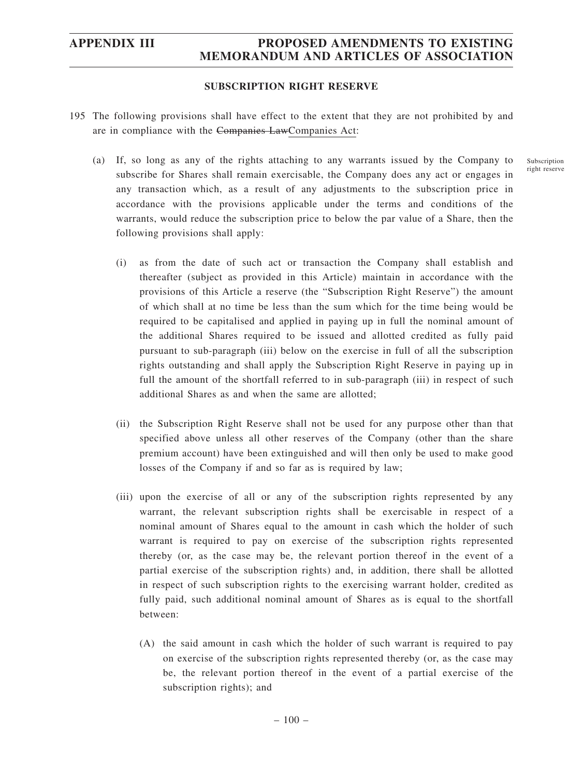#### **SUBSCRIPTION RIGHT RESERVE**

- 195 The following provisions shall have effect to the extent that they are not prohibited by and are in compliance with the Companies LawCompanies Act:
	- (a) If, so long as any of the rights attaching to any warrants issued by the Company to subscribe for Shares shall remain exercisable, the Company does any act or engages in any transaction which, as a result of any adjustments to the subscription price in accordance with the provisions applicable under the terms and conditions of the warrants, would reduce the subscription price to below the par value of a Share, then the following provisions shall apply:
		- (i) as from the date of such act or transaction the Company shall establish and thereafter (subject as provided in this Article) maintain in accordance with the provisions of this Article a reserve (the "Subscription Right Reserve") the amount of which shall at no time be less than the sum which for the time being would be required to be capitalised and applied in paying up in full the nominal amount of the additional Shares required to be issued and allotted credited as fully paid pursuant to sub-paragraph (iii) below on the exercise in full of all the subscription rights outstanding and shall apply the Subscription Right Reserve in paying up in full the amount of the shortfall referred to in sub-paragraph (iii) in respect of such additional Shares as and when the same are allotted;
		- (ii) the Subscription Right Reserve shall not be used for any purpose other than that specified above unless all other reserves of the Company (other than the share premium account) have been extinguished and will then only be used to make good losses of the Company if and so far as is required by law;
		- (iii) upon the exercise of all or any of the subscription rights represented by any warrant, the relevant subscription rights shall be exercisable in respect of a nominal amount of Shares equal to the amount in cash which the holder of such warrant is required to pay on exercise of the subscription rights represented thereby (or, as the case may be, the relevant portion thereof in the event of a partial exercise of the subscription rights) and, in addition, there shall be allotted in respect of such subscription rights to the exercising warrant holder, credited as fully paid, such additional nominal amount of Shares as is equal to the shortfall between:
			- (A) the said amount in cash which the holder of such warrant is required to pay on exercise of the subscription rights represented thereby (or, as the case may be, the relevant portion thereof in the event of a partial exercise of the subscription rights); and

Subscription right reserve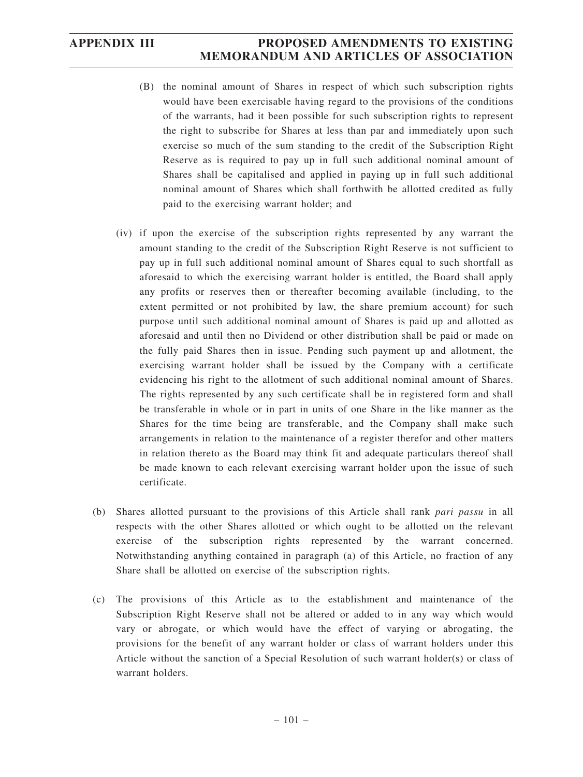- (B) the nominal amount of Shares in respect of which such subscription rights would have been exercisable having regard to the provisions of the conditions of the warrants, had it been possible for such subscription rights to represent the right to subscribe for Shares at less than par and immediately upon such exercise so much of the sum standing to the credit of the Subscription Right Reserve as is required to pay up in full such additional nominal amount of Shares shall be capitalised and applied in paying up in full such additional nominal amount of Shares which shall forthwith be allotted credited as fully paid to the exercising warrant holder; and
- (iv) if upon the exercise of the subscription rights represented by any warrant the amount standing to the credit of the Subscription Right Reserve is not sufficient to pay up in full such additional nominal amount of Shares equal to such shortfall as aforesaid to which the exercising warrant holder is entitled, the Board shall apply any profits or reserves then or thereafter becoming available (including, to the extent permitted or not prohibited by law, the share premium account) for such purpose until such additional nominal amount of Shares is paid up and allotted as aforesaid and until then no Dividend or other distribution shall be paid or made on the fully paid Shares then in issue. Pending such payment up and allotment, the exercising warrant holder shall be issued by the Company with a certificate evidencing his right to the allotment of such additional nominal amount of Shares. The rights represented by any such certificate shall be in registered form and shall be transferable in whole or in part in units of one Share in the like manner as the Shares for the time being are transferable, and the Company shall make such arrangements in relation to the maintenance of a register therefor and other matters in relation thereto as the Board may think fit and adequate particulars thereof shall be made known to each relevant exercising warrant holder upon the issue of such certificate.
- (b) Shares allotted pursuant to the provisions of this Article shall rank *pari passu* in all respects with the other Shares allotted or which ought to be allotted on the relevant exercise of the subscription rights represented by the warrant concerned. Notwithstanding anything contained in paragraph (a) of this Article, no fraction of any Share shall be allotted on exercise of the subscription rights.
- (c) The provisions of this Article as to the establishment and maintenance of the Subscription Right Reserve shall not be altered or added to in any way which would vary or abrogate, or which would have the effect of varying or abrogating, the provisions for the benefit of any warrant holder or class of warrant holders under this Article without the sanction of a Special Resolution of such warrant holder(s) or class of warrant holders.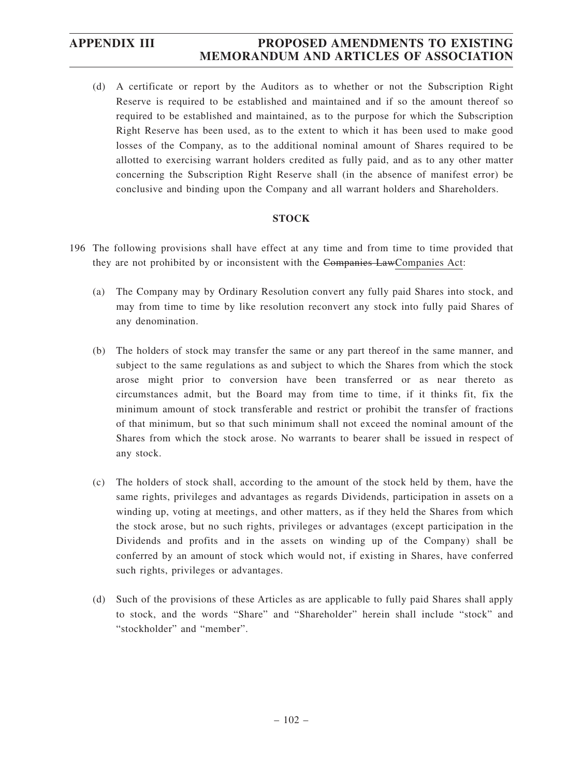(d) A certificate or report by the Auditors as to whether or not the Subscription Right Reserve is required to be established and maintained and if so the amount thereof so required to be established and maintained, as to the purpose for which the Subscription Right Reserve has been used, as to the extent to which it has been used to make good losses of the Company, as to the additional nominal amount of Shares required to be allotted to exercising warrant holders credited as fully paid, and as to any other matter concerning the Subscription Right Reserve shall (in the absence of manifest error) be conclusive and binding upon the Company and all warrant holders and Shareholders.

### **STOCK**

- 196 The following provisions shall have effect at any time and from time to time provided that they are not prohibited by or inconsistent with the Companies LawCompanies Act:
	- (a) The Company may by Ordinary Resolution convert any fully paid Shares into stock, and may from time to time by like resolution reconvert any stock into fully paid Shares of any denomination.
	- (b) The holders of stock may transfer the same or any part thereof in the same manner, and subject to the same regulations as and subject to which the Shares from which the stock arose might prior to conversion have been transferred or as near thereto as circumstances admit, but the Board may from time to time, if it thinks fit, fix the minimum amount of stock transferable and restrict or prohibit the transfer of fractions of that minimum, but so that such minimum shall not exceed the nominal amount of the Shares from which the stock arose. No warrants to bearer shall be issued in respect of any stock.
	- (c) The holders of stock shall, according to the amount of the stock held by them, have the same rights, privileges and advantages as regards Dividends, participation in assets on a winding up, voting at meetings, and other matters, as if they held the Shares from which the stock arose, but no such rights, privileges or advantages (except participation in the Dividends and profits and in the assets on winding up of the Company) shall be conferred by an amount of stock which would not, if existing in Shares, have conferred such rights, privileges or advantages.
	- (d) Such of the provisions of these Articles as are applicable to fully paid Shares shall apply to stock, and the words "Share" and "Shareholder" herein shall include "stock" and "stockholder" and "member".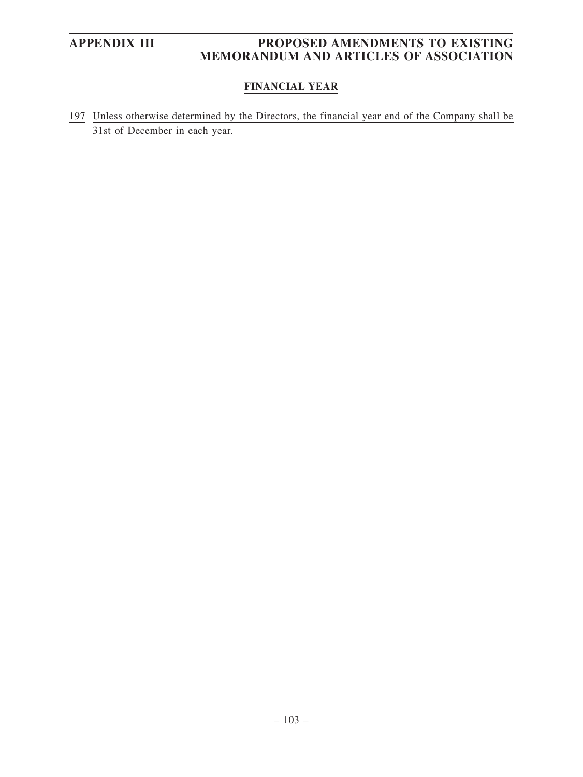### **FINANCIAL YEAR**

197 Unless otherwise determined by the Directors, the financial year end of the Company shall be 31st of December in each year.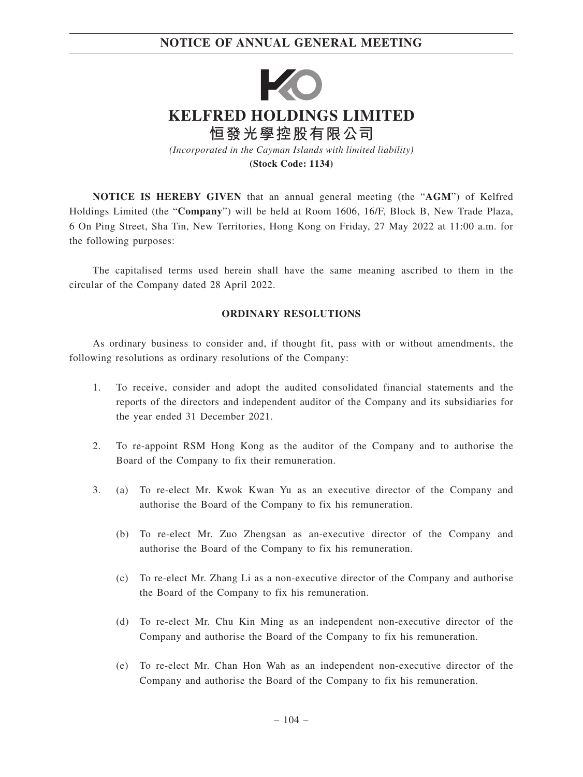# **NOTICE OF ANNUAL GENERAL MEETING**



**(Stock Code: 1134)**

**NOTICE IS HEREBY GIVEN** that an annual general meeting (the "**AGM**") of Kelfred Holdings Limited (the "**Company**") will be held at Room 1606, 16/F, Block B, New Trade Plaza, 6 On Ping Street, Sha Tin, New Territories, Hong Kong on Friday, 27 May 2022 at 11:00 a.m. for the following purposes:

The capitalised terms used herein shall have the same meaning ascribed to them in the circular of the Company dated 28 April 2022.

### **ORDINARY RESOLUTIONS**

As ordinary business to consider and, if thought fit, pass with or without amendments, the following resolutions as ordinary resolutions of the Company:

- 1. To receive, consider and adopt the audited consolidated financial statements and the reports of the directors and independent auditor of the Company and its subsidiaries for the year ended 31 December 2021.
- 2. To re-appoint RSM Hong Kong as the auditor of the Company and to authorise the Board of the Company to fix their remuneration.
- 3. (a) To re-elect Mr. Kwok Kwan Yu as an executive director of the Company and authorise the Board of the Company to fix his remuneration.
	- (b) To re-elect Mr. Zuo Zhengsan as an-executive director of the Company and authorise the Board of the Company to fix his remuneration.
	- (c) To re-elect Mr. Zhang Li as a non-executive director of the Company and authorise the Board of the Company to fix his remuneration.
	- (d) To re-elect Mr. Chu Kin Ming as an independent non-executive director of the Company and authorise the Board of the Company to fix his remuneration.
	- (e) To re-elect Mr. Chan Hon Wah as an independent non-executive director of the Company and authorise the Board of the Company to fix his remuneration.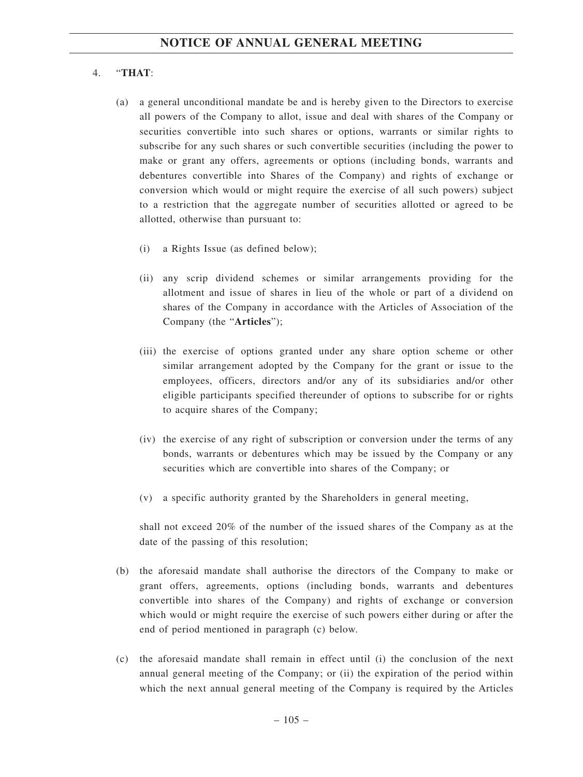## 4. "**THAT**:

- (a) a general unconditional mandate be and is hereby given to the Directors to exercise all powers of the Company to allot, issue and deal with shares of the Company or securities convertible into such shares or options, warrants or similar rights to subscribe for any such shares or such convertible securities (including the power to make or grant any offers, agreements or options (including bonds, warrants and debentures convertible into Shares of the Company) and rights of exchange or conversion which would or might require the exercise of all such powers) subject to a restriction that the aggregate number of securities allotted or agreed to be allotted, otherwise than pursuant to:
	- (i) a Rights Issue (as defined below);
	- (ii) any scrip dividend schemes or similar arrangements providing for the allotment and issue of shares in lieu of the whole or part of a dividend on shares of the Company in accordance with the Articles of Association of the Company (the "**Articles**");
	- (iii) the exercise of options granted under any share option scheme or other similar arrangement adopted by the Company for the grant or issue to the employees, officers, directors and/or any of its subsidiaries and/or other eligible participants specified thereunder of options to subscribe for or rights to acquire shares of the Company;
	- (iv) the exercise of any right of subscription or conversion under the terms of any bonds, warrants or debentures which may be issued by the Company or any securities which are convertible into shares of the Company; or
	- (v) a specific authority granted by the Shareholders in general meeting,

shall not exceed 20% of the number of the issued shares of the Company as at the date of the passing of this resolution;

- (b) the aforesaid mandate shall authorise the directors of the Company to make or grant offers, agreements, options (including bonds, warrants and debentures convertible into shares of the Company) and rights of exchange or conversion which would or might require the exercise of such powers either during or after the end of period mentioned in paragraph (c) below.
- (c) the aforesaid mandate shall remain in effect until (i) the conclusion of the next annual general meeting of the Company; or (ii) the expiration of the period within which the next annual general meeting of the Company is required by the Articles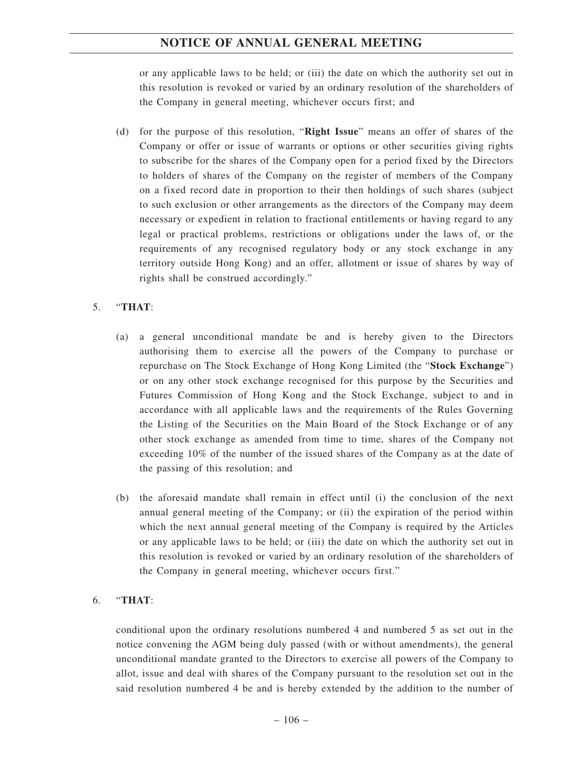# **NOTICE OF ANNUAL GENERAL MEETING**

or any applicable laws to be held; or (iii) the date on which the authority set out in this resolution is revoked or varied by an ordinary resolution of the shareholders of the Company in general meeting, whichever occurs first; and

(d) for the purpose of this resolution, "**Right Issue**" means an offer of shares of the Company or offer or issue of warrants or options or other securities giving rights to subscribe for the shares of the Company open for a period fixed by the Directors to holders of shares of the Company on the register of members of the Company on a fixed record date in proportion to their then holdings of such shares (subject to such exclusion or other arrangements as the directors of the Company may deem necessary or expedient in relation to fractional entitlements or having regard to any legal or practical problems, restrictions or obligations under the laws of, or the requirements of any recognised regulatory body or any stock exchange in any territory outside Hong Kong) and an offer, allotment or issue of shares by way of rights shall be construed accordingly."

## 5. "**THAT**:

- (a) a general unconditional mandate be and is hereby given to the Directors authorising them to exercise all the powers of the Company to purchase or repurchase on The Stock Exchange of Hong Kong Limited (the "**Stock Exchange**") or on any other stock exchange recognised for this purpose by the Securities and Futures Commission of Hong Kong and the Stock Exchange, subject to and in accordance with all applicable laws and the requirements of the Rules Governing the Listing of the Securities on the Main Board of the Stock Exchange or of any other stock exchange as amended from time to time, shares of the Company not exceeding 10% of the number of the issued shares of the Company as at the date of the passing of this resolution; and
- (b) the aforesaid mandate shall remain in effect until (i) the conclusion of the next annual general meeting of the Company; or (ii) the expiration of the period within which the next annual general meeting of the Company is required by the Articles or any applicable laws to be held; or (iii) the date on which the authority set out in this resolution is revoked or varied by an ordinary resolution of the shareholders of the Company in general meeting, whichever occurs first."

## 6. "**THAT**:

conditional upon the ordinary resolutions numbered 4 and numbered 5 as set out in the notice convening the AGM being duly passed (with or without amendments), the general unconditional mandate granted to the Directors to exercise all powers of the Company to allot, issue and deal with shares of the Company pursuant to the resolution set out in the said resolution numbered 4 be and is hereby extended by the addition to the number of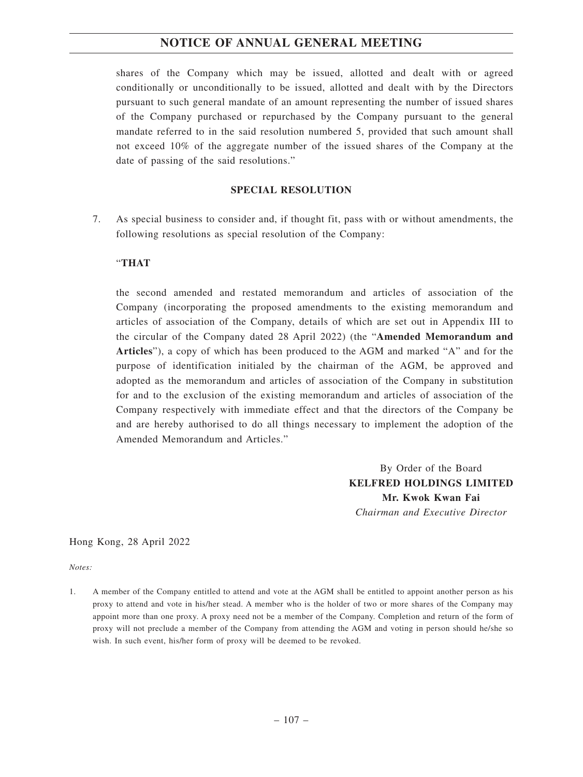## **NOTICE OF ANNUAL GENERAL MEETING**

shares of the Company which may be issued, allotted and dealt with or agreed conditionally or unconditionally to be issued, allotted and dealt with by the Directors pursuant to such general mandate of an amount representing the number of issued shares of the Company purchased or repurchased by the Company pursuant to the general mandate referred to in the said resolution numbered 5, provided that such amount shall not exceed 10% of the aggregate number of the issued shares of the Company at the date of passing of the said resolutions."

## **SPECIAL RESOLUTION**

7. As special business to consider and, if thought fit, pass with or without amendments, the following resolutions as special resolution of the Company:

## "**THAT**

the second amended and restated memorandum and articles of association of the Company (incorporating the proposed amendments to the existing memorandum and articles of association of the Company, details of which are set out in Appendix III to the circular of the Company dated 28 April 2022) (the "**Amended Memorandum and Articles**"), a copy of which has been produced to the AGM and marked "A" and for the purpose of identification initialed by the chairman of the AGM, be approved and adopted as the memorandum and articles of association of the Company in substitution for and to the exclusion of the existing memorandum and articles of association of the Company respectively with immediate effect and that the directors of the Company be and are hereby authorised to do all things necessary to implement the adoption of the Amended Memorandum and Articles."

> By Order of the Board **KELFRED HOLDINGS LIMITED Mr. Kwok Kwan Fai** *Chairman and Executive Director*

Hong Kong, 28 April 2022

*Notes:*

1. A member of the Company entitled to attend and vote at the AGM shall be entitled to appoint another person as his proxy to attend and vote in his/her stead. A member who is the holder of two or more shares of the Company may appoint more than one proxy. A proxy need not be a member of the Company. Completion and return of the form of proxy will not preclude a member of the Company from attending the AGM and voting in person should he/she so wish. In such event, his/her form of proxy will be deemed to be revoked.